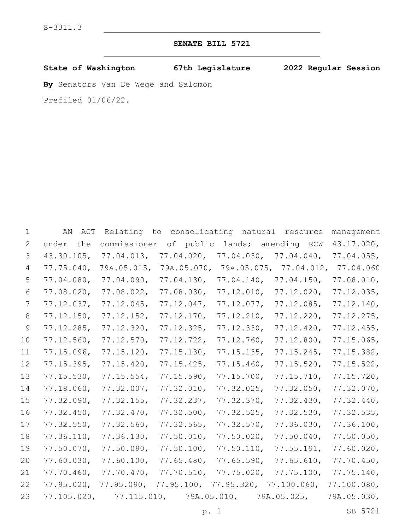# **SENATE BILL 5721**

**State of Washington 67th Legislature 2022 Regular Session**

**By** Senators Van De Wege and Salomon

Prefiled 01/06/22.

| 2<br>3        | under<br>the  | commissioner            |                                   |                         |               |               |
|---------------|---------------|-------------------------|-----------------------------------|-------------------------|---------------|---------------|
|               |               |                         | of public                         | lands;                  | amending RCW  | 43.17.020,    |
|               | 43.30.105,    | 77.04.013,              | $77.04.020$ ,                     | 77.04.030               | 77.04.040     | 77.04.055     |
| 4             | 77.75.040,    | 79A.05.015,             | 79A.05.070,                       | 79A.05.075,             | $77.04.012$ , | 77.04.060     |
| 5             | 77.04.080,    | 77.04.090,              | $77.04.130$ ,                     | $77.04.140$ ,           | 77.04.150,    | 77.08.010,    |
| 6             | $77.08.020$ , | 77.08.022               | $77.08.030$ ,                     | 77.12.010,              | $77.12.020$ , | $77.12.035$ , |
| 7             | $77.12.037$ , | 77.12.045               | 77.12.047,                        | 77.12.077               | 77.12.085     | 77.12.140,    |
| 8             | 77.12.150,    | $77.12.152$ ,           | 77.12.170,                        | 77.12.210,              | 77.12.220     | $77.12.275$ , |
| $\mathcal{G}$ | 77.12.285     | $77.12.320$ ,           | $77.12.325$ ,                     | 77.12.330               | 77.12.420     | 77.12.455     |
| 10            | 77.12.560,    | $77.12.570$ ,           | 77.12.722                         | 77.12.760,              | 77.12.800,    | 77.15.065     |
| 11            | $77.15.096$ , | $77.15.120$ ,           | $77.15.130$ ,                     | $77.15.135$ ,           | $77.15.245$ , | $77.15.382$ , |
| 12            | $77.15.395$ , | $77.15.420$ ,           | $77.15.425$ ,                     | 77.15.460,              | 77.15.520     | 77.15.522     |
| 13            | $77.15.530$ , | 77.15.554               | $77.15.590$ ,                     | 77.15.700,              | 77.15.710,    | 77.15.720     |
| 14            | 77.18.060,    | 77.32.007               | 77.32.010,                        | 77.32.025               | 77.32.050     | $77.32.070$ , |
| 15            | 77.32.090,    | $77.32.155$ ,           | 77.32.237                         | $77.32.370$ ,           | 77.32.430     | 77.32.440,    |
| 16            | 77.32.450,    | 77.32.470,              | 77.32.500,                        | 77.32.525               | $77.32.530$ , | $77.32.535$ , |
| 17            | $77.32.550$ , | 77.32.560,              | 77.32.565                         | 77.32.570               | 77.36.030     | 77.36.100,    |
| 18            | 77.36.110,    | $77.36.130$ ,           | 77.50.010,                        | 77.50.020               | 77.50.040,    | $77.50.050$ , |
| 19            | 77.50.070,    | 77.50.090,              | 77.50.100,                        | 77.50.110,              | 77.55.191,    | 77.60.020     |
| 20            | 77.60.030,    | 77.60.100,              | 77.65.480,                        | $77.65.590$ ,           | 77.65.610,    | 77.70.450,    |
| 21            | 77.70.460     | 77.70.470,              | 77.70.510,                        | $77.75.020$ ,           | 77.75.100,    | 77.75.140,    |
| 22            | $77.95.020$ , | 77.95.090,              | 77.95.100, 77.95.320, 77.100.060, |                         |               | 77.100.080,   |
| 23            |               | 77.105.020, 77.115.010, |                                   | 79A.05.010, 79A.05.025, |               | 79A.05.030,   |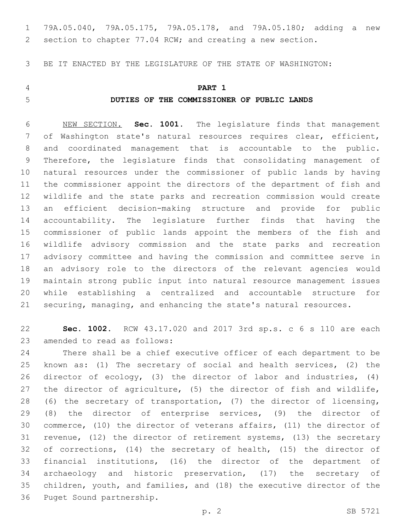79A.05.040, 79A.05.175, 79A.05.178, and 79A.05.180; adding a new section to chapter 77.04 RCW; and creating a new section.

BE IT ENACTED BY THE LEGISLATURE OF THE STATE OF WASHINGTON:

## **PART 1**

## **DUTIES OF THE COMMISSIONER OF PUBLIC LANDS**

 NEW SECTION. **Sec. 1001.** The legislature finds that management of Washington state's natural resources requires clear, efficient, and coordinated management that is accountable to the public. Therefore, the legislature finds that consolidating management of natural resources under the commissioner of public lands by having the commissioner appoint the directors of the department of fish and wildlife and the state parks and recreation commission would create an efficient decision-making structure and provide for public accountability. The legislature further finds that having the commissioner of public lands appoint the members of the fish and wildlife advisory commission and the state parks and recreation advisory committee and having the commission and committee serve in an advisory role to the directors of the relevant agencies would maintain strong public input into natural resource management issues while establishing a centralized and accountable structure for securing, managing, and enhancing the state's natural resources.

 **Sec. 1002.** RCW 43.17.020 and 2017 3rd sp.s. c 6 s 110 are each 23 amended to read as follows:

 There shall be a chief executive officer of each department to be known as: (1) The secretary of social and health services, (2) the director of ecology, (3) the director of labor and industries, (4) the director of agriculture, (5) the director of fish and wildlife, (6) the secretary of transportation, (7) the director of licensing, (8) the director of enterprise services, (9) the director of commerce, (10) the director of veterans affairs, (11) the director of revenue, (12) the director of retirement systems, (13) the secretary of corrections, (14) the secretary of health, (15) the director of financial institutions, (16) the director of the department of archaeology and historic preservation, (17) the secretary of children, youth, and families, and (18) the executive director of the 36 Puget Sound partnership.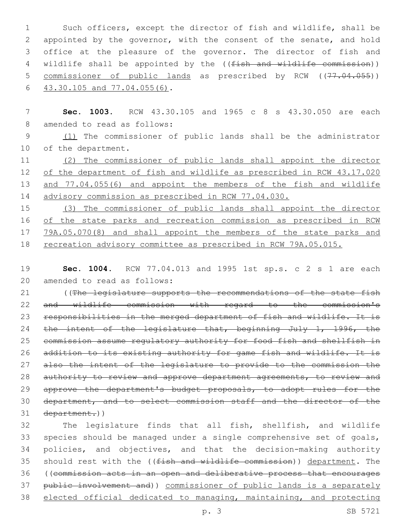Such officers, except the director of fish and wildlife, shall be appointed by the governor, with the consent of the senate, and hold office at the pleasure of the governor. The director of fish and 4 wildlife shall be appointed by the ((fish and wildlife commission)) 5 commissioner of public lands as prescribed by RCW ((77.04.055))  $43.30.105$  and  $77.04.055(6)$ .

7 **Sec. 1003.** RCW 43.30.105 and 1965 c 8 s 43.30.050 are each 8 amended to read as follows:

9 (1) The commissioner of public lands shall be the administrator 10 of the department.

11 (2) The commissioner of public lands shall appoint the director 12 of the department of fish and wildlife as prescribed in RCW 43.17.020 13 and 77.04.055(6) and appoint the members of the fish and wildlife 14 advisory commission as prescribed in RCW 77.04.030.

 (3) The commissioner of public lands shall appoint the director of the state parks and recreation commission as prescribed in RCW 79A.05.070(8) and shall appoint the members of the state parks and 18 recreation advisory committee as prescribed in RCW 79A.05.015.

19 **Sec. 1004.** RCW 77.04.013 and 1995 1st sp.s. c 2 s 1 are each 20 amended to read as follows:

21 ((The legislature supports the recommendations of the state fish 22 and wildlife commission with regard to the commission's 23 responsibilities in the merged department of fish and wildlife. It is 24 the intent of the legislature that, beginning July 1, 1996, the 25 commission assume regulatory authority for food fish and shellfish in 26 addition to its existing authority for game fish and wildlife. It is 27 also the intent of the legislature to provide to the commission the 28 authority to review and approve department agreements, to review and 29 approve the department's budget proposals, to adopt rules for the 30 department, and to select commission staff and the director of the 31 department.))

 The legislature finds that all fish, shellfish, and wildlife species should be managed under a single comprehensive set of goals, policies, and objectives, and that the decision-making authority 35 should rest with the ((fish and wildlife commission)) department. The ((commission acts in an open and deliberative process that encourages public involvement and)) commissioner of public lands is a separately elected official dedicated to managing, maintaining, and protecting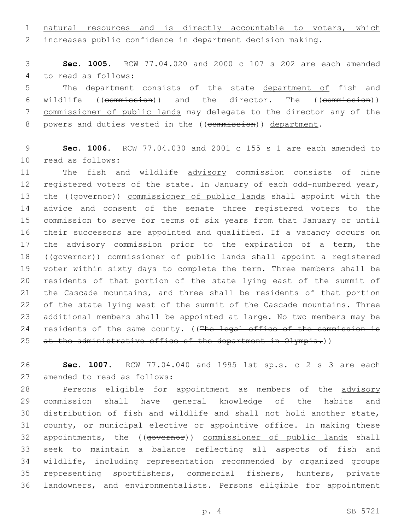natural resources and is directly accountable to voters, which increases public confidence in department decision making.

 **Sec. 1005.** RCW 77.04.020 and 2000 c 107 s 202 are each amended 4 to read as follows:

5 The department consists of the state department of fish and wildlife ((commission)) and the director. The ((commission)) commissioner of public lands may delegate to the director any of the 8 powers and duties vested in the ((commission)) department.

 **Sec. 1006.** RCW 77.04.030 and 2001 c 155 s 1 are each amended to 10 read as follows:

11 The fish and wildlife advisory commission consists of nine registered voters of the state. In January of each odd-numbered year, 13 the ((governor)) commissioner of public lands shall appoint with the advice and consent of the senate three registered voters to the commission to serve for terms of six years from that January or until their successors are appointed and qualified. If a vacancy occurs on 17 the advisory commission prior to the expiration of a term, the 18 ((governor)) commissioner of public lands shall appoint a registered voter within sixty days to complete the term. Three members shall be residents of that portion of the state lying east of the summit of the Cascade mountains, and three shall be residents of that portion of the state lying west of the summit of the Cascade mountains. Three additional members shall be appointed at large. No two members may be 24 residents of the same county. ((The legal office of the commission is 25 at the administrative office of the department in Olympia.))

 **Sec. 1007.** RCW 77.04.040 and 1995 1st sp.s. c 2 s 3 are each 27 amended to read as follows:

28 Persons eligible for appointment as members of the advisory commission shall have general knowledge of the habits and distribution of fish and wildlife and shall not hold another state, county, or municipal elective or appointive office. In making these 32 appointments, the ((governor)) commissioner of public lands shall seek to maintain a balance reflecting all aspects of fish and wildlife, including representation recommended by organized groups representing sportfishers, commercial fishers, hunters, private landowners, and environmentalists. Persons eligible for appointment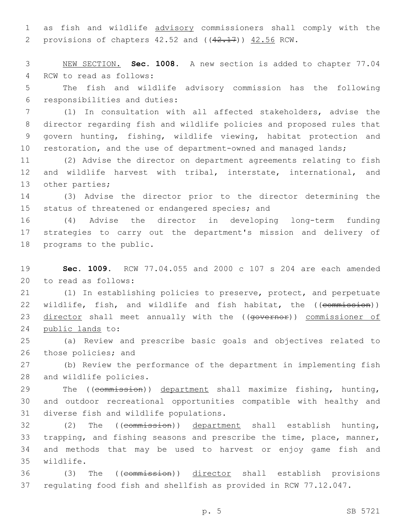1 as fish and wildlife advisory commissioners shall comply with the 2 provisions of chapters  $42.52$  and  $((42.17))$   $42.56$  RCW.

3 NEW SECTION. **Sec. 1008.** A new section is added to chapter 77.04 4 RCW to read as follows:

5 The fish and wildlife advisory commission has the following 6 responsibilities and duties:

 (1) In consultation with all affected stakeholders, advise the director regarding fish and wildlife policies and proposed rules that govern hunting, fishing, wildlife viewing, habitat protection and 10 restoration, and the use of department-owned and managed lands;

11 (2) Advise the director on department agreements relating to fish 12 and wildlife harvest with tribal, interstate, international, and 13 other parties;

14 (3) Advise the director prior to the director determining the 15 status of threatened or endangered species; and

16 (4) Advise the director in developing long-term funding 17 strategies to carry out the department's mission and delivery of 18 programs to the public.

19 **Sec. 1009.** RCW 77.04.055 and 2000 c 107 s 204 are each amended 20 to read as follows:

21 (1) In establishing policies to preserve, protect, and perpetuate 22 wildlife, fish, and wildlife and fish habitat, the ((commission)) 23 director shall meet annually with the ((governor)) commissioner of 24 public lands to:

25 (a) Review and prescribe basic goals and objectives related to 26 those policies; and

27 (b) Review the performance of the department in implementing fish 28 and wildlife policies.

29 The ((commission)) department shall maximize fishing, hunting, 30 and outdoor recreational opportunities compatible with healthy and 31 diverse fish and wildlife populations.

32 (2) The ((commission)) department shall establish hunting, 33 trapping, and fishing seasons and prescribe the time, place, manner, 34 and methods that may be used to harvest or enjoy game fish and wildlife.35

36 (3) The ((commission)) director shall establish provisions 37 regulating food fish and shellfish as provided in RCW 77.12.047.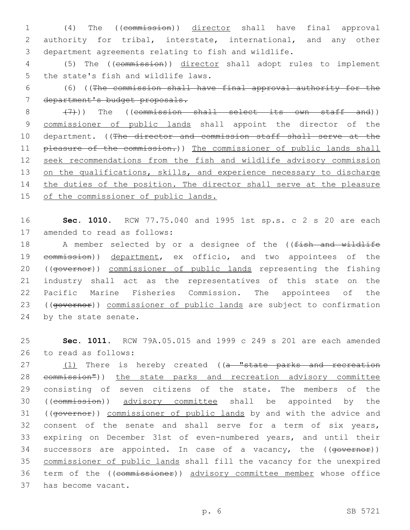1 (4) The ((commission)) director shall have final approval 2 authority for tribal, interstate, international, and any other 3 department agreements relating to fish and wildlife.

4 (5) The ((commission)) director shall adopt rules to implement 5 the state's fish and wildlife laws.

6 (6) ((The commission shall have final approval authority for the 7 department's budget proposals.

8 (7)) The ((commission shall select its own staff and)) 9 commissioner of public lands shall appoint the director of the 10 department. ((The director and commission staff shall serve at the 11 pleasure of the commission.)) The commissioner of public lands shall 12 seek recommendations from the fish and wildlife advisory commission 13 on the qualifications, skills, and experience necessary to discharge 14 the duties of the position. The director shall serve at the pleasure 15 of the commissioner of public lands.

16 **Sec. 1010.** RCW 77.75.040 and 1995 1st sp.s. c 2 s 20 are each 17 amended to read as follows:

18 A member selected by or a designee of the ((fish and wildlife 19 commission)) department, ex officio, and two appointees of the 20 ((governor)) commissioner of public lands representing the fishing 21 industry shall act as the representatives of this state on the 22 Pacific Marine Fisheries Commission. The appointees of the 23 ((governor)) commissioner of public lands are subject to confirmation 24 by the state senate.

25 **Sec. 1011.** RCW 79A.05.015 and 1999 c 249 s 201 are each amended 26 to read as follows:

27 (1) There is hereby created ((a "state parks and recreation 28 eommission")) the state parks and recreation advisory committee 29 consisting of seven citizens of the state. The members of the 30 ((commission)) advisory committee shall be appointed by the 31 ((governor)) commissioner of public lands by and with the advice and 32 consent of the senate and shall serve for a term of six years, 33 expiring on December 31st of even-numbered years, and until their 34 successors are appointed. In case of a vacancy, the ((governor)) 35 commissioner of public lands shall fill the vacancy for the unexpired 36 term of the ((commissioner)) advisory committee member whose office 37 has become vacant.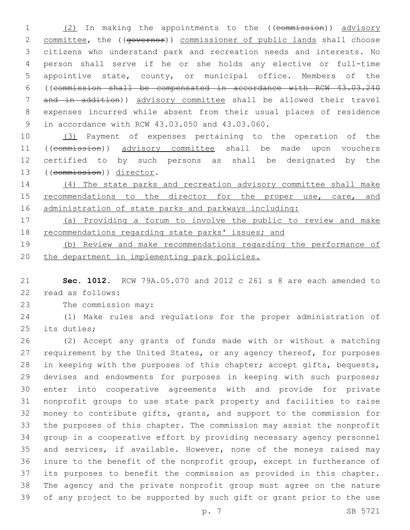1 (2) In making the appointments to the ((commission)) advisory 2 committee, the ((governor)) commissioner of public lands shall choose citizens who understand park and recreation needs and interests. No person shall serve if he or she holds any elective or full-time appointive state, county, or municipal office. Members of the ((commission shall be compensated in accordance with RCW 43.03.240 and in addition)) advisory committee shall be allowed their travel expenses incurred while absent from their usual places of residence 9 in accordance with RCW 43.03.050 and 43.03.060.

 (3) Payment of expenses pertaining to the operation of the ((commission)) advisory committee shall be made upon vouchers certified to by such persons as shall be designated by the 13 ((commission)) director.

 (4) The state parks and recreation advisory committee shall make 15 recommendations to the director for the proper use, care, and 16 administration of state parks and parkways including:

 (a) Providing a forum to involve the public to review and make recommendations regarding state parks' issues; and

 (b) Review and make recommendations regarding the performance of the department in implementing park policies.

 **Sec. 1012.** RCW 79A.05.070 and 2012 c 261 s 8 are each amended to 22 read as follows:

23 The commission may:

 (1) Make rules and regulations for the proper administration of 25 its duties;

 (2) Accept any grants of funds made with or without a matching 27 requirement by the United States, or any agency thereof, for purposes in keeping with the purposes of this chapter; accept gifts, bequests, 29 devises and endowments for purposes in keeping with such purposes; enter into cooperative agreements with and provide for private nonprofit groups to use state park property and facilities to raise money to contribute gifts, grants, and support to the commission for the purposes of this chapter. The commission may assist the nonprofit group in a cooperative effort by providing necessary agency personnel and services, if available. However, none of the moneys raised may inure to the benefit of the nonprofit group, except in furtherance of its purposes to benefit the commission as provided in this chapter. The agency and the private nonprofit group must agree on the nature of any project to be supported by such gift or grant prior to the use

p. 7 SB 5721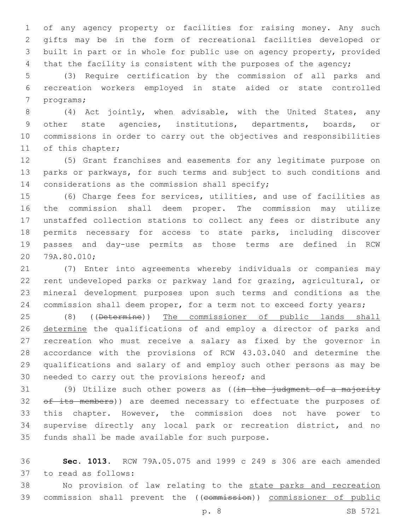of any agency property or facilities for raising money. Any such gifts may be in the form of recreational facilities developed or built in part or in whole for public use on agency property, provided 4 that the facility is consistent with the purposes of the agency;

 (3) Require certification by the commission of all parks and recreation workers employed in state aided or state controlled 7 programs;

 (4) Act jointly, when advisable, with the United States, any other state agencies, institutions, departments, boards, or commissions in order to carry out the objectives and responsibilities 11 of this chapter;

 (5) Grant franchises and easements for any legitimate purpose on parks or parkways, for such terms and subject to such conditions and 14 considerations as the commission shall specify;

 (6) Charge fees for services, utilities, and use of facilities as the commission shall deem proper. The commission may utilize unstaffed collection stations to collect any fees or distribute any permits necessary for access to state parks, including discover passes and day-use permits as those terms are defined in RCW 20 79A.80.010;

 (7) Enter into agreements whereby individuals or companies may rent undeveloped parks or parkway land for grazing, agricultural, or mineral development purposes upon such terms and conditions as the commission shall deem proper, for a term not to exceed forty years;

25 (8) ((Determine)) The commissioner of public lands shall 26 determine the qualifications of and employ a director of parks and recreation who must receive a salary as fixed by the governor in accordance with the provisions of RCW 43.03.040 and determine the qualifications and salary of and employ such other persons as may be 30 needed to carry out the provisions hereof; and

31 (9) Utilize such other powers as  $((\frac{1}{10} + \frac{1}{10})$  and  $(\frac{1}{10} + \frac{1}{10})$  and  $(\frac{1}{10} + \frac{1}{10})$ 32 of its members)) are deemed necessary to effectuate the purposes of this chapter. However, the commission does not have power to supervise directly any local park or recreation district, and no 35 funds shall be made available for such purpose.

 **Sec. 1013.** RCW 79A.05.075 and 1999 c 249 s 306 are each amended 37 to read as follows:

38 No provision of law relating to the state parks and recreation 39 commission shall prevent the ((commission)) commissioner of public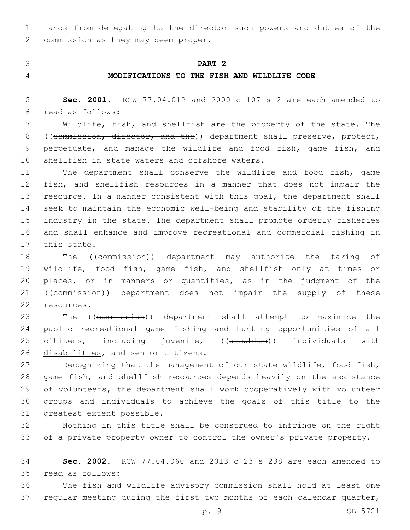1 lands from delegating to the director such powers and duties of the 2 commission as they may deem proper.

### 3 **PART 2**

## 4 **MODIFICATIONS TO THE FISH AND WILDLIFE CODE**

5 **Sec. 2001.** RCW 77.04.012 and 2000 c 107 s 2 are each amended to read as follows:6

7 Wildlife, fish, and shellfish are the property of the state. The 8 ((commission, director, and the)) department shall preserve, protect, 9 perpetuate, and manage the wildlife and food fish, game fish, and 10 shellfish in state waters and offshore waters.

 The department shall conserve the wildlife and food fish, game fish, and shellfish resources in a manner that does not impair the 13 resource. In a manner consistent with this goal, the department shall seek to maintain the economic well-being and stability of the fishing industry in the state. The department shall promote orderly fisheries and shall enhance and improve recreational and commercial fishing in 17 this state.

18 The ((commission)) department may authorize the taking of 19 wildlife, food fish, game fish, and shellfish only at times or 20 places, or in manners or quantities, as in the judgment of the 21 ((commission)) department does not impair the supply of these 22 resources.

23 The ((commission)) department shall attempt to maximize the 24 public recreational game fishing and hunting opportunities of all 25 citizens, including juvenile, ((disabled)) individuals with 26 disabilities, and senior citizens.

 Recognizing that the management of our state wildlife, food fish, game fish, and shellfish resources depends heavily on the assistance of volunteers, the department shall work cooperatively with volunteer groups and individuals to achieve the goals of this title to the 31 greatest extent possible.

32 Nothing in this title shall be construed to infringe on the right 33 of a private property owner to control the owner's private property.

34 **Sec. 2002.** RCW 77.04.060 and 2013 c 23 s 238 are each amended to read as follows:35

36 The fish and wildlife advisory commission shall hold at least one 37 regular meeting during the first two months of each calendar quarter,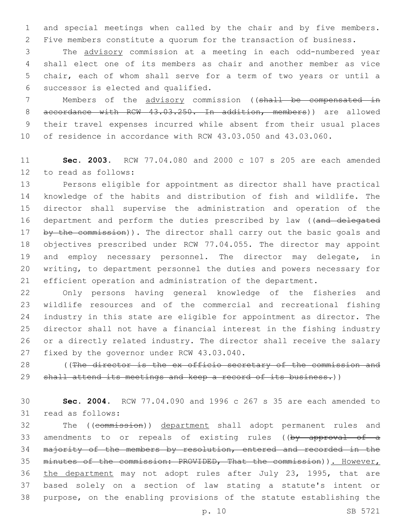and special meetings when called by the chair and by five members. Five members constitute a quorum for the transaction of business.

 The advisory commission at a meeting in each odd-numbered year shall elect one of its members as chair and another member as vice chair, each of whom shall serve for a term of two years or until a 6 successor is elected and qualified.

 Members of the advisory commission ((shall be compensated in 8 accordance with RCW 43.03.250. In addition, members)) are allowed their travel expenses incurred while absent from their usual places of residence in accordance with RCW 43.03.050 and 43.03.060.

 **Sec. 2003.** RCW 77.04.080 and 2000 c 107 s 205 are each amended 12 to read as follows:

 Persons eligible for appointment as director shall have practical knowledge of the habits and distribution of fish and wildlife. The director shall supervise the administration and operation of the 16 department and perform the duties prescribed by law ((and delegated 17 by the commission)). The director shall carry out the basic goals and objectives prescribed under RCW 77.04.055. The director may appoint and employ necessary personnel. The director may delegate, in writing, to department personnel the duties and powers necessary for efficient operation and administration of the department.

 Only persons having general knowledge of the fisheries and wildlife resources and of the commercial and recreational fishing industry in this state are eligible for appointment as director. The director shall not have a financial interest in the fishing industry or a directly related industry. The director shall receive the salary 27 fixed by the governor under RCW 43.03.040.

28 (The director is the ex officio secretary of the commission and 29 shall attend its meetings and keep a record of its business.))

 **Sec. 2004.** RCW 77.04.090 and 1996 c 267 s 35 are each amended to 31 read as follows:

 The ((commission)) department shall adopt permanent rules and 33 amendments to or repeals of existing rules ((by approval of a majority of the members by resolution, entered and recorded in the minutes of the commission: PROVIDED, That the commission)). However, 36 the department may not adopt rules after July 23, 1995, that are based solely on a section of law stating a statute's intent or purpose, on the enabling provisions of the statute establishing the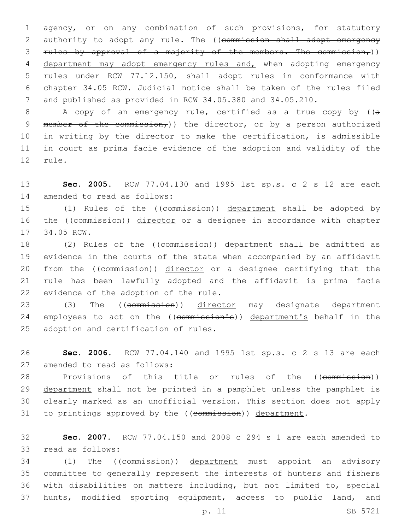agency, or on any combination of such provisions, for statutory 2 authority to adopt any rule. The ((commission shall adopt emergency 3 rules by approval of a majority of the members. The commission,)) department may adopt emergency rules and, when adopting emergency rules under RCW 77.12.150, shall adopt rules in conformance with chapter 34.05 RCW. Judicial notice shall be taken of the rules filed and published as provided in RCW 34.05.380 and 34.05.210.

8 A copy of an emergency rule, certified as a true copy by ((a 9 member of the commission,) the director, or by a person authorized 10 in writing by the director to make the certification, is admissible 11 in court as prima facie evidence of the adoption and validity of the 12 rule.

13 **Sec. 2005.** RCW 77.04.130 and 1995 1st sp.s. c 2 s 12 are each 14 amended to read as follows:

15 (1) Rules of the ((commission)) department shall be adopted by 16 the ((commission)) director or a designee in accordance with chapter 17 34.05 RCW.

18 (2) Rules of the ((commission)) department shall be admitted as 19 evidence in the courts of the state when accompanied by an affidavit 20 from the ((commission)) director or a designee certifying that the 21 rule has been lawfully adopted and the affidavit is prima facie 22 evidence of the adoption of the rule.

23 (3) The ((commission)) director may designate department 24 employees to act on the ((commission's)) department's behalf in the 25 adoption and certification of rules.

26 **Sec. 2006.** RCW 77.04.140 and 1995 1st sp.s. c 2 s 13 are each 27 amended to read as follows:

28 Provisions of this title or rules of the ((commission)) 29 department shall not be printed in a pamphlet unless the pamphlet is 30 clearly marked as an unofficial version. This section does not apply 31 to printings approved by the ((commission)) department.

32 **Sec. 2007.** RCW 77.04.150 and 2008 c 294 s 1 are each amended to 33 read as follows:

34 (1) The ((commission)) department must appoint an advisory committee to generally represent the interests of hunters and fishers with disabilities on matters including, but not limited to, special hunts, modified sporting equipment, access to public land, and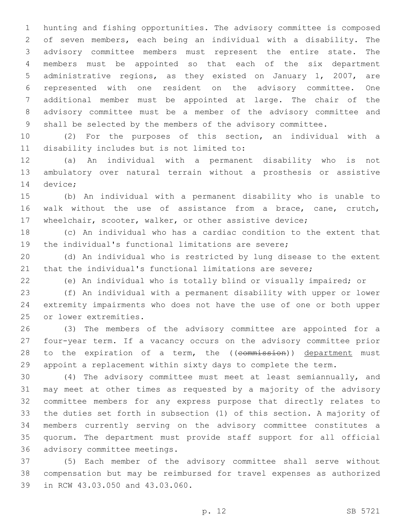hunting and fishing opportunities. The advisory committee is composed of seven members, each being an individual with a disability. The advisory committee members must represent the entire state. The members must be appointed so that each of the six department administrative regions, as they existed on January 1, 2007, are represented with one resident on the advisory committee. One additional member must be appointed at large. The chair of the advisory committee must be a member of the advisory committee and shall be selected by the members of the advisory committee.

 (2) For the purposes of this section, an individual with a 11 disability includes but is not limited to:

 (a) An individual with a permanent disability who is not ambulatory over natural terrain without a prosthesis or assistive 14 device;

 (b) An individual with a permanent disability who is unable to walk without the use of assistance from a brace, cane, crutch, wheelchair, scooter, walker, or other assistive device;

 (c) An individual who has a cardiac condition to the extent that the individual's functional limitations are severe;

 (d) An individual who is restricted by lung disease to the extent that the individual's functional limitations are severe;

(e) An individual who is totally blind or visually impaired; or

 (f) An individual with a permanent disability with upper or lower extremity impairments who does not have the use of one or both upper 25 or lower extremities.

 (3) The members of the advisory committee are appointed for a four-year term. If a vacancy occurs on the advisory committee prior 28 to the expiration of a term, the ((commission)) department must appoint a replacement within sixty days to complete the term.

 (4) The advisory committee must meet at least semiannually, and may meet at other times as requested by a majority of the advisory committee members for any express purpose that directly relates to the duties set forth in subsection (1) of this section. A majority of members currently serving on the advisory committee constitutes a quorum. The department must provide staff support for all official 36 advisory committee meetings.

 (5) Each member of the advisory committee shall serve without compensation but may be reimbursed for travel expenses as authorized 39 in RCW 43.03.050 and 43.03.060.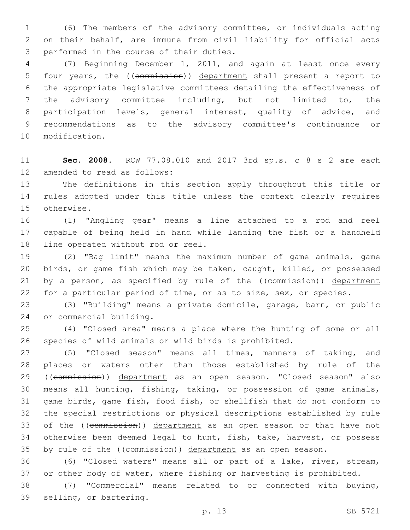(6) The members of the advisory committee, or individuals acting on their behalf, are immune from civil liability for official acts 3 performed in the course of their duties.

 (7) Beginning December 1, 2011, and again at least once every four years, the ((commission)) department shall present a report to the appropriate legislative committees detailing the effectiveness of the advisory committee including, but not limited to, the participation levels, general interest, quality of advice, and recommendations as to the advisory committee's continuance or 10 modification.

 **Sec. 2008.** RCW 77.08.010 and 2017 3rd sp.s. c 8 s 2 are each 12 amended to read as follows:

 The definitions in this section apply throughout this title or rules adopted under this title unless the context clearly requires 15 otherwise.

 (1) "Angling gear" means a line attached to a rod and reel capable of being held in hand while landing the fish or a handheld 18 line operated without rod or reel.

 (2) "Bag limit" means the maximum number of game animals, game birds, or game fish which may be taken, caught, killed, or possessed 21 by a person, as specified by rule of the ((commission)) department for a particular period of time, or as to size, sex, or species.

 (3) "Building" means a private domicile, garage, barn, or public 24 or commercial building.

 (4) "Closed area" means a place where the hunting of some or all species of wild animals or wild birds is prohibited.

 (5) "Closed season" means all times, manners of taking, and places or waters other than those established by rule of the 29 ((commission)) department as an open season. "Closed season" also means all hunting, fishing, taking, or possession of game animals, game birds, game fish, food fish, or shellfish that do not conform to the special restrictions or physical descriptions established by rule 33 of the ((commission)) department as an open season or that have not otherwise been deemed legal to hunt, fish, take, harvest, or possess 35 by rule of the ((commission)) department as an open season.

 (6) "Closed waters" means all or part of a lake, river, stream, or other body of water, where fishing or harvesting is prohibited.

 (7) "Commercial" means related to or connected with buying, 39 selling, or bartering.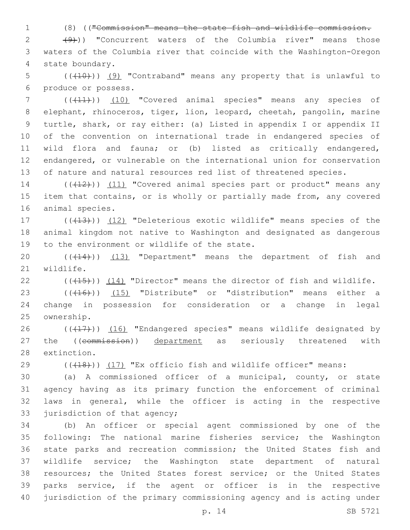1 (8) (("Commission" means the state fish and wildlife commission.

 $2$   $(9)$ ) "Concurrent waters of the Columbia river" means those 3 waters of the Columbia river that coincide with the Washington-Oregon 4 state boundary.

 $(1,10)$  (( $(10)$ ) (9) "Contraband" means any property that is unlawful to 6 produce or possess.

7 (((41))) (10) "Covered animal species" means any species of elephant, rhinoceros, tiger, lion, leopard, cheetah, pangolin, marine turtle, shark, or ray either: (a) Listed in appendix I or appendix II of the convention on international trade in endangered species of wild flora and fauna; or (b) listed as critically endangered, endangered, or vulnerable on the international union for conservation of nature and natural resources red list of threatened species.

14 (((12))) (11) "Covered animal species part or product" means any 15 item that contains, or is wholly or partially made from, any covered 16 animal species.

17 (((413))) (12) "Deleterious exotic wildlife" means species of the 18 animal kingdom not native to Washington and designated as dangerous 19 to the environment or wildlife of the state.

20  $((+14))$   $(13)$  "Department" means the department of fish and 21 wildlife.

22  $((+15))$  (14) "Director" means the director of fish and wildlife.

23 (((16)) (15) "Distribute" or "distribution" means either a 24 change in possession for consideration or a change in legal 25 ownership.

26 (((17))) (16) "Endangered species" means wildlife designated by 27 the ((commission)) department as seriously threatened with 28 extinction.

29 (((18))) (17) "Ex officio fish and wildlife officer" means:

 (a) A commissioned officer of a municipal, county, or state agency having as its primary function the enforcement of criminal laws in general, while the officer is acting in the respective 33 jurisdiction of that agency;

 (b) An officer or special agent commissioned by one of the following: The national marine fisheries service; the Washington state parks and recreation commission; the United States fish and wildlife service; the Washington state department of natural resources; the United States forest service; or the United States parks service, if the agent or officer is in the respective jurisdiction of the primary commissioning agency and is acting under

p. 14 SB 5721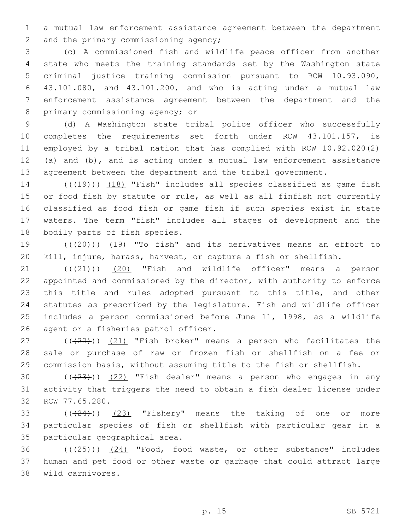1 a mutual law enforcement assistance agreement between the department 2 and the primary commissioning agency;

 (c) A commissioned fish and wildlife peace officer from another state who meets the training standards set by the Washington state criminal justice training commission pursuant to RCW 10.93.090, 43.101.080, and 43.101.200, and who is acting under a mutual law enforcement assistance agreement between the department and the 8 primary commissioning agency; or

 (d) A Washington state tribal police officer who successfully completes the requirements set forth under RCW 43.101.157, is employed by a tribal nation that has complied with RCW 10.92.020(2) (a) and (b), and is acting under a mutual law enforcement assistance 13 agreement between the department and the tribal government.

14 (((419))) (18) "Fish" includes all species classified as game fish 15 or food fish by statute or rule, as well as all finfish not currently 16 classified as food fish or game fish if such species exist in state 17 waters. The term "fish" includes all stages of development and the 18 bodily parts of fish species.

19 (( $(20)$ )) (19) "To fish" and its derivatives means an effort to 20 kill, injure, harass, harvest, or capture a fish or shellfish.

 $(1)$   $(20)$  "Fish and wildlife officer" means a person appointed and commissioned by the director, with authority to enforce this title and rules adopted pursuant to this title, and other statutes as prescribed by the legislature. Fish and wildlife officer includes a person commissioned before June 11, 1998, as a wildlife 26 agent or a fisheries patrol officer.

27  $((+22))$   $(21)$  "Fish broker" means a person who facilitates the 28 sale or purchase of raw or frozen fish or shellfish on a fee or 29 commission basis, without assuming title to the fish or shellfish.

30  $((+23))$   $(22)$  "Fish dealer" means a person who engages in any 31 activity that triggers the need to obtain a fish dealer license under 32 RCW 77.65.280.

33  $((+24))$   $(23)$  "Fishery" means the taking of one or more 34 particular species of fish or shellfish with particular gear in a 35 particular geographical area.

36 (( $(25)$ )) (24) "Food, food waste, or other substance" includes 37 human and pet food or other waste or garbage that could attract large wild carnivores.38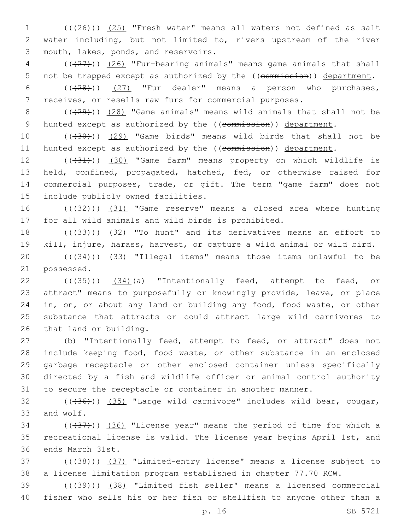1 (((26))) (25) "Fresh water" means all waters not defined as salt 2 water including, but not limited to, rivers upstream of the river 3 mouth, lakes, ponds, and reservoirs.

4 (((27))) (26) "Fur-bearing animals" means game animals that shall 5 not be trapped except as authorized by the ((commission)) department.

6  $((+28))$   $(27)$  "Fur dealer" means a person who purchases, 7 receives, or resells raw furs for commercial purposes.

8 (((29))) (28) "Game animals" means wild animals that shall not be 9 hunted except as authorized by the ((commission)) department.

10 (((30))) (29) "Game birds" means wild birds that shall not be 11 hunted except as authorized by the ((commission)) department.

12 (( $(31)$ )) (30) "Game farm" means property on which wildlife is 13 held, confined, propagated, hatched, fed, or otherwise raised for 14 commercial purposes, trade, or gift. The term "game farm" does not 15 include publicly owned facilities.

16 ((+32))) (31) "Game reserve" means a closed area where hunting 17 for all wild animals and wild birds is prohibited.

18 (( $(33)$ )) (32) "To hunt" and its derivatives means an effort to 19 kill, injure, harass, harvest, or capture a wild animal or wild bird.

20  $((33)$  "Illegal items" means those items unlawful to be 21 possessed.

22  $((\sqrt{35}))$   $(34)(a)$  "Intentionally feed, attempt to feed, or 23 attract" means to purposefully or knowingly provide, leave, or place 24 in, on, or about any land or building any food, food waste, or other 25 substance that attracts or could attract large wild carnivores to 26 that land or building.

 (b) "Intentionally feed, attempt to feed, or attract" does not include keeping food, food waste, or other substance in an enclosed garbage receptacle or other enclosed container unless specifically directed by a fish and wildlife officer or animal control authority to secure the receptacle or container in another manner.

 $(1,36)$  ( $(1,36)$ ) (35) "Large wild carnivore" includes wild bear, cougar, 33 and wolf.

 $(1,37)$  ( $(36)$  "License year" means the period of time for which a 35 recreational license is valid. The license year begins April 1st, and 36 ends March 31st.

37 (((38))) (37) "Limited-entry license" means a license subject to 38 a license limitation program established in chapter 77.70 RCW.

39 (((39))) (38) "Limited fish seller" means a licensed commercial 40 fisher who sells his or her fish or shellfish to anyone other than a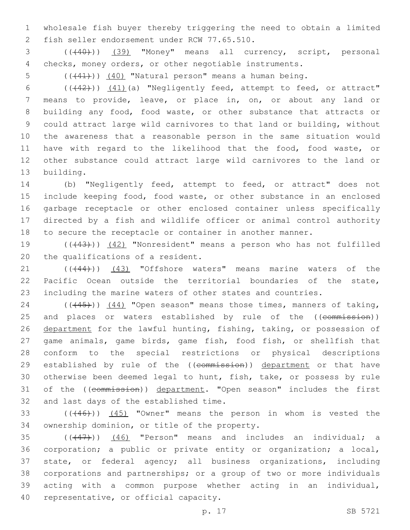wholesale fish buyer thereby triggering the need to obtain a limited 2 fish seller endorsement under RCW 77.65.510.

 (((40))) (39) "Money" means all currency, script, personal checks, money orders, or other negotiable instruments.

5  $((+41))$   $(40)$  "Natural person" means a human being.

6 ((+42))) (41)(a) "Negligently feed, attempt to feed, or attract" means to provide, leave, or place in, on, or about any land or building any food, food waste, or other substance that attracts or could attract large wild carnivores to that land or building, without the awareness that a reasonable person in the same situation would have with regard to the likelihood that the food, food waste, or other substance could attract large wild carnivores to the land or 13 building.

 (b) "Negligently feed, attempt to feed, or attract" does not include keeping food, food waste, or other substance in an enclosed garbage receptacle or other enclosed container unless specifically directed by a fish and wildlife officer or animal control authority to secure the receptacle or container in another manner.

19 (((43))) (42) "Nonresident" means a person who has not fulfilled 20 the qualifications of a resident.

21 (( $(444)$ )) (43) "Offshore waters" means marine waters of the Pacific Ocean outside the territorial boundaries of the state, including the marine waters of other states and countries.

24 (((45))) (44) "Open season" means those times, manners of taking, 25 and places or waters established by rule of the ((commission)) department for the lawful hunting, fishing, taking, or possession of game animals, game birds, game fish, food fish, or shellfish that conform to the special restrictions or physical descriptions 29 established by rule of the ((commission)) department or that have otherwise been deemed legal to hunt, fish, take, or possess by rule of the ((commission)) department. "Open season" includes the first 32 and last days of the established time.

33 (((46))) (45) "Owner" means the person in whom is vested the 34 ownership dominion, or title of the property.

 ( $(447)$ ))  $(46)$  "Person" means and includes an individual; a corporation; a public or private entity or organization; a local, state, or federal agency; all business organizations, including corporations and partnerships; or a group of two or more individuals acting with a common purpose whether acting in an individual, 40 representative, or official capacity.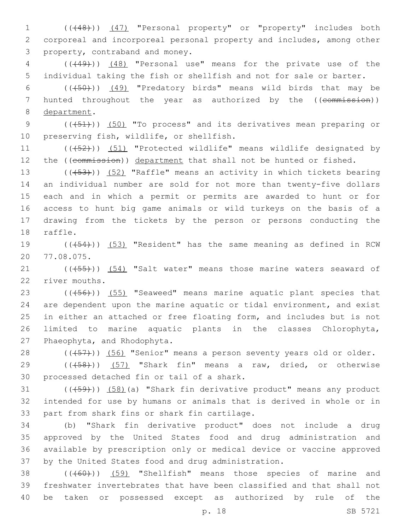1 (((48))) (47) "Personal property" or "property" includes both 2 corporeal and incorporeal personal property and includes, among other 3 property, contraband and money.

4 (((49))) (48) "Personal use" means for the private use of the 5 individual taking the fish or shellfish and not for sale or barter.

6 (((50))) (49) "Predatory birds" means wild birds that may be 7 hunted throughout the year as authorized by the ((commission)) 8 department.

9 (( $(451)$ )) (50) "To process" and its derivatives mean preparing or 10 preserving fish, wildlife, or shellfish.

11 (( $(452)$ )) (51) "Protected wildlife" means wildlife designated by 12 the ((commission)) department that shall not be hunted or fished.

13 (((53))) (52) "Raffle" means an activity in which tickets bearing an individual number are sold for not more than twenty-five dollars each and in which a permit or permits are awarded to hunt or for access to hunt big game animals or wild turkeys on the basis of a drawing from the tickets by the person or persons conducting the 18 raffle.

19 (((454))) (53) "Resident" has the same meaning as defined in RCW 77.08.075.20

21 (((455))) (54) "Salt water" means those marine waters seaward of 22 river mouths.

23 (((456)) (55) "Seaweed" means marine aquatic plant species that 24 are dependent upon the marine aquatic or tidal environment, and exist 25 in either an attached or free floating form, and includes but is not 26 limited to marine aquatic plants in the classes Chlorophyta, 27 Phaeophyta, and Rhodophyta.

28 (((457))) (56) "Senior" means a person seventy years old or older.

29 (( $(458)$ )) (57) "Shark fin" means a raw, dried, or otherwise 30 processed detached fin or tail of a shark.

 $(1.59)$  (( $(1.59)$ )) (58)(a) "Shark fin derivative product" means any product 32 intended for use by humans or animals that is derived in whole or in 33 part from shark fins or shark fin cartilage.

 (b) "Shark fin derivative product" does not include a drug approved by the United States food and drug administration and available by prescription only or medical device or vaccine approved by the United States food and drug administration.

38 (((60))) (59) "Shellfish" means those species of marine and 39 freshwater invertebrates that have been classified and that shall not 40 be taken or possessed except as authorized by rule of the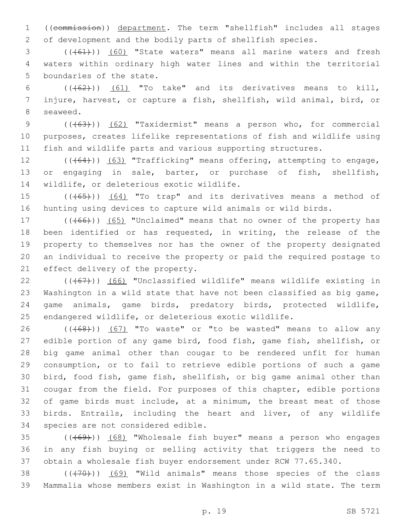((commission)) department. The term "shellfish" includes all stages of development and the bodily parts of shellfish species.

3 (((61))) (60) "State waters" means all marine waters and fresh waters within ordinary high water lines and within the territorial 5 boundaries of the state.

6  $((+62))$   $(61)$  "To take" and its derivatives means to kill, injure, harvest, or capture a fish, shellfish, wild animal, bird, or 8 seaweed.

9 (( $(63)$ )) (62) "Taxidermist" means a person who, for commercial purposes, creates lifelike representations of fish and wildlife using fish and wildlife parts and various supporting structures.

12 (((64))) (63) "Trafficking" means offering, attempting to engage, or engaging in sale, barter, or purchase of fish, shellfish, 14 wildlife, or deleterious exotic wildlife.

15 (((65))) (64) "To trap" and its derivatives means a method of hunting using devices to capture wild animals or wild birds.

17 (((66))) (65) "Unclaimed" means that no owner of the property has been identified or has requested, in writing, the release of the property to themselves nor has the owner of the property designated an individual to receive the property or paid the required postage to 21 effect delivery of the property.

 (( $(467)$ )) (66) "Unclassified wildlife" means wildlife existing in Washington in a wild state that have not been classified as big game, game animals, game birds, predatory birds, protected wildlife, endangered wildlife, or deleterious exotic wildlife.

26 (((68))) (67) "To waste" or "to be wasted" means to allow any edible portion of any game bird, food fish, game fish, shellfish, or big game animal other than cougar to be rendered unfit for human consumption, or to fail to retrieve edible portions of such a game bird, food fish, game fish, shellfish, or big game animal other than cougar from the field. For purposes of this chapter, edible portions of game birds must include, at a minimum, the breast meat of those birds. Entrails, including the heart and liver, of any wildlife 34 species are not considered edible.

35 (((69))) (68) "Wholesale fish buyer" means a person who engages in any fish buying or selling activity that triggers the need to obtain a wholesale fish buyer endorsement under RCW 77.65.340.

38 (((70))) (69) "Wild animals" means those species of the class Mammalia whose members exist in Washington in a wild state. The term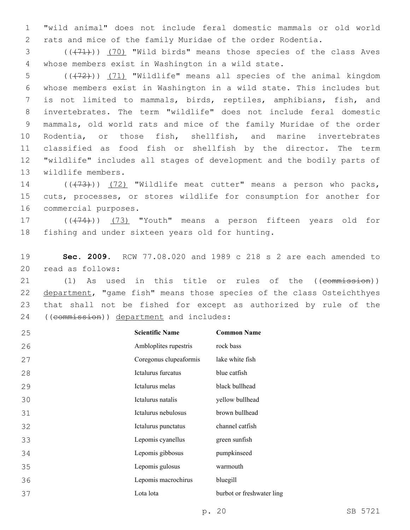"wild animal" does not include feral domestic mammals or old world rats and mice of the family Muridae of the order Rodentia.

3 (( $(71)$ )) (70) "Wild birds" means those species of the class Aves whose members exist in Washington in a wild state.4

 $((+72))$   $(71)$  "Wildlife" means all species of the animal kingdom whose members exist in Washington in a wild state. This includes but is not limited to mammals, birds, reptiles, amphibians, fish, and invertebrates. The term "wildlife" does not include feral domestic mammals, old world rats and mice of the family Muridae of the order Rodentia, or those fish, shellfish, and marine invertebrates classified as food fish or shellfish by the director. The term "wildlife" includes all stages of development and the bodily parts of 13 wildlife members.

14 (((73))) (72) "Wildlife meat cutter" means a person who packs, cuts, processes, or stores wildlife for consumption for another for 16 commercial purposes.

17 (((74))) (73) "Youth" means a person fifteen years old for 18 fishing and under sixteen years old for hunting.

 **Sec. 2009.** RCW 77.08.020 and 1989 c 218 s 2 are each amended to 20 read as follows:

21 (1) As used in this title or rules of the ((commission)) 22 department, "game fish" means those species of the class Osteichthyes that shall not be fished for except as authorized by rule of the 24 ((commission)) department and includes:

| 25 | <b>Scientific Name</b> | <b>Common Name</b>        |
|----|------------------------|---------------------------|
| 26 | Ambloplites rupestris  | rock bass                 |
| 27 | Coregonus clupeaformis | lake white fish           |
| 28 | Ictalurus furcatus     | blue catfish              |
| 29 | Ictalurus melas        | black bullhead            |
| 30 | Ictalurus natalis      | yellow bullhead           |
| 31 | Ictalurus nebulosus    | brown bullhead            |
| 32 | Ictalurus punctatus    | channel catfish           |
| 33 | Lepomis cyanellus      | green sunfish             |
| 34 | Lepomis gibbosus       | pumpkinseed               |
| 35 | Lepomis gulosus        | warmouth                  |
| 36 | Lepomis macrochirus    | bluegill                  |
| 37 | Lota lota              | burbot or freshwater ling |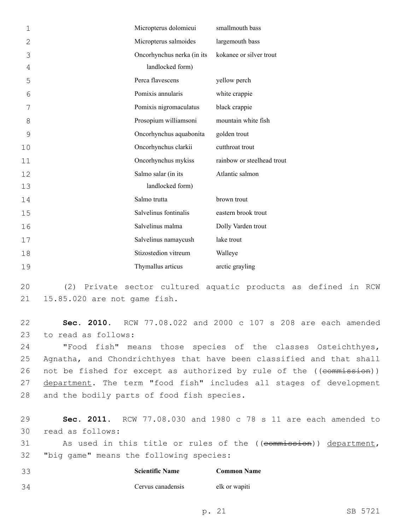| 1             | Micropterus dolomieui      | smallmouth bass            |
|---------------|----------------------------|----------------------------|
| 2             | Micropterus salmoides      | largemouth bass            |
| 3             | Oncorhynchus nerka (in its | kokanee or silver trout    |
| 4             | landlocked form)           |                            |
| 5             | Perca flavescens           | yellow perch               |
| 6             | Pomixis annularis          | white crappie              |
| 7             | Pomixis nigromaculatus     | black crappie              |
| 8             | Prosopium williamsoni      | mountain white fish        |
| $\mathcal{G}$ | Oncorhynchus aquabonita    | golden trout               |
| 10            | Oncorhynchus clarkii       | cutthroat trout            |
| 11            | Oncorhynchus mykiss        | rainbow or steelhead trout |
| 12            | Salmo salar (in its        | Atlantic salmon            |
| 13            | landlocked form)           |                            |
| 14            | Salmo trutta               | brown trout                |
| 15            | Salvelinus fontinalis      | eastern brook trout        |
| 16            | Salvelinus malma           | Dolly Varden trout         |
| 17            | Salvelinus namaycush       | lake trout                 |
| 18            | Stizostedion vitreum       | Walleye                    |
| 19            | Thymallus articus          | arctic grayling            |

 (2) Private sector cultured aquatic products as defined in RCW 21 15.85.020 are not game fish.

 **Sec. 2010.** RCW 77.08.022 and 2000 c 107 s 208 are each amended 23 to read as follows:

 "Food fish" means those species of the classes Osteichthyes, Agnatha, and Chondrichthyes that have been classified and that shall 26 not be fished for except as authorized by rule of the ((commission)) 27 department. The term "food fish" includes all stages of development 28 and the bodily parts of food fish species.

 **Sec. 2011.** RCW 77.08.030 and 1980 c 78 s 11 are each amended to 30 read as follows: 31 As used in this title or rules of the ((commission)) department, 32 "big game" means the following species:

| -33 | <b>Scientific Name</b> | <b>Common Name</b> |
|-----|------------------------|--------------------|
| 34  | Cervus canadensis      | elk or wapiti      |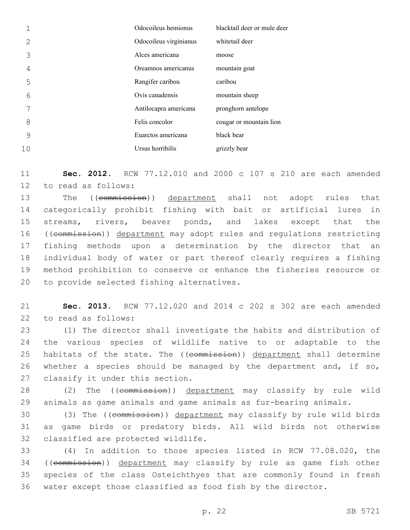|    | Odocoileus hemionus    | blacktail deer or mule deer |
|----|------------------------|-----------------------------|
| 2  | Odocoileus virginianus | whitetail deer              |
| 3  | Alces americana        | moose                       |
| 4  | Oreamnos americanus    | mountain goat               |
| 5  | Rangifer caribou       | caribou                     |
| 6  | Ovis canadensis        | mountain sheep              |
|    | Antilocapra americana  | pronghorn antelope          |
| 8  | Felis concolor         | cougar or mountain lion     |
| 9  | Euarctos americana     | black bear                  |
| 10 | Ursus horribilis       | grizzly bear                |

 **Sec. 2012.** RCW 77.12.010 and 2000 c 107 s 210 are each amended 12 to read as follows:

13 The ((commission)) department shall not adopt rules that categorically prohibit fishing with bait or artificial lures in streams, rivers, beaver ponds, and lakes except that the 16 ((commission)) department may adopt rules and regulations restricting fishing methods upon a determination by the director that an individual body of water or part thereof clearly requires a fishing method prohibition to conserve or enhance the fisheries resource or 20 to provide selected fishing alternatives.

 **Sec. 2013.** RCW 77.12.020 and 2014 c 202 s 302 are each amended 22 to read as follows:

 (1) The director shall investigate the habits and distribution of the various species of wildlife native to or adaptable to the 25 habitats of the state. The ((commission)) department shall determine 26 whether a species should be managed by the department and, if so, 27 classify it under this section.

28 (2) The ((commission)) department may classify by rule wild animals as game animals and game animals as fur-bearing animals.

30 (3) The ((commission)) department may classify by rule wild birds as game birds or predatory birds. All wild birds not otherwise 32 classified are protected wildlife.

 (4) In addition to those species listed in RCW 77.08.020, the 34 ((commission)) department may classify by rule as game fish other species of the class Osteichthyes that are commonly found in fresh water except those classified as food fish by the director.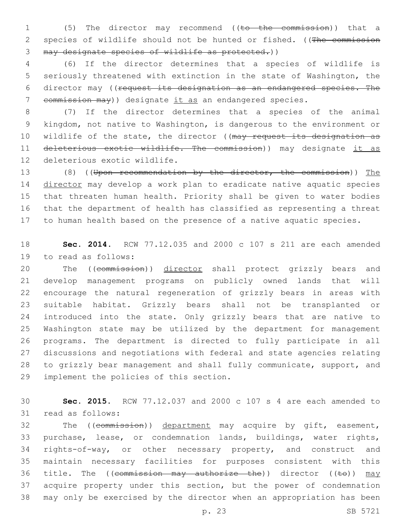(5) The director may recommend ((to the commission)) that a 2 species of wildlife should not be hunted or fished. ((The commission may designate species of wildlife as protected.))

 (6) If the director determines that a species of wildlife is seriously threatened with extinction in the state of Washington, the director may ((request its designation as an endangered species. The commission may)) designate it as an endangered species.

 (7) If the director determines that a species of the animal kingdom, not native to Washington, is dangerous to the environment or 10 wildlife of the state, the director ((may request its designation as 11 deleterious exotic wildlife. The commission)) may designate it as 12 deleterious exotic wildlife.

 (8) ((Upon recommendation by the director, the commission)) The director may develop a work plan to eradicate native aquatic species that threaten human health. Priority shall be given to water bodies that the department of health has classified as representing a threat to human health based on the presence of a native aquatic species.

 **Sec. 2014.** RCW 77.12.035 and 2000 c 107 s 211 are each amended 19 to read as follows:

20 The ((commission)) director shall protect grizzly bears and develop management programs on publicly owned lands that will encourage the natural regeneration of grizzly bears in areas with suitable habitat. Grizzly bears shall not be transplanted or introduced into the state. Only grizzly bears that are native to Washington state may be utilized by the department for management programs. The department is directed to fully participate in all discussions and negotiations with federal and state agencies relating to grizzly bear management and shall fully communicate, support, and 29 implement the policies of this section.

 **Sec. 2015.** RCW 77.12.037 and 2000 c 107 s 4 are each amended to 31 read as follows:

32 The ((commission)) department may acquire by gift, easement, purchase, lease, or condemnation lands, buildings, water rights, rights-of-way, or other necessary property, and construct and maintain necessary facilities for purposes consistent with this 36 title. The ((commission may authorize the)) director ((to)) may acquire property under this section, but the power of condemnation may only be exercised by the director when an appropriation has been

p. 23 SB 5721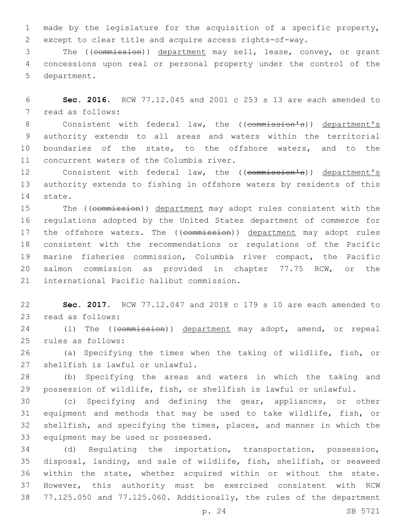made by the legislature for the acquisition of a specific property, except to clear title and acquire access rights-of-way.

 The ((commission)) department may sell, lease, convey, or grant concessions upon real or personal property under the control of the 5 department.

 **Sec. 2016.** RCW 77.12.045 and 2001 c 253 s 13 are each amended to 7 read as follows:

8 Consistent with federal law, the ((commission's)) department's authority extends to all areas and waters within the territorial boundaries of the state, to the offshore waters, and to the 11 concurrent waters of the Columbia river.

12 Consistent with federal law, the ((commission's)) department's authority extends to fishing in offshore waters by residents of this 14 state.

15 The ((commission)) department may adopt rules consistent with the regulations adopted by the United States department of commerce for 17 the offshore waters. The ((commission)) department may adopt rules consistent with the recommendations or regulations of the Pacific marine fisheries commission, Columbia river compact, the Pacific salmon commission as provided in chapter 77.75 RCW, or the 21 international Pacific halibut commission.

 **Sec. 2017.** RCW 77.12.047 and 2018 c 179 s 10 are each amended to 23 read as follows:

24 (1) The ((commission)) department may adopt, amend, or repeal rules as follows:25

 (a) Specifying the times when the taking of wildlife, fish, or 27 shellfish is lawful or unlawful.

 (b) Specifying the areas and waters in which the taking and possession of wildlife, fish, or shellfish is lawful or unlawful.

 (c) Specifying and defining the gear, appliances, or other equipment and methods that may be used to take wildlife, fish, or shellfish, and specifying the times, places, and manner in which the 33 equipment may be used or possessed.

 (d) Regulating the importation, transportation, possession, disposal, landing, and sale of wildlife, fish, shellfish, or seaweed within the state, whether acquired within or without the state. However, this authority must be exercised consistent with RCW 77.125.050 and 77.125.060. Additionally, the rules of the department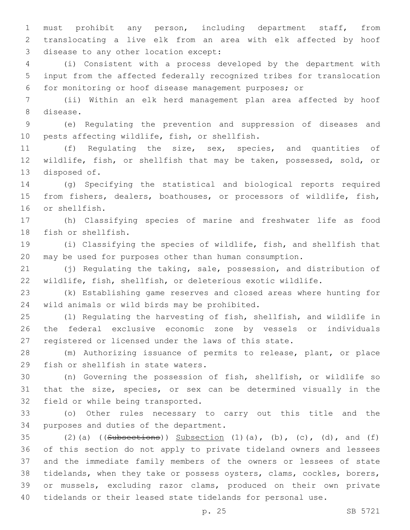must prohibit any person, including department staff, from translocating a live elk from an area with elk affected by hoof 3 disease to any other location except:

 (i) Consistent with a process developed by the department with input from the affected federally recognized tribes for translocation for monitoring or hoof disease management purposes; or

 (ii) Within an elk herd management plan area affected by hoof 8 disease.

 (e) Regulating the prevention and suppression of diseases and 10 pests affecting wildlife, fish, or shellfish.

 (f) Regulating the size, sex, species, and quantities of wildlife, fish, or shellfish that may be taken, possessed, sold, or 13 disposed of.

 (g) Specifying the statistical and biological reports required from fishers, dealers, boathouses, or processors of wildlife, fish, 16 or shellfish.

 (h) Classifying species of marine and freshwater life as food 18 fish or shellfish.

 (i) Classifying the species of wildlife, fish, and shellfish that may be used for purposes other than human consumption.

 (j) Regulating the taking, sale, possession, and distribution of wildlife, fish, shellfish, or deleterious exotic wildlife.

 (k) Establishing game reserves and closed areas where hunting for 24 wild animals or wild birds may be prohibited.

 (l) Regulating the harvesting of fish, shellfish, and wildlife in the federal exclusive economic zone by vessels or individuals registered or licensed under the laws of this state.

 (m) Authorizing issuance of permits to release, plant, or place 29 fish or shellfish in state waters.

 (n) Governing the possession of fish, shellfish, or wildlife so that the size, species, or sex can be determined visually in the 32 field or while being transported.

 (o) Other rules necessary to carry out this title and the 34 purposes and duties of the department.

 $(2)(a)$  ((Subsections)) Subsection  $(1)(a)$ ,  $(b)$ ,  $(c)$ ,  $(d)$ , and  $(f)$  of this section do not apply to private tideland owners and lessees and the immediate family members of the owners or lessees of state tidelands, when they take or possess oysters, clams, cockles, borers, or mussels, excluding razor clams, produced on their own private tidelands or their leased state tidelands for personal use.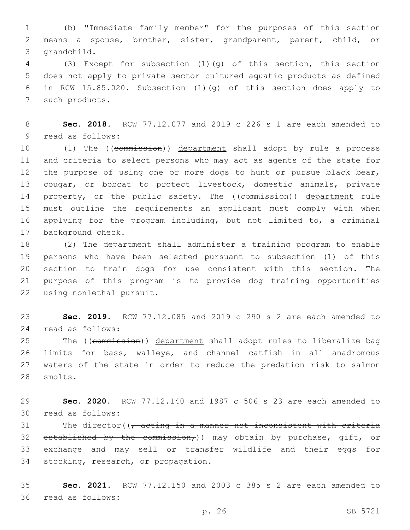1 (b) "Immediate family member" for the purposes of this section 2 means a spouse, brother, sister, grandparent, parent, child, or 3 grandchild.

 (3) Except for subsection (1)(g) of this section, this section does not apply to private sector cultured aquatic products as defined in RCW 15.85.020. Subsection (1)(g) of this section does apply to 7 such products.

8 **Sec. 2018.** RCW 77.12.077 and 2019 c 226 s 1 are each amended to 9 read as follows:

10 (1) The ((commission)) department shall adopt by rule a process 11 and criteria to select persons who may act as agents of the state for 12 the purpose of using one or more dogs to hunt or pursue black bear, 13 cougar, or bobcat to protect livestock, domestic animals, private 14 property, or the public safety. The ((commission)) department rule 15 must outline the requirements an applicant must comply with when 16 applying for the program including, but not limited to, a criminal 17 background check.

 (2) The department shall administer a training program to enable persons who have been selected pursuant to subsection (1) of this section to train dogs for use consistent with this section. The purpose of this program is to provide dog training opportunities 22 using nonlethal pursuit.

23 **Sec. 2019.** RCW 77.12.085 and 2019 c 290 s 2 are each amended to read as follows:24

25 The ((commission)) department shall adopt rules to liberalize bag 26 limits for bass, walleye, and channel catfish in all anadromous 27 waters of the state in order to reduce the predation risk to salmon 28 smolts.

29 **Sec. 2020.** RCW 77.12.140 and 1987 c 506 s 23 are each amended to read as follows:30

31 The director( $\sqrt{7}$  acting in a manner not inconsistent with criteria 32 established by the commission,)) may obtain by purchase, gift, or 33 exchange and may sell or transfer wildlife and their eggs for 34 stocking, research, or propagation.

35 **Sec. 2021.** RCW 77.12.150 and 2003 c 385 s 2 are each amended to 36 read as follows: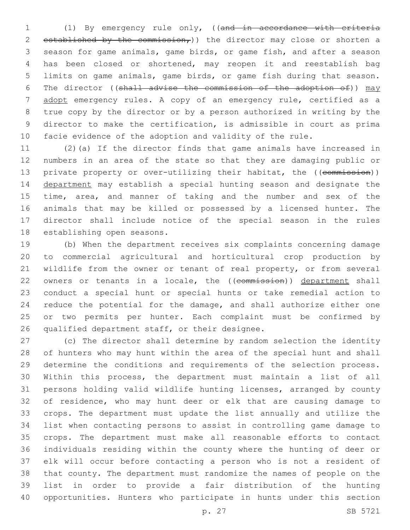(1) By emergency rule only, ((and in accordance with criteria 2 established by the commission,)) the director may close or shorten a season for game animals, game birds, or game fish, and after a season has been closed or shortened, may reopen it and reestablish bag limits on game animals, game birds, or game fish during that season. 6 The director ((shall advise the commission of the adoption of)) may adopt emergency rules. A copy of an emergency rule, certified as a true copy by the director or by a person authorized in writing by the director to make the certification, is admissible in court as prima facie evidence of the adoption and validity of the rule.

 (2)(a) If the director finds that game animals have increased in numbers in an area of the state so that they are damaging public or 13 private property or over-utilizing their habitat, the ((commission)) department may establish a special hunting season and designate the time, area, and manner of taking and the number and sex of the animals that may be killed or possessed by a licensed hunter. The director shall include notice of the special season in the rules 18 establishing open seasons.

 (b) When the department receives six complaints concerning damage to commercial agricultural and horticultural crop production by wildlife from the owner or tenant of real property, or from several 22 owners or tenants in a locale, the ((commission)) department shall conduct a special hunt or special hunts or take remedial action to reduce the potential for the damage, and shall authorize either one or two permits per hunter. Each complaint must be confirmed by 26 qualified department staff, or their designee.

 (c) The director shall determine by random selection the identity of hunters who may hunt within the area of the special hunt and shall determine the conditions and requirements of the selection process. Within this process, the department must maintain a list of all persons holding valid wildlife hunting licenses, arranged by county of residence, who may hunt deer or elk that are causing damage to crops. The department must update the list annually and utilize the list when contacting persons to assist in controlling game damage to crops. The department must make all reasonable efforts to contact individuals residing within the county where the hunting of deer or elk will occur before contacting a person who is not a resident of that county. The department must randomize the names of people on the list in order to provide a fair distribution of the hunting opportunities. Hunters who participate in hunts under this section

p. 27 SB 5721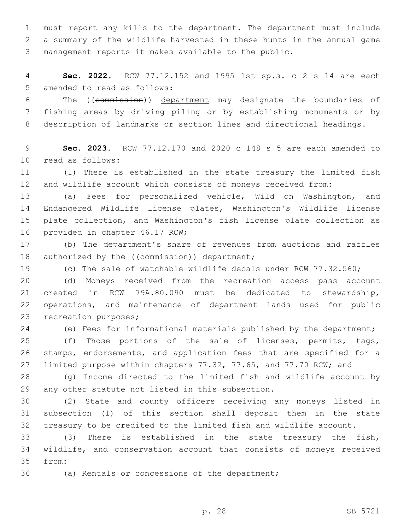must report any kills to the department. The department must include a summary of the wildlife harvested in these hunts in the annual game management reports it makes available to the public.

 **Sec. 2022.** RCW 77.12.152 and 1995 1st sp.s. c 2 s 14 are each 5 amended to read as follows:

 The ((commission)) department may designate the boundaries of fishing areas by driving piling or by establishing monuments or by description of landmarks or section lines and directional headings.

 **Sec. 2023.** RCW 77.12.170 and 2020 c 148 s 5 are each amended to 10 read as follows:

 (1) There is established in the state treasury the limited fish and wildlife account which consists of moneys received from:

 (a) Fees for personalized vehicle, Wild on Washington, and Endangered Wildlife license plates, Washington's Wildlife license plate collection, and Washington's fish license plate collection as 16 provided in chapter 46.17 RCW;

 (b) The department's share of revenues from auctions and raffles 18 authorized by the ((commission)) department;

(c) The sale of watchable wildlife decals under RCW 77.32.560;

 (d) Moneys received from the recreation access pass account created in RCW 79A.80.090 must be dedicated to stewardship, operations, and maintenance of department lands used for public 23 recreation purposes;

(e) Fees for informational materials published by the department;

 (f) Those portions of the sale of licenses, permits, tags, stamps, endorsements, and application fees that are specified for a limited purpose within chapters 77.32, 77.65, and 77.70 RCW; and

 (g) Income directed to the limited fish and wildlife account by 29 any other statute not listed in this subsection.

 (2) State and county officers receiving any moneys listed in subsection (1) of this section shall deposit them in the state treasury to be credited to the limited fish and wildlife account.

 (3) There is established in the state treasury the fish, wildlife, and conservation account that consists of moneys received 35 from:

36 (a) Rentals or concessions of the department;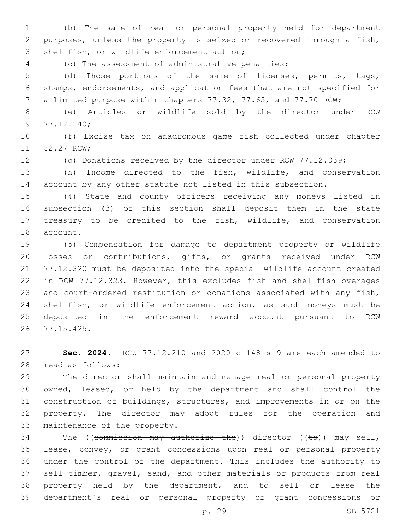(b) The sale of real or personal property held for department purposes, unless the property is seized or recovered through a fish, 3 shellfish, or wildlife enforcement action;

(c) The assessment of administrative penalties;

 (d) Those portions of the sale of licenses, permits, tags, stamps, endorsements, and application fees that are not specified for a limited purpose within chapters 77.32, 77.65, and 77.70 RCW;

 (e) Articles or wildlife sold by the director under RCW 9 77.12.140;

 (f) Excise tax on anadromous game fish collected under chapter 11 82.27 RCW:

(g) Donations received by the director under RCW 77.12.039;

 (h) Income directed to the fish, wildlife, and conservation account by any other statute not listed in this subsection.

 (4) State and county officers receiving any moneys listed in subsection (3) of this section shall deposit them in the state treasury to be credited to the fish, wildlife, and conservation 18 account.

 (5) Compensation for damage to department property or wildlife losses or contributions, gifts, or grants received under RCW 77.12.320 must be deposited into the special wildlife account created in RCW 77.12.323. However, this excludes fish and shellfish overages and court-ordered restitution or donations associated with any fish, shellfish, or wildlife enforcement action, as such moneys must be deposited in the enforcement reward account pursuant to RCW 77.15.425.26

 **Sec. 2024.** RCW 77.12.210 and 2020 c 148 s 9 are each amended to read as follows:28

 The director shall maintain and manage real or personal property owned, leased, or held by the department and shall control the construction of buildings, structures, and improvements in or on the property. The director may adopt rules for the operation and 33 maintenance of the property.

34 The ((commission may authorize the)) director ((to)) may sell, lease, convey, or grant concessions upon real or personal property under the control of the department. This includes the authority to sell timber, gravel, sand, and other materials or products from real property held by the department, and to sell or lease the department's real or personal property or grant concessions or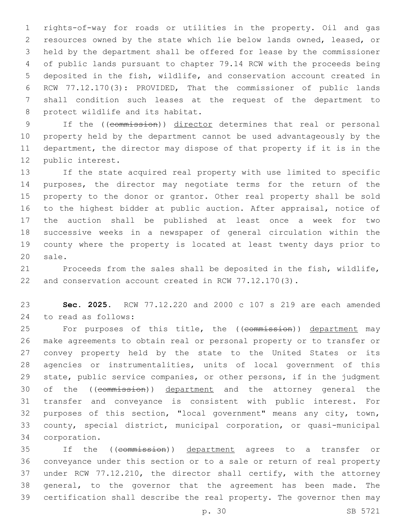rights-of-way for roads or utilities in the property. Oil and gas resources owned by the state which lie below lands owned, leased, or held by the department shall be offered for lease by the commissioner of public lands pursuant to chapter 79.14 RCW with the proceeds being deposited in the fish, wildlife, and conservation account created in RCW 77.12.170(3): PROVIDED, That the commissioner of public lands shall condition such leases at the request of the department to 8 protect wildlife and its habitat.

 If the ((commission)) director determines that real or personal property held by the department cannot be used advantageously by the department, the director may dispose of that property if it is in the 12 public interest.

 If the state acquired real property with use limited to specific purposes, the director may negotiate terms for the return of the property to the donor or grantor. Other real property shall be sold to the highest bidder at public auction. After appraisal, notice of the auction shall be published at least once a week for two successive weeks in a newspaper of general circulation within the county where the property is located at least twenty days prior to 20 sale.

 Proceeds from the sales shall be deposited in the fish, wildlife, and conservation account created in RCW 77.12.170(3).

 **Sec. 2025.** RCW 77.12.220 and 2000 c 107 s 219 are each amended to read as follows:24

25 For purposes of this title, the ((commission)) department may make agreements to obtain real or personal property or to transfer or convey property held by the state to the United States or its agencies or instrumentalities, units of local government of this state, public service companies, or other persons, if in the judgment 30 of the ((commission)) department and the attorney general the transfer and conveyance is consistent with public interest. For purposes of this section, "local government" means any city, town, county, special district, municipal corporation, or quasi-municipal corporation.34

 If the ((commission)) department agrees to a transfer or conveyance under this section or to a sale or return of real property under RCW 77.12.210, the director shall certify, with the attorney general, to the governor that the agreement has been made. The certification shall describe the real property. The governor then may

p. 30 SB 5721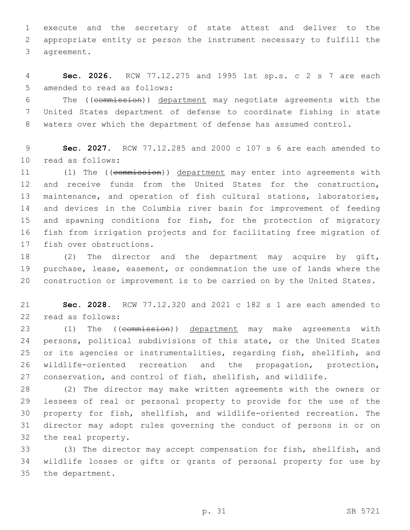execute and the secretary of state attest and deliver to the appropriate entity or person the instrument necessary to fulfill the 3 agreement.

 **Sec. 2026.** RCW 77.12.275 and 1995 1st sp.s. c 2 s 7 are each 5 amended to read as follows:

 The ((commission)) department may negotiate agreements with the United States department of defense to coordinate fishing in state waters over which the department of defense has assumed control.

 **Sec. 2027.** RCW 77.12.285 and 2000 c 107 s 6 are each amended to 10 read as follows:

11 (1) The ((commission)) department may enter into agreements with and receive funds from the United States for the construction, maintenance, and operation of fish cultural stations, laboratories, and devices in the Columbia river basin for improvement of feeding 15 and spawning conditions for fish, for the protection of migratory fish from irrigation projects and for facilitating free migration of 17 fish over obstructions.

18 (2) The director and the department may acquire by gift, purchase, lease, easement, or condemnation the use of lands where the construction or improvement is to be carried on by the United States.

 **Sec. 2028.** RCW 77.12.320 and 2021 c 182 s 1 are each amended to 22 read as follows:

23 (1) The ((commission)) department may make agreements with persons, political subdivisions of this state, or the United States or its agencies or instrumentalities, regarding fish, shellfish, and wildlife-oriented recreation and the propagation, protection, conservation, and control of fish, shellfish, and wildlife.

 (2) The director may make written agreements with the owners or lessees of real or personal property to provide for the use of the property for fish, shellfish, and wildlife-oriented recreation. The director may adopt rules governing the conduct of persons in or on 32 the real property.

 (3) The director may accept compensation for fish, shellfish, and wildlife losses or gifts or grants of personal property for use by 35 the department.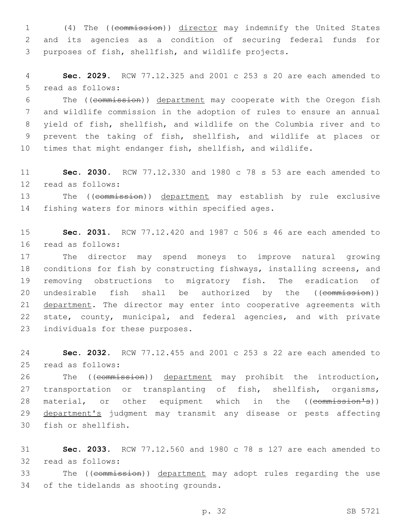1 (4) The ((commission)) director may indemnify the United States 2 and its agencies as a condition of securing federal funds for 3 purposes of fish, shellfish, and wildlife projects.

4 **Sec. 2029.** RCW 77.12.325 and 2001 c 253 s 20 are each amended to 5 read as follows:

 The ((commission)) department may cooperate with the Oregon fish and wildlife commission in the adoption of rules to ensure an annual yield of fish, shellfish, and wildlife on the Columbia river and to prevent the taking of fish, shellfish, and wildlife at places or times that might endanger fish, shellfish, and wildlife.

11 **Sec. 2030.** RCW 77.12.330 and 1980 c 78 s 53 are each amended to 12 read as follows:

13 The ((commission)) department may establish by rule exclusive 14 fishing waters for minors within specified ages.

15 **Sec. 2031.** RCW 77.12.420 and 1987 c 506 s 46 are each amended to read as follows:16

17 The director may spend moneys to improve natural growing 18 conditions for fish by constructing fishways, installing screens, and 19 removing obstructions to migratory fish. The eradication of 20 undesirable fish shall be authorized by the ((commission)) 21 department. The director may enter into cooperative agreements with 22 state, county, municipal, and federal agencies, and with private 23 individuals for these purposes.

24 **Sec. 2032.** RCW 77.12.455 and 2001 c 253 s 22 are each amended to read as follows:25

26 The ((commission)) department may prohibit the introduction, 27 transportation or transplanting of fish, shellfish, organisms, 28 material, or other equipment which in the ((commission's)) 29 department's judgment may transmit any disease or pests affecting 30 fish or shellfish.

31 **Sec. 2033.** RCW 77.12.560 and 1980 c 78 s 127 are each amended to 32 read as follows:

33 The ((commission)) department may adopt rules regarding the use 34 of the tidelands as shooting grounds.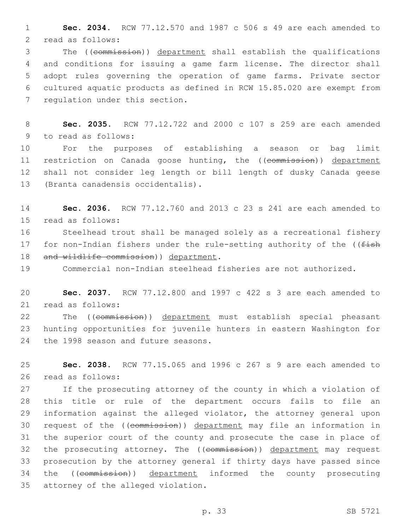1 **Sec. 2034.** RCW 77.12.570 and 1987 c 506 s 49 are each amended to 2 read as follows:

 The ((commission)) department shall establish the qualifications and conditions for issuing a game farm license. The director shall adopt rules governing the operation of game farms. Private sector cultured aquatic products as defined in RCW 15.85.020 are exempt from 7 regulation under this section.

8 **Sec. 2035.** RCW 77.12.722 and 2000 c 107 s 259 are each amended 9 to read as follows:

10 For the purposes of establishing a season or bag limit 11 restriction on Canada goose hunting, the ((commission)) department 12 shall not consider leg length or bill length of dusky Canada geese 13 (Branta canadensis occidentalis).

14 **Sec. 2036.** RCW 77.12.760 and 2013 c 23 s 241 are each amended to 15 read as follows:

16 Steelhead trout shall be managed solely as a recreational fishery 17 for non-Indian fishers under the rule-setting authority of the ((fish 18 and wildlife commission) department.

19 Commercial non-Indian steelhead fisheries are not authorized.

20 **Sec. 2037.** RCW 77.12.800 and 1997 c 422 s 3 are each amended to 21 read as follows:

22 The ((commission)) department must establish special pheasant 23 hunting opportunities for juvenile hunters in eastern Washington for 24 the 1998 season and future seasons.

25 **Sec. 2038.** RCW 77.15.065 and 1996 c 267 s 9 are each amended to 26 read as follows:

 If the prosecuting attorney of the county in which a violation of this title or rule of the department occurs fails to file an information against the alleged violator, the attorney general upon request of the ((commission)) department may file an information in the superior court of the county and prosecute the case in place of 32 the prosecuting attorney. The ((commission)) department may request prosecution by the attorney general if thirty days have passed since 34 the ((commission)) department informed the county prosecuting 35 attorney of the alleged violation.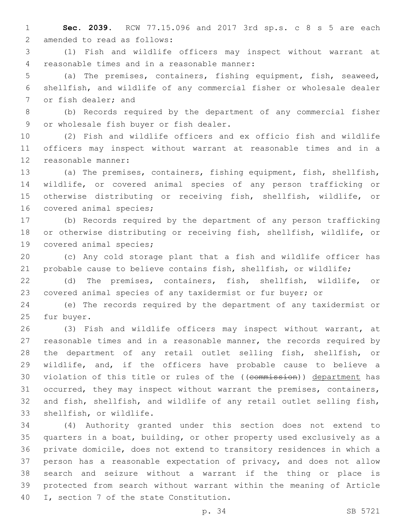**Sec. 2039.** RCW 77.15.096 and 2017 3rd sp.s. c 8 s 5 are each 2 amended to read as follows:

 (1) Fish and wildlife officers may inspect without warrant at 4 reasonable times and in a reasonable manner:

 (a) The premises, containers, fishing equipment, fish, seaweed, shellfish, and wildlife of any commercial fisher or wholesale dealer 7 or fish dealer; and

 (b) Records required by the department of any commercial fisher 9 or wholesale fish buyer or fish dealer.

 (2) Fish and wildlife officers and ex officio fish and wildlife officers may inspect without warrant at reasonable times and in a 12 reasonable manner:

 (a) The premises, containers, fishing equipment, fish, shellfish, wildlife, or covered animal species of any person trafficking or otherwise distributing or receiving fish, shellfish, wildlife, or 16 covered animal species;

 (b) Records required by the department of any person trafficking or otherwise distributing or receiving fish, shellfish, wildlife, or 19 covered animal species;

 (c) Any cold storage plant that a fish and wildlife officer has probable cause to believe contains fish, shellfish, or wildlife;

 (d) The premises, containers, fish, shellfish, wildlife, or covered animal species of any taxidermist or fur buyer; or

 (e) The records required by the department of any taxidermist or 25 fur buyer.

 (3) Fish and wildlife officers may inspect without warrant, at reasonable times and in a reasonable manner, the records required by the department of any retail outlet selling fish, shellfish, or wildlife, and, if the officers have probable cause to believe a 30 violation of this title or rules of the ((commission)) department has occurred, they may inspect without warrant the premises, containers, and fish, shellfish, and wildlife of any retail outlet selling fish, 33 shellfish, or wildlife.

 (4) Authority granted under this section does not extend to quarters in a boat, building, or other property used exclusively as a private domicile, does not extend to transitory residences in which a person has a reasonable expectation of privacy, and does not allow search and seizure without a warrant if the thing or place is protected from search without warrant within the meaning of Article 40 I, section 7 of the state Constitution.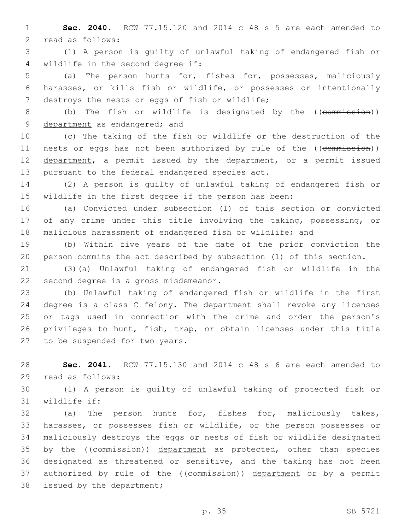1 **Sec. 2040.** RCW 77.15.120 and 2014 c 48 s 5 are each amended to 2 read as follows:

3 (1) A person is guilty of unlawful taking of endangered fish or 4 wildlife in the second degree if:

5 (a) The person hunts for, fishes for, possesses, maliciously 6 harasses, or kills fish or wildlife, or possesses or intentionally 7 destroys the nests or eggs of fish or wildlife;

8 (b) The fish or wildlife is designated by the ((commission)) 9 department as endangered; and

10 (c) The taking of the fish or wildlife or the destruction of the 11 nests or eggs has not been authorized by rule of the ((commission)) 12 department, a permit issued by the department, or a permit issued 13 pursuant to the federal endangered species act.

14 (2) A person is guilty of unlawful taking of endangered fish or 15 wildlife in the first degree if the person has been:

16 (a) Convicted under subsection (1) of this section or convicted 17 of any crime under this title involving the taking, possessing, or 18 malicious harassment of endangered fish or wildlife; and

19 (b) Within five years of the date of the prior conviction the 20 person commits the act described by subsection (1) of this section.

21 (3)(a) Unlawful taking of endangered fish or wildlife in the 22 second degree is a gross misdemeanor.

 (b) Unlawful taking of endangered fish or wildlife in the first degree is a class C felony. The department shall revoke any licenses or tags used in connection with the crime and order the person's privileges to hunt, fish, trap, or obtain licenses under this title 27 to be suspended for two years.

28 **Sec. 2041.** RCW 77.15.130 and 2014 c 48 s 6 are each amended to 29 read as follows:

30 (1) A person is guilty of unlawful taking of protected fish or 31 wildlife if:

32 (a) The person hunts for, fishes for, maliciously takes, 33 harasses, or possesses fish or wildlife, or the person possesses or 34 maliciously destroys the eggs or nests of fish or wildlife designated 35 by the ((commission)) department as protected, other than species 36 designated as threatened or sensitive, and the taking has not been 37 authorized by rule of the ((commission)) department or by a permit 38 issued by the department;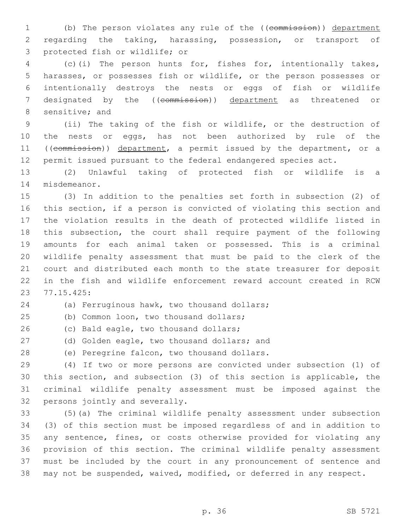1 (b) The person violates any rule of the ((commission)) department regarding the taking, harassing, possession, or transport of 3 protected fish or wildlife; or

 (c)(i) The person hunts for, fishes for, intentionally takes, harasses, or possesses fish or wildlife, or the person possesses or intentionally destroys the nests or eggs of fish or wildlife 7 designated by the ((commission)) department as threatened or 8 sensitive; and

 (ii) The taking of the fish or wildlife, or the destruction of the nests or eggs, has not been authorized by rule of the 11 ((commission)) department, a permit issued by the department, or a permit issued pursuant to the federal endangered species act.

 (2) Unlawful taking of protected fish or wildlife is a 14 misdemeanor.

 (3) In addition to the penalties set forth in subsection (2) of this section, if a person is convicted of violating this section and the violation results in the death of protected wildlife listed in this subsection, the court shall require payment of the following amounts for each animal taken or possessed. This is a criminal wildlife penalty assessment that must be paid to the clerk of the court and distributed each month to the state treasurer for deposit in the fish and wildlife enforcement reward account created in RCW 77.15.425:23

24 (a) Ferruginous hawk, two thousand dollars;

(b) Common loon, two thousand dollars;25

26 (c) Bald eagle, two thousand dollars;

27 (d) Golden eagle, two thousand dollars; and

28 (e) Peregrine falcon, two thousand dollars.

 (4) If two or more persons are convicted under subsection (1) of this section, and subsection (3) of this section is applicable, the criminal wildlife penalty assessment must be imposed against the 32 persons jointly and severally.

 (5)(a) The criminal wildlife penalty assessment under subsection (3) of this section must be imposed regardless of and in addition to any sentence, fines, or costs otherwise provided for violating any provision of this section. The criminal wildlife penalty assessment must be included by the court in any pronouncement of sentence and may not be suspended, waived, modified, or deferred in any respect.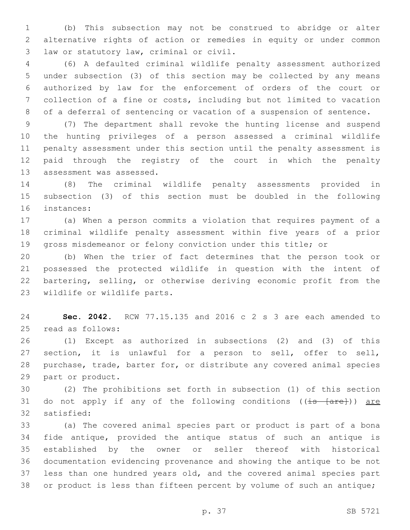(b) This subsection may not be construed to abridge or alter alternative rights of action or remedies in equity or under common 3 law or statutory law, criminal or civil.

 (6) A defaulted criminal wildlife penalty assessment authorized under subsection (3) of this section may be collected by any means authorized by law for the enforcement of orders of the court or collection of a fine or costs, including but not limited to vacation of a deferral of sentencing or vacation of a suspension of sentence.

 (7) The department shall revoke the hunting license and suspend the hunting privileges of a person assessed a criminal wildlife penalty assessment under this section until the penalty assessment is paid through the registry of the court in which the penalty 13 assessment was assessed.

 (8) The criminal wildlife penalty assessments provided in subsection (3) of this section must be doubled in the following 16 instances:

 (a) When a person commits a violation that requires payment of a criminal wildlife penalty assessment within five years of a prior gross misdemeanor or felony conviction under this title; or

 (b) When the trier of fact determines that the person took or possessed the protected wildlife in question with the intent of bartering, selling, or otherwise deriving economic profit from the 23 wildlife or wildlife parts.

 **Sec. 2042.** RCW 77.15.135 and 2016 c 2 s 3 are each amended to 25 read as follows:

 (1) Except as authorized in subsections (2) and (3) of this section, it is unlawful for a person to sell, offer to sell, purchase, trade, barter for, or distribute any covered animal species 29 part or product.

 (2) The prohibitions set forth in subsection (1) of this section 31 do not apply if any of the following conditions ((is [are])) are 32 satisfied:

 (a) The covered animal species part or product is part of a bona fide antique, provided the antique status of such an antique is established by the owner or seller thereof with historical documentation evidencing provenance and showing the antique to be not less than one hundred years old, and the covered animal species part or product is less than fifteen percent by volume of such an antique;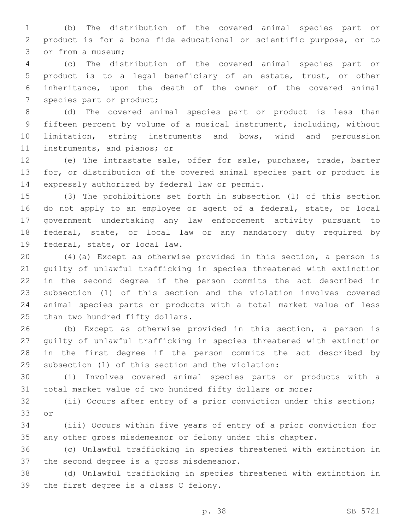(b) The distribution of the covered animal species part or product is for a bona fide educational or scientific purpose, or to 3 or from a museum;

 (c) The distribution of the covered animal species part or product is to a legal beneficiary of an estate, trust, or other inheritance, upon the death of the owner of the covered animal 7 species part or product;

 (d) The covered animal species part or product is less than fifteen percent by volume of a musical instrument, including, without limitation, string instruments and bows, wind and percussion 11 instruments, and pianos; or

 (e) The intrastate sale, offer for sale, purchase, trade, barter for, or distribution of the covered animal species part or product is 14 expressly authorized by federal law or permit.

 (3) The prohibitions set forth in subsection (1) of this section 16 do not apply to an employee or agent of a federal, state, or local government undertaking any law enforcement activity pursuant to federal, state, or local law or any mandatory duty required by 19 federal, state, or local law.

 (4)(a) Except as otherwise provided in this section, a person is guilty of unlawful trafficking in species threatened with extinction in the second degree if the person commits the act described in subsection (1) of this section and the violation involves covered animal species parts or products with a total market value of less 25 than two hundred fifty dollars.

 (b) Except as otherwise provided in this section, a person is guilty of unlawful trafficking in species threatened with extinction in the first degree if the person commits the act described by 29 subsection (1) of this section and the violation:

 (i) Involves covered animal species parts or products with a total market value of two hundred fifty dollars or more;

 (ii) Occurs after entry of a prior conviction under this section; 33 or

 (iii) Occurs within five years of entry of a prior conviction for any other gross misdemeanor or felony under this chapter.

 (c) Unlawful trafficking in species threatened with extinction in 37 the second degree is a gross misdemeanor.

 (d) Unlawful trafficking in species threatened with extinction in 39 the first degree is a class C felony.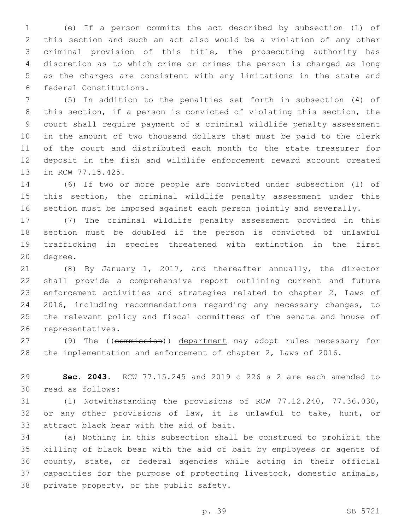(e) If a person commits the act described by subsection (1) of this section and such an act also would be a violation of any other criminal provision of this title, the prosecuting authority has discretion as to which crime or crimes the person is charged as long as the charges are consistent with any limitations in the state and 6 federal Constitutions.

 (5) In addition to the penalties set forth in subsection (4) of this section, if a person is convicted of violating this section, the court shall require payment of a criminal wildlife penalty assessment in the amount of two thousand dollars that must be paid to the clerk of the court and distributed each month to the state treasurer for deposit in the fish and wildlife enforcement reward account created 13 in RCW 77.15.425.

 (6) If two or more people are convicted under subsection (1) of this section, the criminal wildlife penalty assessment under this section must be imposed against each person jointly and severally.

 (7) The criminal wildlife penalty assessment provided in this section must be doubled if the person is convicted of unlawful trafficking in species threatened with extinction in the first 20 degree.

 (8) By January 1, 2017, and thereafter annually, the director shall provide a comprehensive report outlining current and future enforcement activities and strategies related to chapter 2, Laws of 2016, including recommendations regarding any necessary changes, to the relevant policy and fiscal committees of the senate and house of 26 representatives.

27 (9) The ((commission)) department may adopt rules necessary for the implementation and enforcement of chapter 2, Laws of 2016.

 **Sec. 2043.** RCW 77.15.245 and 2019 c 226 s 2 are each amended to 30 read as follows:

 (1) Notwithstanding the provisions of RCW 77.12.240, 77.36.030, or any other provisions of law, it is unlawful to take, hunt, or 33 attract black bear with the aid of bait.

 (a) Nothing in this subsection shall be construed to prohibit the killing of black bear with the aid of bait by employees or agents of county, state, or federal agencies while acting in their official capacities for the purpose of protecting livestock, domestic animals, 38 private property, or the public safety.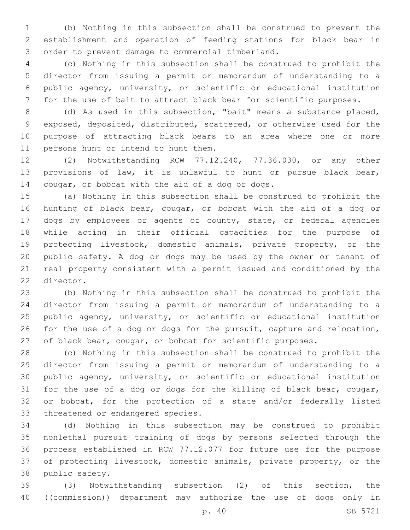(b) Nothing in this subsection shall be construed to prevent the establishment and operation of feeding stations for black bear in 3 order to prevent damage to commercial timberland.

 (c) Nothing in this subsection shall be construed to prohibit the director from issuing a permit or memorandum of understanding to a public agency, university, or scientific or educational institution for the use of bait to attract black bear for scientific purposes.

 (d) As used in this subsection, "bait" means a substance placed, exposed, deposited, distributed, scattered, or otherwise used for the purpose of attracting black bears to an area where one or more 11 persons hunt or intend to hunt them.

 (2) Notwithstanding RCW 77.12.240, 77.36.030, or any other provisions of law, it is unlawful to hunt or pursue black bear, 14 cougar, or bobcat with the aid of a dog or dogs.

 (a) Nothing in this subsection shall be construed to prohibit the hunting of black bear, cougar, or bobcat with the aid of a dog or dogs by employees or agents of county, state, or federal agencies while acting in their official capacities for the purpose of protecting livestock, domestic animals, private property, or the public safety. A dog or dogs may be used by the owner or tenant of real property consistent with a permit issued and conditioned by the 22 director.

 (b) Nothing in this subsection shall be construed to prohibit the director from issuing a permit or memorandum of understanding to a public agency, university, or scientific or educational institution for the use of a dog or dogs for the pursuit, capture and relocation, of black bear, cougar, or bobcat for scientific purposes.

 (c) Nothing in this subsection shall be construed to prohibit the director from issuing a permit or memorandum of understanding to a public agency, university, or scientific or educational institution for the use of a dog or dogs for the killing of black bear, cougar, or bobcat, for the protection of a state and/or federally listed 33 threatened or endangered species.

 (d) Nothing in this subsection may be construed to prohibit nonlethal pursuit training of dogs by persons selected through the process established in RCW 77.12.077 for future use for the purpose of protecting livestock, domestic animals, private property, or the 38 public safety.

 (3) Notwithstanding subsection (2) of this section, the 40 ((commission)) department may authorize the use of dogs only in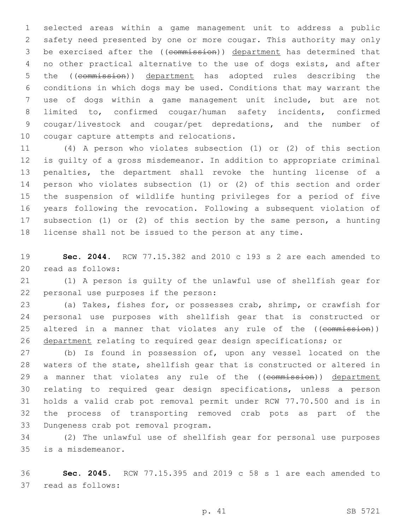selected areas within a game management unit to address a public safety need presented by one or more cougar. This authority may only be exercised after the ((commission)) department has determined that no other practical alternative to the use of dogs exists, and after 5 the ((commission)) department has adopted rules describing the conditions in which dogs may be used. Conditions that may warrant the use of dogs within a game management unit include, but are not limited to, confirmed cougar/human safety incidents, confirmed cougar/livestock and cougar/pet depredations, and the number of 10 cougar capture attempts and relocations.

 (4) A person who violates subsection (1) or (2) of this section is guilty of a gross misdemeanor. In addition to appropriate criminal penalties, the department shall revoke the hunting license of a person who violates subsection (1) or (2) of this section and order the suspension of wildlife hunting privileges for a period of five years following the revocation. Following a subsequent violation of subsection (1) or (2) of this section by the same person, a hunting license shall not be issued to the person at any time.

 **Sec. 2044.** RCW 77.15.382 and 2010 c 193 s 2 are each amended to 20 read as follows:

 (1) A person is guilty of the unlawful use of shellfish gear for 22 personal use purposes if the person:

 (a) Takes, fishes for, or possesses crab, shrimp, or crawfish for personal use purposes with shellfish gear that is constructed or 25 altered in a manner that violates any rule of the ((commission)) department relating to required gear design specifications; or

 (b) Is found in possession of, upon any vessel located on the waters of the state, shellfish gear that is constructed or altered in 29 a manner that violates any rule of the ((commission)) department relating to required gear design specifications, unless a person holds a valid crab pot removal permit under RCW 77.70.500 and is in the process of transporting removed crab pots as part of the 33 Dungeness crab pot removal program.

 (2) The unlawful use of shellfish gear for personal use purposes 35 is a misdemeanor.

 **Sec. 2045.** RCW 77.15.395 and 2019 c 58 s 1 are each amended to 37 read as follows: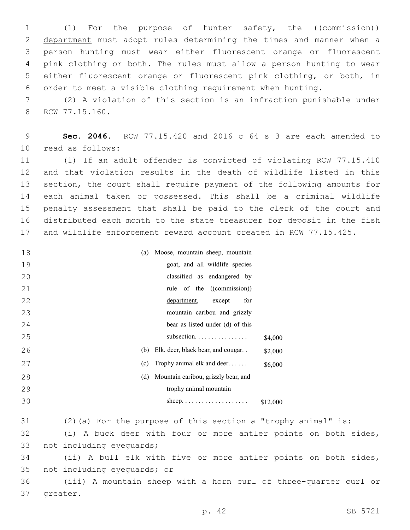1 (1) For the purpose of hunter safety, the ((commission)) 2 department must adopt rules determining the times and manner when a person hunting must wear either fluorescent orange or fluorescent pink clothing or both. The rules must allow a person hunting to wear either fluorescent orange or fluorescent pink clothing, or both, in order to meet a visible clothing requirement when hunting.

 (2) A violation of this section is an infraction punishable under 8 RCW 77.15.160.

 **Sec. 2046.** RCW 77.15.420 and 2016 c 64 s 3 are each amended to read as follows:10

 (1) If an adult offender is convicted of violating RCW 77.15.410 and that violation results in the death of wildlife listed in this section, the court shall require payment of the following amounts for each animal taken or possessed. This shall be a criminal wildlife penalty assessment that shall be paid to the clerk of the court and distributed each month to the state treasurer for deposit in the fish and wildlife enforcement reward account created in RCW 77.15.425.

| 18 | Moose, mountain sheep, mountain<br>(a)             |          |
|----|----------------------------------------------------|----------|
| 19 | goat, and all wildlife species                     |          |
| 20 | classified as endangered by                        |          |
| 21 | rule of the ((commission))                         |          |
| 22 | department,<br>except<br>for                       |          |
| 23 | mountain caribou and grizzly                       |          |
| 24 | bear as listed under (d) of this                   |          |
| 25 | subsection                                         | \$4,000  |
| 26 | (b) Elk, deer, black bear, and cougar              | \$2,000  |
| 27 | Trophy animal elk and deer<br>(c)                  | \$6,000  |
| 28 | Mountain caribou, grizzly bear, and<br>(d)         |          |
| 29 | trophy animal mountain                             |          |
| 30 |                                                    | \$12,000 |
| 31 | $(2)$ (a) For the purpose of this section a "troph |          |

 (2)(a) For the purpose of this section a "trophy animal" is: (i) A buck deer with four or more antler points on both sides, 33 not including eyeguards;

 (ii) A bull elk with five or more antler points on both sides, 35 not including eyequards; or

 (iii) A mountain sheep with a horn curl of three-quarter curl or 37 greater.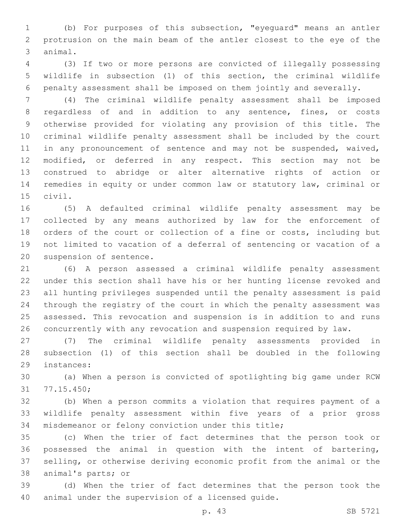(b) For purposes of this subsection, "eyeguard" means an antler protrusion on the main beam of the antler closest to the eye of the 3 animal.

 (3) If two or more persons are convicted of illegally possessing wildlife in subsection (1) of this section, the criminal wildlife penalty assessment shall be imposed on them jointly and severally.

 (4) The criminal wildlife penalty assessment shall be imposed regardless of and in addition to any sentence, fines, or costs otherwise provided for violating any provision of this title. The criminal wildlife penalty assessment shall be included by the court 11 in any pronouncement of sentence and may not be suspended, waived, modified, or deferred in any respect. This section may not be construed to abridge or alter alternative rights of action or remedies in equity or under common law or statutory law, criminal or 15 civil.

 (5) A defaulted criminal wildlife penalty assessment may be collected by any means authorized by law for the enforcement of orders of the court or collection of a fine or costs, including but not limited to vacation of a deferral of sentencing or vacation of a 20 suspension of sentence.

 (6) A person assessed a criminal wildlife penalty assessment under this section shall have his or her hunting license revoked and all hunting privileges suspended until the penalty assessment is paid through the registry of the court in which the penalty assessment was assessed. This revocation and suspension is in addition to and runs concurrently with any revocation and suspension required by law.

 (7) The criminal wildlife penalty assessments provided in subsection (1) of this section shall be doubled in the following 29 instances:

 (a) When a person is convicted of spotlighting big game under RCW 31 77.15.450;

 (b) When a person commits a violation that requires payment of a wildlife penalty assessment within five years of a prior gross misdemeanor or felony conviction under this title;

 (c) When the trier of fact determines that the person took or possessed the animal in question with the intent of bartering, selling, or otherwise deriving economic profit from the animal or the 38 animal's parts; or

 (d) When the trier of fact determines that the person took the 40 animal under the supervision of a licensed quide.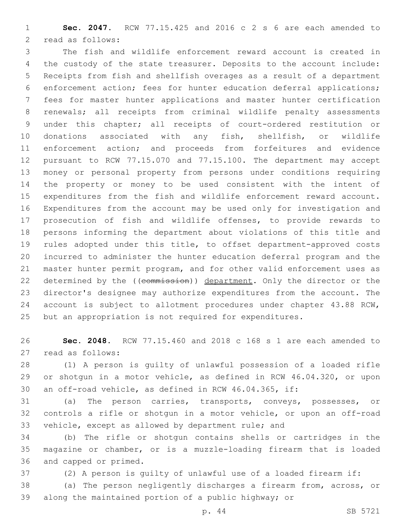**Sec. 2047.** RCW 77.15.425 and 2016 c 2 s 6 are each amended to 2 read as follows:

 The fish and wildlife enforcement reward account is created in the custody of the state treasurer. Deposits to the account include: Receipts from fish and shellfish overages as a result of a department enforcement action; fees for hunter education deferral applications; fees for master hunter applications and master hunter certification renewals; all receipts from criminal wildlife penalty assessments under this chapter; all receipts of court-ordered restitution or donations associated with any fish, shellfish, or wildlife enforcement action; and proceeds from forfeitures and evidence pursuant to RCW 77.15.070 and 77.15.100. The department may accept money or personal property from persons under conditions requiring the property or money to be used consistent with the intent of expenditures from the fish and wildlife enforcement reward account. Expenditures from the account may be used only for investigation and prosecution of fish and wildlife offenses, to provide rewards to persons informing the department about violations of this title and rules adopted under this title, to offset department-approved costs incurred to administer the hunter education deferral program and the master hunter permit program, and for other valid enforcement uses as 22 determined by the ((commission)) department. Only the director or the director's designee may authorize expenditures from the account. The account is subject to allotment procedures under chapter 43.88 RCW, but an appropriation is not required for expenditures.

 **Sec. 2048.** RCW 77.15.460 and 2018 c 168 s 1 are each amended to 27 read as follows:

 (1) A person is guilty of unlawful possession of a loaded rifle or shotgun in a motor vehicle, as defined in RCW 46.04.320, or upon an off-road vehicle, as defined in RCW 46.04.365, if:

 (a) The person carries, transports, conveys, possesses, or controls a rifle or shotgun in a motor vehicle, or upon an off-road vehicle, except as allowed by department rule; and

 (b) The rifle or shotgun contains shells or cartridges in the magazine or chamber, or is a muzzle-loading firearm that is loaded 36 and capped or primed.

(2) A person is guilty of unlawful use of a loaded firearm if:

 (a) The person negligently discharges a firearm from, across, or along the maintained portion of a public highway; or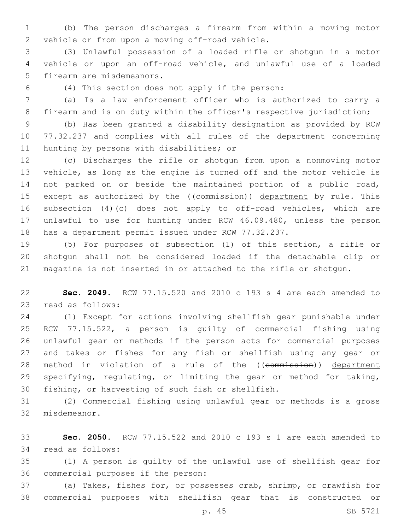(b) The person discharges a firearm from within a moving motor 2 vehicle or from upon a moving off-road vehicle.

 (3) Unlawful possession of a loaded rifle or shotgun in a motor vehicle or upon an off-road vehicle, and unlawful use of a loaded 5 firearm are misdemeanors.

(4) This section does not apply if the person:6

 (a) Is a law enforcement officer who is authorized to carry a firearm and is on duty within the officer's respective jurisdiction;

 (b) Has been granted a disability designation as provided by RCW 77.32.237 and complies with all rules of the department concerning 11 hunting by persons with disabilities; or

 (c) Discharges the rifle or shotgun from upon a nonmoving motor vehicle, as long as the engine is turned off and the motor vehicle is not parked on or beside the maintained portion of a public road, 15 except as authorized by the ((commission)) department by rule. This subsection (4)(c) does not apply to off-road vehicles, which are unlawful to use for hunting under RCW 46.09.480, unless the person has a department permit issued under RCW 77.32.237.

 (5) For purposes of subsection (1) of this section, a rifle or shotgun shall not be considered loaded if the detachable clip or magazine is not inserted in or attached to the rifle or shotgun.

 **Sec. 2049.** RCW 77.15.520 and 2010 c 193 s 4 are each amended to 23 read as follows:

 (1) Except for actions involving shellfish gear punishable under RCW 77.15.522, a person is guilty of commercial fishing using unlawful gear or methods if the person acts for commercial purposes and takes or fishes for any fish or shellfish using any gear or 28 method in violation of a rule of the ((commission)) department specifying, regulating, or limiting the gear or method for taking, 30 fishing, or harvesting of such fish or shellfish.

 (2) Commercial fishing using unlawful gear or methods is a gross 32 misdemeanor.

 **Sec. 2050.** RCW 77.15.522 and 2010 c 193 s 1 are each amended to 34 read as follows:

 (1) A person is guilty of the unlawful use of shellfish gear for 36 commercial purposes if the person:

 (a) Takes, fishes for, or possesses crab, shrimp, or crawfish for commercial purposes with shellfish gear that is constructed or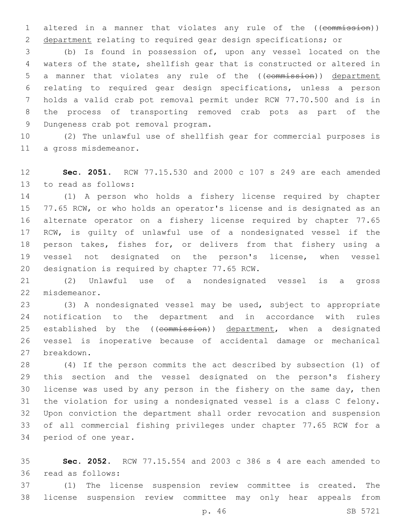1 altered in a manner that violates any rule of the ((commission)) department relating to required gear design specifications; or

 (b) Is found in possession of, upon any vessel located on the waters of the state, shellfish gear that is constructed or altered in 5 a manner that violates any rule of the ((commission)) department relating to required gear design specifications, unless a person holds a valid crab pot removal permit under RCW 77.70.500 and is in the process of transporting removed crab pots as part of the 9 Dungeness crab pot removal program.

 (2) The unlawful use of shellfish gear for commercial purposes is 11 a gross misdemeanor.

 **Sec. 2051.** RCW 77.15.530 and 2000 c 107 s 249 are each amended 13 to read as follows:

 (1) A person who holds a fishery license required by chapter 15 77.65 RCW, or who holds an operator's license and is designated as an alternate operator on a fishery license required by chapter 77.65 RCW, is guilty of unlawful use of a nondesignated vessel if the person takes, fishes for, or delivers from that fishery using a vessel not designated on the person's license, when vessel 20 designation is required by chapter 77.65 RCW.

 (2) Unlawful use of a nondesignated vessel is a gross 22 misdemeanor.

 (3) A nondesignated vessel may be used, subject to appropriate notification to the department and in accordance with rules 25 established by the ((commission)) department, when a designated vessel is inoperative because of accidental damage or mechanical breakdown.27

 (4) If the person commits the act described by subsection (1) of this section and the vessel designated on the person's fishery license was used by any person in the fishery on the same day, then the violation for using a nondesignated vessel is a class C felony. Upon conviction the department shall order revocation and suspension of all commercial fishing privileges under chapter 77.65 RCW for a 34 period of one year.

 **Sec. 2052.** RCW 77.15.554 and 2003 c 386 s 4 are each amended to 36 read as follows:

 (1) The license suspension review committee is created. The license suspension review committee may only hear appeals from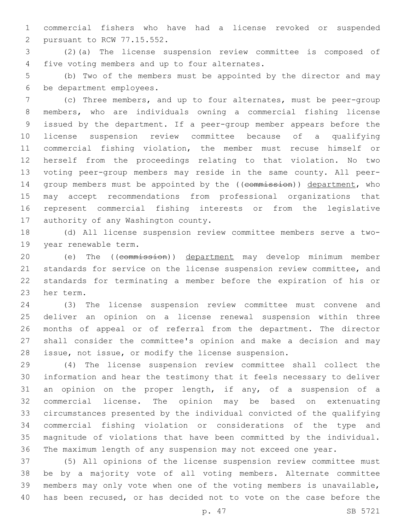commercial fishers who have had a license revoked or suspended 2 pursuant to RCW 77.15.552.

 (2)(a) The license suspension review committee is composed of 4 five voting members and up to four alternates.

 (b) Two of the members must be appointed by the director and may 6 be department employees.

 (c) Three members, and up to four alternates, must be peer-group members, who are individuals owning a commercial fishing license issued by the department. If a peer-group member appears before the license suspension review committee because of a qualifying commercial fishing violation, the member must recuse himself or herself from the proceedings relating to that violation. No two voting peer-group members may reside in the same county. All peer-14 group members must be appointed by the ((commission)) department, who may accept recommendations from professional organizations that represent commercial fishing interests or from the legislative 17 authority of any Washington county.

 (d) All license suspension review committee members serve a two-19 year renewable term.

 (e) The ((commission)) department may develop minimum member standards for service on the license suspension review committee, and standards for terminating a member before the expiration of his or 23 her term.

 (3) The license suspension review committee must convene and deliver an opinion on a license renewal suspension within three months of appeal or of referral from the department. The director shall consider the committee's opinion and make a decision and may issue, not issue, or modify the license suspension.

 (4) The license suspension review committee shall collect the information and hear the testimony that it feels necessary to deliver an opinion on the proper length, if any, of a suspension of a commercial license. The opinion may be based on extenuating circumstances presented by the individual convicted of the qualifying commercial fishing violation or considerations of the type and magnitude of violations that have been committed by the individual. The maximum length of any suspension may not exceed one year.

 (5) All opinions of the license suspension review committee must be by a majority vote of all voting members. Alternate committee members may only vote when one of the voting members is unavailable, has been recused, or has decided not to vote on the case before the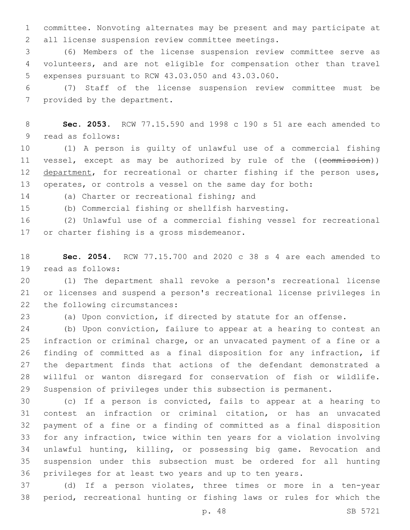committee. Nonvoting alternates may be present and may participate at 2 all license suspension review committee meetings.

 (6) Members of the license suspension review committee serve as volunteers, and are not eligible for compensation other than travel 5 expenses pursuant to RCW 43.03.050 and 43.03.060.

 (7) Staff of the license suspension review committee must be 7 provided by the department.

 **Sec. 2053.** RCW 77.15.590 and 1998 c 190 s 51 are each amended to 9 read as follows:

 (1) A person is guilty of unlawful use of a commercial fishing 11 vessel, except as may be authorized by rule of the ((commission)) 12 department, for recreational or charter fishing if the person uses, operates, or controls a vessel on the same day for both:

14 (a) Charter or recreational fishing; and

(b) Commercial fishing or shellfish harvesting.

 (2) Unlawful use of a commercial fishing vessel for recreational 17 or charter fishing is a gross misdemeanor.

 **Sec. 2054.** RCW 77.15.700 and 2020 c 38 s 4 are each amended to 19 read as follows:

 (1) The department shall revoke a person's recreational license or licenses and suspend a person's recreational license privileges in 22 the following circumstances:

(a) Upon conviction, if directed by statute for an offense.

 (b) Upon conviction, failure to appear at a hearing to contest an infraction or criminal charge, or an unvacated payment of a fine or a finding of committed as a final disposition for any infraction, if the department finds that actions of the defendant demonstrated a willful or wanton disregard for conservation of fish or wildlife. Suspension of privileges under this subsection is permanent.

 (c) If a person is convicted, fails to appear at a hearing to contest an infraction or criminal citation, or has an unvacated payment of a fine or a finding of committed as a final disposition for any infraction, twice within ten years for a violation involving unlawful hunting, killing, or possessing big game. Revocation and suspension under this subsection must be ordered for all hunting privileges for at least two years and up to ten years.

 (d) If a person violates, three times or more in a ten-year period, recreational hunting or fishing laws or rules for which the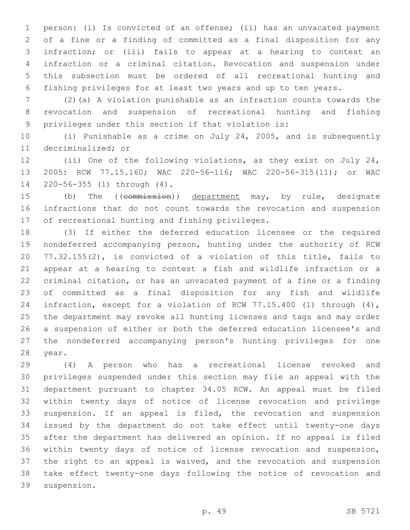person: (i) Is convicted of an offense; (ii) has an unvacated payment of a fine or a finding of committed as a final disposition for any infraction; or (iii) fails to appear at a hearing to contest an infraction or a criminal citation. Revocation and suspension under this subsection must be ordered of all recreational hunting and fishing privileges for at least two years and up to ten years.

 (2)(a) A violation punishable as an infraction counts towards the revocation and suspension of recreational hunting and fishing privileges under this section if that violation is:

 (i) Punishable as a crime on July 24, 2005, and is subsequently 11 decriminalized; or

 (ii) One of the following violations, as they exist on July 24, 2005: RCW 77.15.160; WAC 220-56-116; WAC 220-56-315(11); or WAC 14 220-56-355 (1) through (4).

15 (b) The ((commission)) department may, by rule, designate infractions that do not count towards the revocation and suspension 17 of recreational hunting and fishing privileges.

 (3) If either the deferred education licensee or the required nondeferred accompanying person, hunting under the authority of RCW 77.32.155(2), is convicted of a violation of this title, fails to appear at a hearing to contest a fish and wildlife infraction or a criminal citation, or has an unvacated payment of a fine or a finding of committed as a final disposition for any fish and wildlife infraction, except for a violation of RCW 77.15.400 (1) through (4), the department may revoke all hunting licenses and tags and may order a suspension of either or both the deferred education licensee's and the nondeferred accompanying person's hunting privileges for one 28 year.

 (4) A person who has a recreational license revoked and privileges suspended under this section may file an appeal with the department pursuant to chapter 34.05 RCW. An appeal must be filed within twenty days of notice of license revocation and privilege suspension. If an appeal is filed, the revocation and suspension issued by the department do not take effect until twenty-one days after the department has delivered an opinion. If no appeal is filed within twenty days of notice of license revocation and suspension, the right to an appeal is waived, and the revocation and suspension take effect twenty-one days following the notice of revocation and 39 suspension.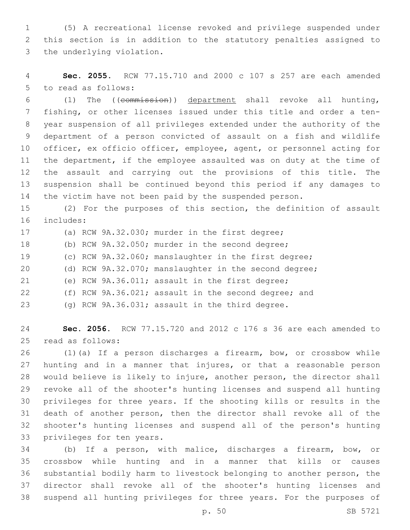(5) A recreational license revoked and privilege suspended under this section is in addition to the statutory penalties assigned to 3 the underlying violation.

 **Sec. 2055.** RCW 77.15.710 and 2000 c 107 s 257 are each amended 5 to read as follows:

 (1) The ((commission)) department shall revoke all hunting, fishing, or other licenses issued under this title and order a ten- year suspension of all privileges extended under the authority of the department of a person convicted of assault on a fish and wildlife officer, ex officio officer, employee, agent, or personnel acting for the department, if the employee assaulted was on duty at the time of the assault and carrying out the provisions of this title. The suspension shall be continued beyond this period if any damages to the victim have not been paid by the suspended person.

 (2) For the purposes of this section, the definition of assault 16 includes:

 (a) RCW 9A.32.030; murder in the first degree; (b) RCW 9A.32.050; murder in the second degree; (c) RCW 9A.32.060; manslaughter in the first degree; (d) RCW 9A.32.070; manslaughter in the second degree; (e) RCW 9A.36.011; assault in the first degree; (f) RCW 9A.36.021; assault in the second degree; and (g) RCW 9A.36.031; assault in the third degree.

 **Sec. 2056.** RCW 77.15.720 and 2012 c 176 s 36 are each amended to read as follows:25

 (1)(a) If a person discharges a firearm, bow, or crossbow while hunting and in a manner that injures, or that a reasonable person would believe is likely to injure, another person, the director shall revoke all of the shooter's hunting licenses and suspend all hunting privileges for three years. If the shooting kills or results in the death of another person, then the director shall revoke all of the shooter's hunting licenses and suspend all of the person's hunting 33 privileges for ten years.

 (b) If a person, with malice, discharges a firearm, bow, or crossbow while hunting and in a manner that kills or causes substantial bodily harm to livestock belonging to another person, the director shall revoke all of the shooter's hunting licenses and suspend all hunting privileges for three years. For the purposes of

p. 50 SB 5721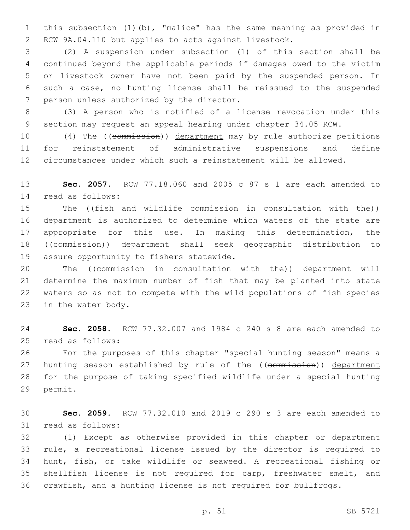this subsection (1)(b), "malice" has the same meaning as provided in RCW 9A.04.110 but applies to acts against livestock.

 (2) A suspension under subsection (1) of this section shall be continued beyond the applicable periods if damages owed to the victim or livestock owner have not been paid by the suspended person. In such a case, no hunting license shall be reissued to the suspended 7 person unless authorized by the director.

 (3) A person who is notified of a license revocation under this section may request an appeal hearing under chapter 34.05 RCW.

10 (4) The ((commission)) department may by rule authorize petitions for reinstatement of administrative suspensions and define circumstances under which such a reinstatement will be allowed.

 **Sec. 2057.** RCW 77.18.060 and 2005 c 87 s 1 are each amended to read as follows:14

15 The ((fish and wildlife commission in consultation with the)) department is authorized to determine which waters of the state are appropriate for this use. In making this determination, the ((commission)) department shall seek geographic distribution to 19 assure opportunity to fishers statewide.

20 The ((commission in consultation with the)) department will determine the maximum number of fish that may be planted into state waters so as not to compete with the wild populations of fish species 23 in the water body.

 **Sec. 2058.** RCW 77.32.007 and 1984 c 240 s 8 are each amended to 25 read as follows:

 For the purposes of this chapter "special hunting season" means a 27 hunting season established by rule of the ((commission)) department for the purpose of taking specified wildlife under a special hunting 29 permit.

 **Sec. 2059.** RCW 77.32.010 and 2019 c 290 s 3 are each amended to 31 read as follows:

 (1) Except as otherwise provided in this chapter or department rule, a recreational license issued by the director is required to hunt, fish, or take wildlife or seaweed. A recreational fishing or shellfish license is not required for carp, freshwater smelt, and crawfish, and a hunting license is not required for bullfrogs.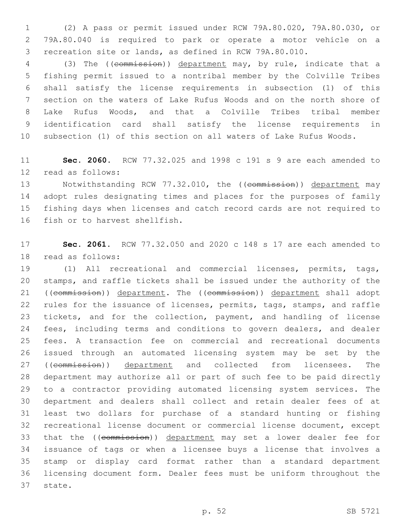(2) A pass or permit issued under RCW 79A.80.020, 79A.80.030, or 79A.80.040 is required to park or operate a motor vehicle on a recreation site or lands, as defined in RCW 79A.80.010.

 (3) The ((commission)) department may, by rule, indicate that a fishing permit issued to a nontribal member by the Colville Tribes shall satisfy the license requirements in subsection (1) of this section on the waters of Lake Rufus Woods and on the north shore of Lake Rufus Woods, and that a Colville Tribes tribal member identification card shall satisfy the license requirements in subsection (1) of this section on all waters of Lake Rufus Woods.

 **Sec. 2060.** RCW 77.32.025 and 1998 c 191 s 9 are each amended to 12 read as follows:

13 Notwithstanding RCW 77.32.010, the ((commission)) department may adopt rules designating times and places for the purposes of family fishing days when licenses and catch record cards are not required to 16 fish or to harvest shellfish.

 **Sec. 2061.** RCW 77.32.050 and 2020 c 148 s 17 are each amended to 18 read as follows:

 (1) All recreational and commercial licenses, permits, tags, stamps, and raffle tickets shall be issued under the authority of the 21 ((commission)) department. The ((commission)) department shall adopt rules for the issuance of licenses, permits, tags, stamps, and raffle 23 tickets, and for the collection, payment, and handling of license fees, including terms and conditions to govern dealers, and dealer fees. A transaction fee on commercial and recreational documents issued through an automated licensing system may be set by the 27 ((commission)) department and collected from licensees. The department may authorize all or part of such fee to be paid directly to a contractor providing automated licensing system services. The department and dealers shall collect and retain dealer fees of at least two dollars for purchase of a standard hunting or fishing recreational license document or commercial license document, except 33 that the ((commission)) department may set a lower dealer fee for issuance of tags or when a licensee buys a license that involves a stamp or display card format rather than a standard department licensing document form. Dealer fees must be uniform throughout the 37 state.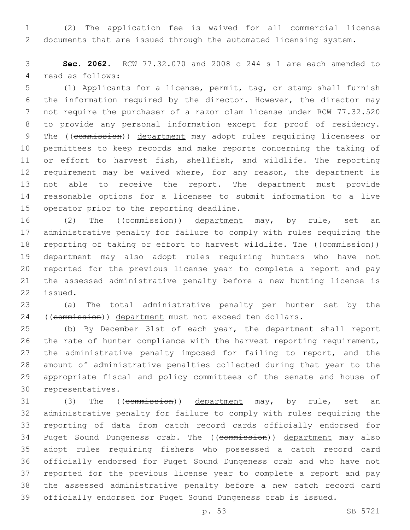(2) The application fee is waived for all commercial license documents that are issued through the automated licensing system.

 **Sec. 2062.** RCW 77.32.070 and 2008 c 244 s 1 are each amended to 4 read as follows:

 (1) Applicants for a license, permit, tag, or stamp shall furnish the information required by the director. However, the director may not require the purchaser of a razor clam license under RCW 77.32.520 to provide any personal information except for proof of residency. 9 The ((commission)) department may adopt rules requiring licensees or permittees to keep records and make reports concerning the taking of or effort to harvest fish, shellfish, and wildlife. The reporting requirement may be waived where, for any reason, the department is not able to receive the report. The department must provide reasonable options for a licensee to submit information to a live 15 operator prior to the reporting deadline.

16 (2) The ((commission)) department may, by rule, set an administrative penalty for failure to comply with rules requiring the 18 reporting of taking or effort to harvest wildlife. The ((commission)) 19 department may also adopt rules requiring hunters who have not reported for the previous license year to complete a report and pay the assessed administrative penalty before a new hunting license is 22 issued.

 (a) The total administrative penalty per hunter set by the 24 ((commission)) department must not exceed ten dollars.

 (b) By December 31st of each year, the department shall report the rate of hunter compliance with the harvest reporting requirement, 27 the administrative penalty imposed for failing to report, and the amount of administrative penalties collected during that year to the appropriate fiscal and policy committees of the senate and house of 30 representatives.

31 (3) The ((commission)) department may, by rule, set an administrative penalty for failure to comply with rules requiring the reporting of data from catch record cards officially endorsed for 34 Puget Sound Dungeness crab. The ((commission)) department may also adopt rules requiring fishers who possessed a catch record card officially endorsed for Puget Sound Dungeness crab and who have not reported for the previous license year to complete a report and pay the assessed administrative penalty before a new catch record card officially endorsed for Puget Sound Dungeness crab is issued.

p. 53 SB 5721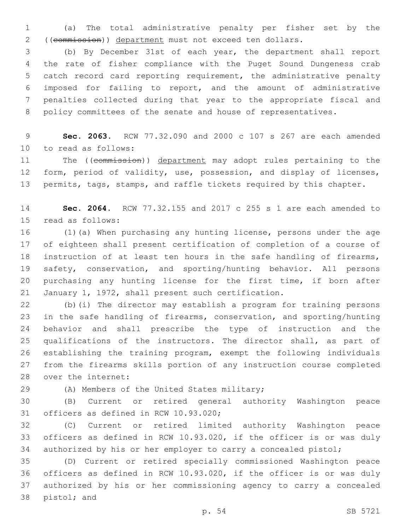(a) The total administrative penalty per fisher set by the ((commission)) department must not exceed ten dollars.

 (b) By December 31st of each year, the department shall report the rate of fisher compliance with the Puget Sound Dungeness crab catch record card reporting requirement, the administrative penalty imposed for failing to report, and the amount of administrative penalties collected during that year to the appropriate fiscal and 8 policy committees of the senate and house of representatives.

 **Sec. 2063.** RCW 77.32.090 and 2000 c 107 s 267 are each amended 10 to read as follows:

11 The ((commission)) department may adopt rules pertaining to the form, period of validity, use, possession, and display of licenses, 13 permits, tags, stamps, and raffle tickets required by this chapter.

 **Sec. 2064.** RCW 77.32.155 and 2017 c 255 s 1 are each amended to 15 read as follows:

 (1)(a) When purchasing any hunting license, persons under the age of eighteen shall present certification of completion of a course of instruction of at least ten hours in the safe handling of firearms, safety, conservation, and sporting/hunting behavior. All persons purchasing any hunting license for the first time, if born after January 1, 1972, shall present such certification.

 (b)(i) The director may establish a program for training persons in the safe handling of firearms, conservation, and sporting/hunting behavior and shall prescribe the type of instruction and the qualifications of the instructors. The director shall, as part of establishing the training program, exempt the following individuals from the firearms skills portion of any instruction course completed 28 over the internet:

29 (A) Members of the United States military;

 (B) Current or retired general authority Washington peace 31 officers as defined in RCW 10.93.020;

 (C) Current or retired limited authority Washington peace officers as defined in RCW 10.93.020, if the officer is or was duly authorized by his or her employer to carry a concealed pistol;

 (D) Current or retired specially commissioned Washington peace officers as defined in RCW 10.93.020, if the officer is or was duly authorized by his or her commissioning agency to carry a concealed 38 pistol; and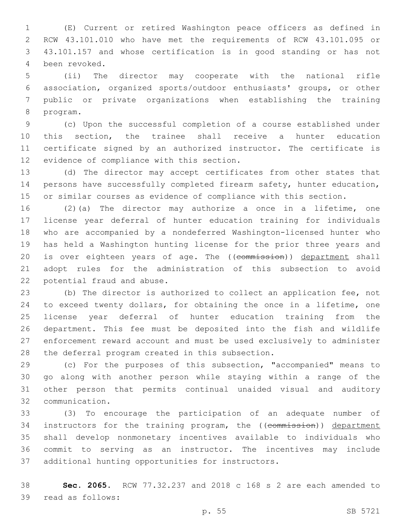(E) Current or retired Washington peace officers as defined in RCW 43.101.010 who have met the requirements of RCW 43.101.095 or 43.101.157 and whose certification is in good standing or has not 4 been revoked.

 (ii) The director may cooperate with the national rifle association, organized sports/outdoor enthusiasts' groups, or other public or private organizations when establishing the training 8 program.

 (c) Upon the successful completion of a course established under this section, the trainee shall receive a hunter education certificate signed by an authorized instructor. The certificate is 12 evidence of compliance with this section.

 (d) The director may accept certificates from other states that persons have successfully completed firearm safety, hunter education, or similar courses as evidence of compliance with this section.

 (2)(a) The director may authorize a once in a lifetime, one license year deferral of hunter education training for individuals who are accompanied by a nondeferred Washington-licensed hunter who has held a Washington hunting license for the prior three years and 20 is over eighteen years of age. The ((commission)) department shall adopt rules for the administration of this subsection to avoid 22 potential fraud and abuse.

 (b) The director is authorized to collect an application fee, not to exceed twenty dollars, for obtaining the once in a lifetime, one license year deferral of hunter education training from the department. This fee must be deposited into the fish and wildlife enforcement reward account and must be used exclusively to administer 28 the deferral program created in this subsection.

 (c) For the purposes of this subsection, "accompanied" means to go along with another person while staying within a range of the other person that permits continual unaided visual and auditory communication.32

 (3) To encourage the participation of an adequate number of 34 instructors for the training program, the ((commission)) department shall develop nonmonetary incentives available to individuals who commit to serving as an instructor. The incentives may include 37 additional hunting opportunities for instructors.

 **Sec. 2065.** RCW 77.32.237 and 2018 c 168 s 2 are each amended to 39 read as follows: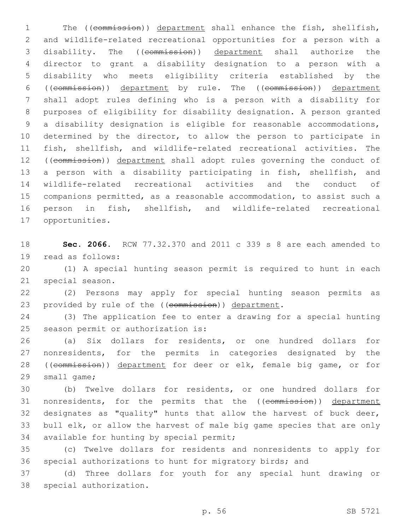The ((commission)) department shall enhance the fish, shellfish, and wildlife-related recreational opportunities for a person with a disability. The ((commission)) department shall authorize the director to grant a disability designation to a person with a disability who meets eligibility criteria established by the ((commission)) department by rule. The ((commission)) department shall adopt rules defining who is a person with a disability for purposes of eligibility for disability designation. A person granted a disability designation is eligible for reasonable accommodations, 10 determined by the director, to allow the person to participate in fish, shellfish, and wildlife-related recreational activities. The ((commission)) department shall adopt rules governing the conduct of a person with a disability participating in fish, shellfish, and wildlife-related recreational activities and the conduct of companions permitted, as a reasonable accommodation, to assist such a person in fish, shellfish, and wildlife-related recreational 17 opportunities.

 **Sec. 2066.** RCW 77.32.370 and 2011 c 339 s 8 are each amended to 19 read as follows:

 (1) A special hunting season permit is required to hunt in each 21 special season.

 (2) Persons may apply for special hunting season permits as 23 provided by rule of the ((commission)) department.

 (3) The application fee to enter a drawing for a special hunting 25 season permit or authorization is:

 (a) Six dollars for residents, or one hundred dollars for nonresidents, for the permits in categories designated by the ((commission)) department for deer or elk, female big game, or for 29 small game;

 (b) Twelve dollars for residents, or one hundred dollars for 31 nonresidents, for the permits that the ((commission)) department designates as "quality" hunts that allow the harvest of buck deer, bull elk, or allow the harvest of male big game species that are only 34 available for hunting by special permit;

 (c) Twelve dollars for residents and nonresidents to apply for special authorizations to hunt for migratory birds; and

 (d) Three dollars for youth for any special hunt drawing or 38 special authorization.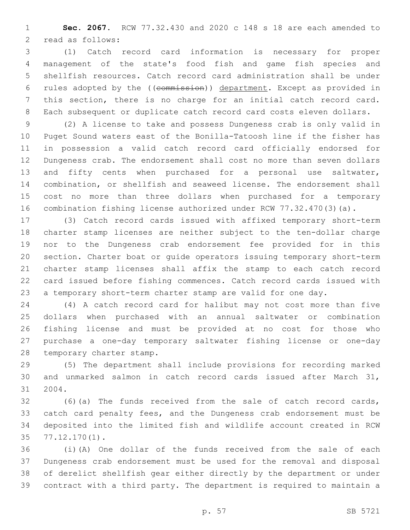**Sec. 2067.** RCW 77.32.430 and 2020 c 148 s 18 are each amended to 2 read as follows:

 (1) Catch record card information is necessary for proper management of the state's food fish and game fish species and shellfish resources. Catch record card administration shall be under rules adopted by the ((commission)) department. Except as provided in this section, there is no charge for an initial catch record card. Each subsequent or duplicate catch record card costs eleven dollars.

 (2) A license to take and possess Dungeness crab is only valid in Puget Sound waters east of the Bonilla-Tatoosh line if the fisher has in possession a valid catch record card officially endorsed for Dungeness crab. The endorsement shall cost no more than seven dollars and fifty cents when purchased for a personal use saltwater, combination, or shellfish and seaweed license. The endorsement shall cost no more than three dollars when purchased for a temporary combination fishing license authorized under RCW 77.32.470(3)(a).

 (3) Catch record cards issued with affixed temporary short-term charter stamp licenses are neither subject to the ten-dollar charge nor to the Dungeness crab endorsement fee provided for in this section. Charter boat or guide operators issuing temporary short-term charter stamp licenses shall affix the stamp to each catch record card issued before fishing commences. Catch record cards issued with a temporary short-term charter stamp are valid for one day.

 (4) A catch record card for halibut may not cost more than five dollars when purchased with an annual saltwater or combination fishing license and must be provided at no cost for those who purchase a one-day temporary saltwater fishing license or one-day 28 temporary charter stamp.

 (5) The department shall include provisions for recording marked and unmarked salmon in catch record cards issued after March 31, 31 2004.

 (6)(a) The funds received from the sale of catch record cards, catch card penalty fees, and the Dungeness crab endorsement must be deposited into the limited fish and wildlife account created in RCW 77.12.170(1).35

 (i)(A) One dollar of the funds received from the sale of each Dungeness crab endorsement must be used for the removal and disposal of derelict shellfish gear either directly by the department or under contract with a third party. The department is required to maintain a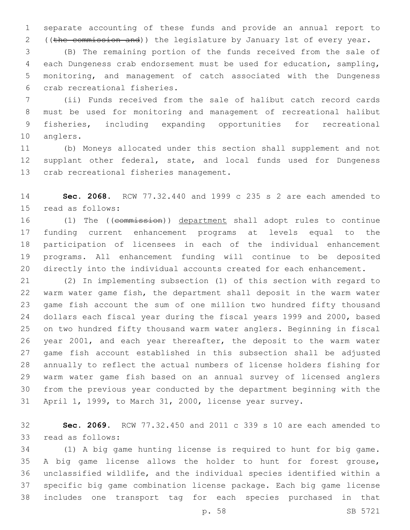separate accounting of these funds and provide an annual report to ((the commission and)) the legislature by January 1st of every year.

 (B) The remaining portion of the funds received from the sale of each Dungeness crab endorsement must be used for education, sampling, monitoring, and management of catch associated with the Dungeness 6 crab recreational fisheries.

 (ii) Funds received from the sale of halibut catch record cards must be used for monitoring and management of recreational halibut fisheries, including expanding opportunities for recreational 10 anglers.

 (b) Moneys allocated under this section shall supplement and not 12 supplant other federal, state, and local funds used for Dungeness 13 crab recreational fisheries management.

 **Sec. 2068.** RCW 77.32.440 and 1999 c 235 s 2 are each amended to 15 read as follows:

 (1) The ((commission)) department shall adopt rules to continue funding current enhancement programs at levels equal to the participation of licensees in each of the individual enhancement programs. All enhancement funding will continue to be deposited directly into the individual accounts created for each enhancement.

 (2) In implementing subsection (1) of this section with regard to warm water game fish, the department shall deposit in the warm water game fish account the sum of one million two hundred fifty thousand dollars each fiscal year during the fiscal years 1999 and 2000, based on two hundred fifty thousand warm water anglers. Beginning in fiscal year 2001, and each year thereafter, the deposit to the warm water game fish account established in this subsection shall be adjusted annually to reflect the actual numbers of license holders fishing for warm water game fish based on an annual survey of licensed anglers from the previous year conducted by the department beginning with the April 1, 1999, to March 31, 2000, license year survey.

 **Sec. 2069.** RCW 77.32.450 and 2011 c 339 s 10 are each amended to 33 read as follows:

 (1) A big game hunting license is required to hunt for big game. A big game license allows the holder to hunt for forest grouse, unclassified wildlife, and the individual species identified within a specific big game combination license package. Each big game license includes one transport tag for each species purchased in that

p. 58 SB 5721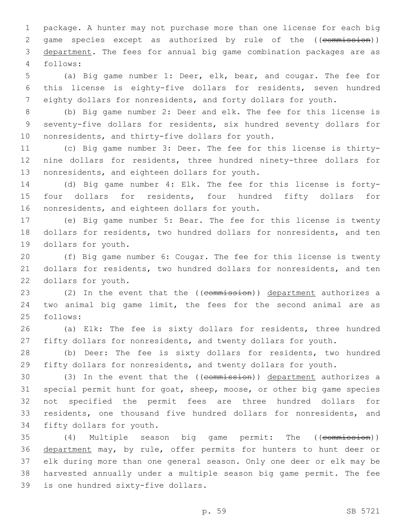package. A hunter may not purchase more than one license for each big 2 game species except as authorized by rule of the ((commission)) department. The fees for annual big game combination packages are as follows:4

 (a) Big game number 1: Deer, elk, bear, and cougar. The fee for this license is eighty-five dollars for residents, seven hundred eighty dollars for nonresidents, and forty dollars for youth.

 (b) Big game number 2: Deer and elk. The fee for this license is seventy-five dollars for residents, six hundred seventy dollars for 10 nonresidents, and thirty-five dollars for youth.

 (c) Big game number 3: Deer. The fee for this license is thirty- nine dollars for residents, three hundred ninety-three dollars for 13 nonresidents, and eighteen dollars for youth.

 (d) Big game number 4: Elk. The fee for this license is forty- four dollars for residents, four hundred fifty dollars for 16 nonresidents, and eighteen dollars for youth.

 (e) Big game number 5: Bear. The fee for this license is twenty dollars for residents, two hundred dollars for nonresidents, and ten 19 dollars for youth.

 (f) Big game number 6: Cougar. The fee for this license is twenty dollars for residents, two hundred dollars for nonresidents, and ten 22 dollars for youth.

23 (2) In the event that the ((commission)) department authorizes a two animal big game limit, the fees for the second animal are as 25 follows:

 (a) Elk: The fee is sixty dollars for residents, three hundred fifty dollars for nonresidents, and twenty dollars for youth.

 (b) Deer: The fee is sixty dollars for residents, two hundred fifty dollars for nonresidents, and twenty dollars for youth.

 (3) In the event that the ((commission)) department authorizes a special permit hunt for goat, sheep, moose, or other big game species not specified the permit fees are three hundred dollars for residents, one thousand five hundred dollars for nonresidents, and 34 fifty dollars for youth.

35 (4) Multiple season big game permit: The ((commission)) 36 department may, by rule, offer permits for hunters to hunt deer or elk during more than one general season. Only one deer or elk may be harvested annually under a multiple season big game permit. The fee 39 is one hundred sixty-five dollars.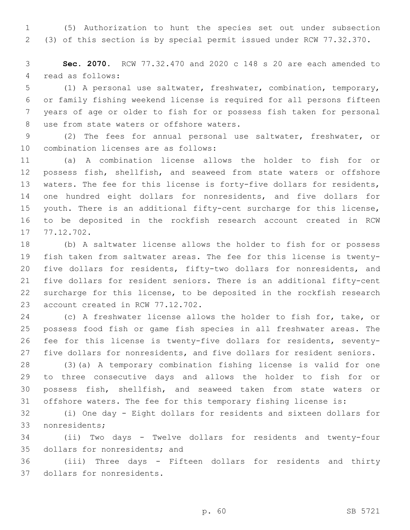(5) Authorization to hunt the species set out under subsection (3) of this section is by special permit issued under RCW 77.32.370.

 **Sec. 2070.** RCW 77.32.470 and 2020 c 148 s 20 are each amended to 4 read as follows:

 (1) A personal use saltwater, freshwater, combination, temporary, or family fishing weekend license is required for all persons fifteen years of age or older to fish for or possess fish taken for personal 8 use from state waters or offshore waters.

 (2) The fees for annual personal use saltwater, freshwater, or 10 combination licenses are as follows:

 (a) A combination license allows the holder to fish for or possess fish, shellfish, and seaweed from state waters or offshore waters. The fee for this license is forty-five dollars for residents, one hundred eight dollars for nonresidents, and five dollars for youth. There is an additional fifty-cent surcharge for this license, to be deposited in the rockfish research account created in RCW 17 77.12.702.

 (b) A saltwater license allows the holder to fish for or possess fish taken from saltwater areas. The fee for this license is twenty- five dollars for residents, fifty-two dollars for nonresidents, and five dollars for resident seniors. There is an additional fifty-cent surcharge for this license, to be deposited in the rockfish research 23 account created in RCW 77.12.702.

 (c) A freshwater license allows the holder to fish for, take, or possess food fish or game fish species in all freshwater areas. The fee for this license is twenty-five dollars for residents, seventy-five dollars for nonresidents, and five dollars for resident seniors.

 (3)(a) A temporary combination fishing license is valid for one to three consecutive days and allows the holder to fish for or possess fish, shellfish, and seaweed taken from state waters or offshore waters. The fee for this temporary fishing license is:

 (i) One day - Eight dollars for residents and sixteen dollars for 33 nonresidents;

 (ii) Two days - Twelve dollars for residents and twenty-four 35 dollars for nonresidents; and

 (iii) Three days - Fifteen dollars for residents and thirty 37 dollars for nonresidents.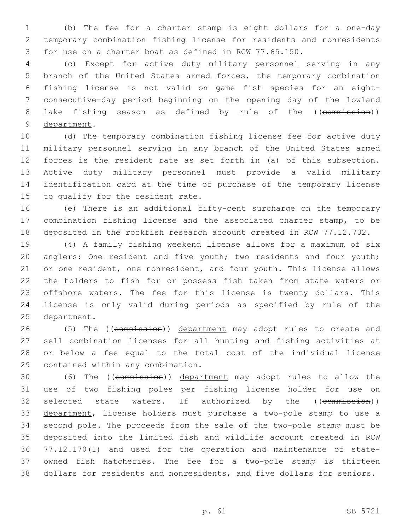(b) The fee for a charter stamp is eight dollars for a one-day temporary combination fishing license for residents and nonresidents for use on a charter boat as defined in RCW 77.65.150.

 (c) Except for active duty military personnel serving in any branch of the United States armed forces, the temporary combination fishing license is not valid on game fish species for an eight- consecutive-day period beginning on the opening day of the lowland 8 lake fishing season as defined by rule of the ((commission)) 9 department.

 (d) The temporary combination fishing license fee for active duty military personnel serving in any branch of the United States armed forces is the resident rate as set forth in (a) of this subsection. Active duty military personnel must provide a valid military identification card at the time of purchase of the temporary license to qualify for the resident rate.

 (e) There is an additional fifty-cent surcharge on the temporary combination fishing license and the associated charter stamp, to be deposited in the rockfish research account created in RCW 77.12.702.

 (4) A family fishing weekend license allows for a maximum of six 20 anglers: One resident and five youth; two residents and four youth; 21 or one resident, one nonresident, and four youth. This license allows the holders to fish for or possess fish taken from state waters or offshore waters. The fee for this license is twenty dollars. This license is only valid during periods as specified by rule of the 25 department.

26 (5) The ((commission)) department may adopt rules to create and sell combination licenses for all hunting and fishing activities at or below a fee equal to the total cost of the individual license 29 contained within any combination.

 (6) The ((commission)) department may adopt rules to allow the use of two fishing poles per fishing license holder for use on 32 selected state waters. If authorized by the ((commission)) department, license holders must purchase a two-pole stamp to use a second pole. The proceeds from the sale of the two-pole stamp must be deposited into the limited fish and wildlife account created in RCW 77.12.170(1) and used for the operation and maintenance of state- owned fish hatcheries. The fee for a two-pole stamp is thirteen dollars for residents and nonresidents, and five dollars for seniors.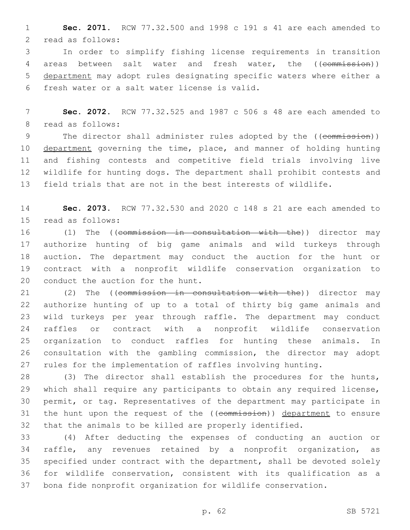**Sec. 2071.** RCW 77.32.500 and 1998 c 191 s 41 are each amended to 2 read as follows:

 In order to simplify fishing license requirements in transition 4 areas between salt water and fresh water, the ((commission)) department may adopt rules designating specific waters where either a fresh water or a salt water license is valid.6

 **Sec. 2072.** RCW 77.32.525 and 1987 c 506 s 48 are each amended to 8 read as follows:

9 The director shall administer rules adopted by the ((commission)) 10 department governing the time, place, and manner of holding hunting and fishing contests and competitive field trials involving live wildlife for hunting dogs. The department shall prohibit contests and field trials that are not in the best interests of wildlife.

 **Sec. 2073.** RCW 77.32.530 and 2020 c 148 s 21 are each amended to 15 read as follows:

16 (1) The ((commission in consultation with the)) director may authorize hunting of big game animals and wild turkeys through auction. The department may conduct the auction for the hunt or contract with a nonprofit wildlife conservation organization to 20 conduct the auction for the hunt.

21 (2) The ((commission in consultation with the)) director may authorize hunting of up to a total of thirty big game animals and wild turkeys per year through raffle. The department may conduct raffles or contract with a nonprofit wildlife conservation organization to conduct raffles for hunting these animals. In consultation with the gambling commission, the director may adopt rules for the implementation of raffles involving hunting.

 (3) The director shall establish the procedures for the hunts, which shall require any participants to obtain any required license, permit, or tag. Representatives of the department may participate in 31 the hunt upon the request of the ((commission)) department to ensure that the animals to be killed are properly identified.

 (4) After deducting the expenses of conducting an auction or raffle, any revenues retained by a nonprofit organization, as specified under contract with the department, shall be devoted solely for wildlife conservation, consistent with its qualification as a bona fide nonprofit organization for wildlife conservation.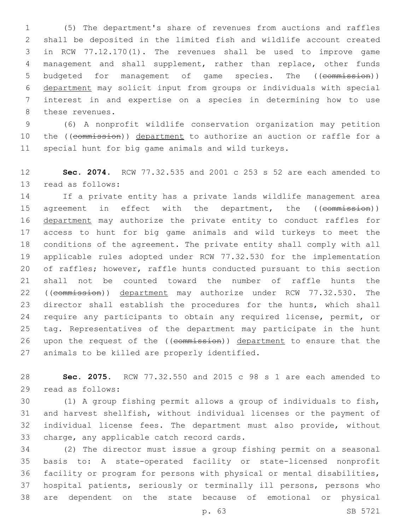(5) The department's share of revenues from auctions and raffles shall be deposited in the limited fish and wildlife account created in RCW 77.12.170(1). The revenues shall be used to improve game management and shall supplement, rather than replace, other funds 5 budgeted for management of game species. The ((commission)) department may solicit input from groups or individuals with special interest in and expertise on a species in determining how to use 8 these revenues.

 (6) A nonprofit wildlife conservation organization may petition 10 the ((commission)) department to authorize an auction or raffle for a special hunt for big game animals and wild turkeys.

 **Sec. 2074.** RCW 77.32.535 and 2001 c 253 s 52 are each amended to 13 read as follows:

 If a private entity has a private lands wildlife management area 15 agreement in effect with the department, the ((commission)) 16 department may authorize the private entity to conduct raffles for access to hunt for big game animals and wild turkeys to meet the conditions of the agreement. The private entity shall comply with all applicable rules adopted under RCW 77.32.530 for the implementation of raffles; however, raffle hunts conducted pursuant to this section shall not be counted toward the number of raffle hunts the 22 ((commission)) department may authorize under RCW 77.32.530. The director shall establish the procedures for the hunts, which shall require any participants to obtain any required license, permit, or tag. Representatives of the department may participate in the hunt 26 upon the request of the ((commission)) department to ensure that the 27 animals to be killed are properly identified.

 **Sec. 2075.** RCW 77.32.550 and 2015 c 98 s 1 are each amended to 29 read as follows:

 (1) A group fishing permit allows a group of individuals to fish, and harvest shellfish, without individual licenses or the payment of individual license fees. The department must also provide, without 33 charge, any applicable catch record cards.

 (2) The director must issue a group fishing permit on a seasonal basis to: A state-operated facility or state-licensed nonprofit facility or program for persons with physical or mental disabilities, hospital patients, seriously or terminally ill persons, persons who are dependent on the state because of emotional or physical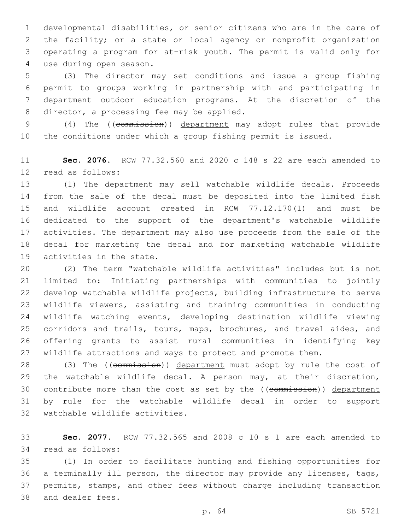developmental disabilities, or senior citizens who are in the care of the facility; or a state or local agency or nonprofit organization operating a program for at-risk youth. The permit is valid only for use during open season.4

 (3) The director may set conditions and issue a group fishing permit to groups working in partnership with and participating in department outdoor education programs. At the discretion of the 8 director, a processing fee may be applied.

 (4) The ((commission)) department may adopt rules that provide the conditions under which a group fishing permit is issued.

 **Sec. 2076.** RCW 77.32.560 and 2020 c 148 s 22 are each amended to 12 read as follows:

 (1) The department may sell watchable wildlife decals. Proceeds from the sale of the decal must be deposited into the limited fish and wildlife account created in RCW 77.12.170(1) and must be dedicated to the support of the department's watchable wildlife activities. The department may also use proceeds from the sale of the decal for marketing the decal and for marketing watchable wildlife 19 activities in the state.

 (2) The term "watchable wildlife activities" includes but is not limited to: Initiating partnerships with communities to jointly develop watchable wildlife projects, building infrastructure to serve wildlife viewers, assisting and training communities in conducting wildlife watching events, developing destination wildlife viewing corridors and trails, tours, maps, brochures, and travel aides, and offering grants to assist rural communities in identifying key wildlife attractions and ways to protect and promote them.

28 (3) The ((commission)) department must adopt by rule the cost of the watchable wildlife decal. A person may, at their discretion, 30 contribute more than the cost as set by the ((commission)) department by rule for the watchable wildlife decal in order to support 32 watchable wildlife activities.

 **Sec. 2077.** RCW 77.32.565 and 2008 c 10 s 1 are each amended to 34 read as follows:

 (1) In order to facilitate hunting and fishing opportunities for a terminally ill person, the director may provide any licenses, tags, permits, stamps, and other fees without charge including transaction 38 and dealer fees.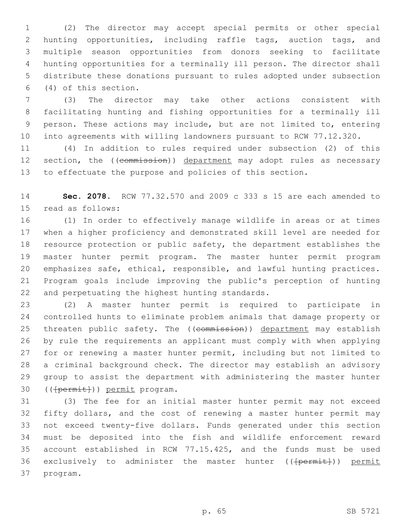(2) The director may accept special permits or other special hunting opportunities, including raffle tags, auction tags, and multiple season opportunities from donors seeking to facilitate hunting opportunities for a terminally ill person. The director shall distribute these donations pursuant to rules adopted under subsection  $(4)$  of this section.

 (3) The director may take other actions consistent with facilitating hunting and fishing opportunities for a terminally ill person. These actions may include, but are not limited to, entering into agreements with willing landowners pursuant to RCW 77.12.320.

 (4) In addition to rules required under subsection (2) of this 12 section, the ((commission)) department may adopt rules as necessary to effectuate the purpose and policies of this section.

 **Sec. 2078.** RCW 77.32.570 and 2009 c 333 s 15 are each amended to 15 read as follows:

 (1) In order to effectively manage wildlife in areas or at times when a higher proficiency and demonstrated skill level are needed for resource protection or public safety, the department establishes the master hunter permit program. The master hunter permit program emphasizes safe, ethical, responsible, and lawful hunting practices. Program goals include improving the public's perception of hunting 22 and perpetuating the highest hunting standards.

 (2) A master hunter permit is required to participate in controlled hunts to eliminate problem animals that damage property or 25 threaten public safety. The ((commission)) department may establish by rule the requirements an applicant must comply with when applying for or renewing a master hunter permit, including but not limited to a criminal background check. The director may establish an advisory group to assist the department with administering the master hunter 30 ((<del>[permit]</del>)) permit program.

 (3) The fee for an initial master hunter permit may not exceed fifty dollars, and the cost of renewing a master hunter permit may not exceed twenty-five dollars. Funds generated under this section must be deposited into the fish and wildlife enforcement reward account established in RCW 77.15.425, and the funds must be used 36 exclusively to administer the master hunter ((<del>[permit]</del>)) permit 37 program.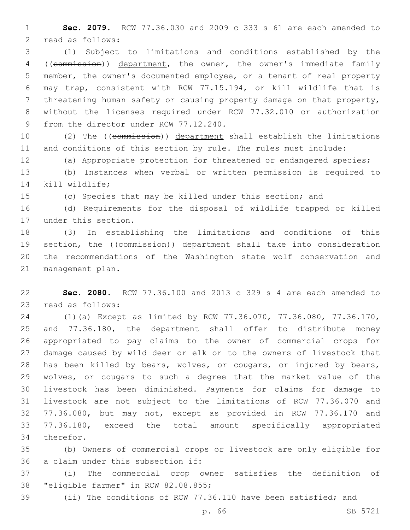**Sec. 2079.** RCW 77.36.030 and 2009 c 333 s 61 are each amended to 2 read as follows:

 (1) Subject to limitations and conditions established by the ((commission)) department, the owner, the owner's immediate family member, the owner's documented employee, or a tenant of real property may trap, consistent with RCW 77.15.194, or kill wildlife that is threatening human safety or causing property damage on that property, without the licenses required under RCW 77.32.010 or authorization 9 from the director under RCW 77.12.240.

 (2) The ((commission)) department shall establish the limitations and conditions of this section by rule. The rules must include:

 (a) Appropriate protection for threatened or endangered species; (b) Instances when verbal or written permission is required to 14 kill wildlife;

(c) Species that may be killed under this section; and

 (d) Requirements for the disposal of wildlife trapped or killed 17 under this section.

 (3) In establishing the limitations and conditions of this 19 section, the ((commission)) department shall take into consideration the recommendations of the Washington state wolf conservation and 21 management plan.

 **Sec. 2080.** RCW 77.36.100 and 2013 c 329 s 4 are each amended to 23 read as follows:

 (1)(a) Except as limited by RCW 77.36.070, 77.36.080, 77.36.170, and 77.36.180, the department shall offer to distribute money appropriated to pay claims to the owner of commercial crops for damage caused by wild deer or elk or to the owners of livestock that has been killed by bears, wolves, or cougars, or injured by bears, wolves, or cougars to such a degree that the market value of the livestock has been diminished. Payments for claims for damage to livestock are not subject to the limitations of RCW 77.36.070 and 77.36.080, but may not, except as provided in RCW 77.36.170 and 77.36.180, exceed the total amount specifically appropriated 34 therefor.

 (b) Owners of commercial crops or livestock are only eligible for 36 a claim under this subsection if:

 (i) The commercial crop owner satisfies the definition of 38 "eligible farmer" in RCW 82.08.855;

(ii) The conditions of RCW 77.36.110 have been satisfied; and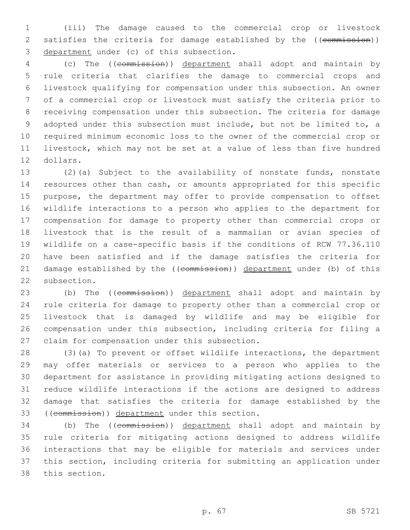(iii) The damage caused to the commercial crop or livestock 2 satisfies the criteria for damage established by the ((commission)) 3 department under (c) of this subsection.

 (c) The ((commission)) department shall adopt and maintain by rule criteria that clarifies the damage to commercial crops and livestock qualifying for compensation under this subsection. An owner of a commercial crop or livestock must satisfy the criteria prior to receiving compensation under this subsection. The criteria for damage adopted under this subsection must include, but not be limited to, a required minimum economic loss to the owner of the commercial crop or livestock, which may not be set at a value of less than five hundred 12 dollars.

 (2)(a) Subject to the availability of nonstate funds, nonstate resources other than cash, or amounts appropriated for this specific purpose, the department may offer to provide compensation to offset wildlife interactions to a person who applies to the department for compensation for damage to property other than commercial crops or livestock that is the result of a mammalian or avian species of wildlife on a case-specific basis if the conditions of RCW 77.36.110 have been satisfied and if the damage satisfies the criteria for 21 damage established by the ((commission)) department under (b) of this 22 subsection.

23 (b) The ((commission)) department shall adopt and maintain by rule criteria for damage to property other than a commercial crop or livestock that is damaged by wildlife and may be eligible for compensation under this subsection, including criteria for filing a 27 claim for compensation under this subsection.

 (3)(a) To prevent or offset wildlife interactions, the department may offer materials or services to a person who applies to the department for assistance in providing mitigating actions designed to reduce wildlife interactions if the actions are designed to address damage that satisfies the criteria for damage established by the 33 ((commission)) department under this section.

 (b) The ((commission)) department shall adopt and maintain by rule criteria for mitigating actions designed to address wildlife interactions that may be eligible for materials and services under this section, including criteria for submitting an application under 38 this section.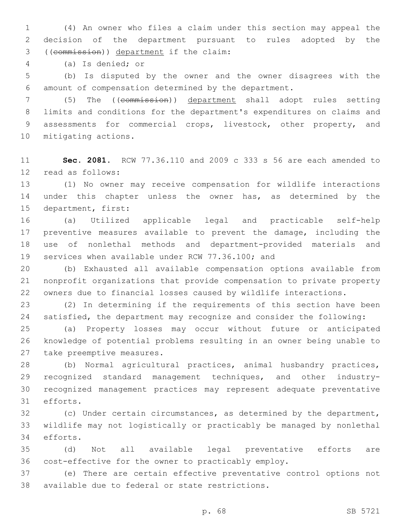(4) An owner who files a claim under this section may appeal the decision of the department pursuant to rules adopted by the ((commission)) department if the claim:3

(a) Is denied; or4

 (b) Is disputed by the owner and the owner disagrees with the amount of compensation determined by the department.

7 (5) The ((commission)) department shall adopt rules setting limits and conditions for the department's expenditures on claims and assessments for commercial crops, livestock, other property, and 10 mitigating actions.

 **Sec. 2081.** RCW 77.36.110 and 2009 c 333 s 56 are each amended to 12 read as follows:

 (1) No owner may receive compensation for wildlife interactions under this chapter unless the owner has, as determined by the 15 department, first:

 (a) Utilized applicable legal and practicable self-help preventive measures available to prevent the damage, including the use of nonlethal methods and department-provided materials and 19 services when available under RCW 77.36.100; and

 (b) Exhausted all available compensation options available from nonprofit organizations that provide compensation to private property owners due to financial losses caused by wildlife interactions.

 (2) In determining if the requirements of this section have been satisfied, the department may recognize and consider the following:

 (a) Property losses may occur without future or anticipated knowledge of potential problems resulting in an owner being unable to 27 take preemptive measures.

 (b) Normal agricultural practices, animal husbandry practices, recognized standard management techniques, and other industry- recognized management practices may represent adequate preventative 31 efforts.

 (c) Under certain circumstances, as determined by the department, wildlife may not logistically or practicably be managed by nonlethal 34 efforts.

 (d) Not all available legal preventative efforts are cost-effective for the owner to practicably employ.

 (e) There are certain effective preventative control options not 38 available due to federal or state restrictions.

p. 68 SB 5721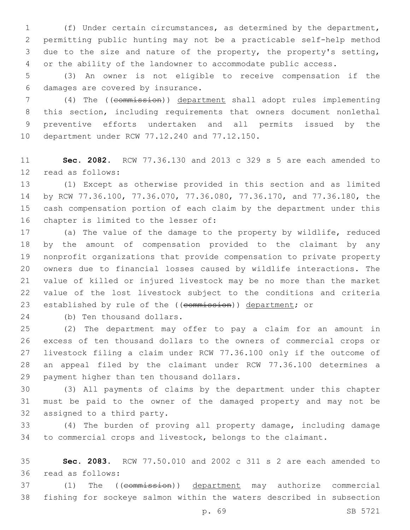(f) Under certain circumstances, as determined by the department, permitting public hunting may not be a practicable self-help method due to the size and nature of the property, the property's setting, or the ability of the landowner to accommodate public access.

 (3) An owner is not eligible to receive compensation if the 6 damages are covered by insurance.

 (4) The ((commission)) department shall adopt rules implementing this section, including requirements that owners document nonlethal preventive efforts undertaken and all permits issued by the 10 department under RCW 77.12.240 and 77.12.150.

 **Sec. 2082.** RCW 77.36.130 and 2013 c 329 s 5 are each amended to 12 read as follows:

 (1) Except as otherwise provided in this section and as limited by RCW 77.36.100, 77.36.070, 77.36.080, 77.36.170, and 77.36.180, the cash compensation portion of each claim by the department under this 16 chapter is limited to the lesser of:

 (a) The value of the damage to the property by wildlife, reduced by the amount of compensation provided to the claimant by any nonprofit organizations that provide compensation to private property owners due to financial losses caused by wildlife interactions. The value of killed or injured livestock may be no more than the market value of the lost livestock subject to the conditions and criteria 23 established by rule of the ((commission)) department; or

24 (b) Ten thousand dollars.

 (2) The department may offer to pay a claim for an amount in excess of ten thousand dollars to the owners of commercial crops or livestock filing a claim under RCW 77.36.100 only if the outcome of an appeal filed by the claimant under RCW 77.36.100 determines a 29 payment higher than ten thousand dollars.

 (3) All payments of claims by the department under this chapter must be paid to the owner of the damaged property and may not be 32 assigned to a third party.

 (4) The burden of proving all property damage, including damage to commercial crops and livestock, belongs to the claimant.

 **Sec. 2083.** RCW 77.50.010 and 2002 c 311 s 2 are each amended to 36 read as follows:

 (1) The ((commission)) department may authorize commercial fishing for sockeye salmon within the waters described in subsection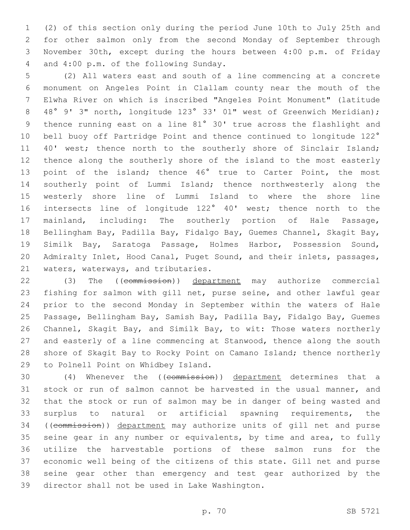(2) of this section only during the period June 10th to July 25th and for other salmon only from the second Monday of September through November 30th, except during the hours between 4:00 p.m. of Friday 4 and 4:00 p.m. of the following Sunday.

 (2) All waters east and south of a line commencing at a concrete monument on Angeles Point in Clallam county near the mouth of the Elwha River on which is inscribed "Angeles Point Monument" (latitude 48° 9' 3" north, longitude 123° 33' 01" west of Greenwich Meridian); thence running east on a line 81° 30' true across the flashlight and 10 bell buoy off Partridge Point and thence continued to longitude 122° 11 40' west; thence north to the southerly shore of Sinclair Island; thence along the southerly shore of the island to the most easterly point of the island; thence 46° true to Carter Point, the most southerly point of Lummi Island; thence northwesterly along the westerly shore line of Lummi Island to where the shore line intersects line of longitude 122° 40' west; thence north to the mainland, including: The southerly portion of Hale Passage, Bellingham Bay, Padilla Bay, Fidalgo Bay, Guemes Channel, Skagit Bay, Similk Bay, Saratoga Passage, Holmes Harbor, Possession Sound, Admiralty Inlet, Hood Canal, Puget Sound, and their inlets, passages, 21 waters, waterways, and tributaries.

22 (3) The ((commission)) department may authorize commercial fishing for salmon with gill net, purse seine, and other lawful gear prior to the second Monday in September within the waters of Hale Passage, Bellingham Bay, Samish Bay, Padilla Bay, Fidalgo Bay, Guemes Channel, Skagit Bay, and Similk Bay, to wit: Those waters northerly and easterly of a line commencing at Stanwood, thence along the south shore of Skagit Bay to Rocky Point on Camano Island; thence northerly 29 to Polnell Point on Whidbey Island.

 (4) Whenever the ((commission)) department determines that a stock or run of salmon cannot be harvested in the usual manner, and that the stock or run of salmon may be in danger of being wasted and surplus to natural or artificial spawning requirements, the ((commission)) department may authorize units of gill net and purse seine gear in any number or equivalents, by time and area, to fully utilize the harvestable portions of these salmon runs for the economic well being of the citizens of this state. Gill net and purse seine gear other than emergency and test gear authorized by the 39 director shall not be used in Lake Washington.

p. 70 SB 5721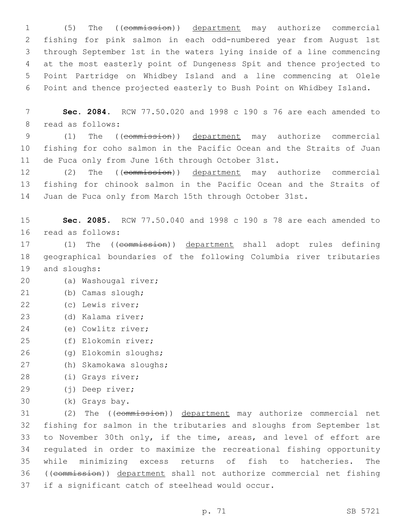(5) The ((commission)) department may authorize commercial fishing for pink salmon in each odd-numbered year from August 1st through September 1st in the waters lying inside of a line commencing at the most easterly point of Dungeness Spit and thence projected to Point Partridge on Whidbey Island and a line commencing at Olele Point and thence projected easterly to Bush Point on Whidbey Island.

7 **Sec. 2084.** RCW 77.50.020 and 1998 c 190 s 76 are each amended to 8 read as follows:

9 (1) The ((commission)) department may authorize commercial 10 fishing for coho salmon in the Pacific Ocean and the Straits of Juan 11 de Fuca only from June 16th through October 31st.

12 (2) The ((commission)) department may authorize commercial 13 fishing for chinook salmon in the Pacific Ocean and the Straits of 14 Juan de Fuca only from March 15th through October 31st.

15 **Sec. 2085.** RCW 77.50.040 and 1998 c 190 s 78 are each amended to 16 read as follows:

17 (1) The ((commission)) department shall adopt rules defining 18 geographical boundaries of the following Columbia river tributaries 19 and sloughs:

- (a) Washougal river;20
- (b) Camas slough;21
- (c) Lewis river;22
- 23 (d) Kalama river;
- (e) Cowlitz river;24
- (f) Elokomin river;25
- (g) Elokomin sloughs;26
- (h) Skamokawa sloughs;27
- 28 (i) Grays river;
- (j) Deep river;29
- (k) Grays bay.30

 (2) The ((commission)) department may authorize commercial net fishing for salmon in the tributaries and sloughs from September 1st to November 30th only, if the time, areas, and level of effort are regulated in order to maximize the recreational fishing opportunity while minimizing excess returns of fish to hatcheries. The ((commission)) department shall not authorize commercial net fishing 37 if a significant catch of steelhead would occur.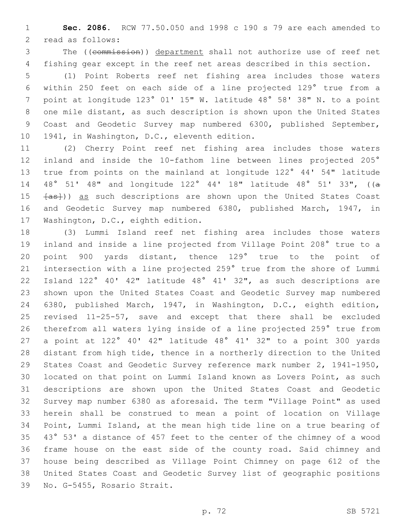**Sec. 2086.** RCW 77.50.050 and 1998 c 190 s 79 are each amended to 2 read as follows:

 The ((commission)) department shall not authorize use of reef net fishing gear except in the reef net areas described in this section.

 (1) Point Roberts reef net fishing area includes those waters within 250 feet on each side of a line projected 129° true from a point at longitude 123° 01' 15" W. latitude 48° 58' 38" N. to a point one mile distant, as such description is shown upon the United States Coast and Geodetic Survey map numbered 6300, published September, 10 1941, in Washington, D.C., eleventh edition.

 (2) Cherry Point reef net fishing area includes those waters inland and inside the 10-fathom line between lines projected 205° true from points on the mainland at longitude 122° 44' 54" latitude 48° 51' 48" and longitude 122° 44' 18" latitude 48° 51' 33", ((a  $\{as\}$ )) as such descriptions are shown upon the United States Coast and Geodetic Survey map numbered 6380, published March, 1947, in 17 Washington, D.C., eighth edition.

 (3) Lummi Island reef net fishing area includes those waters inland and inside a line projected from Village Point 208° true to a point 900 yards distant, thence 129° true to the point of intersection with a line projected 259° true from the shore of Lummi Island 122° 40' 42" latitude 48° 41' 32", as such descriptions are shown upon the United States Coast and Geodetic Survey map numbered 6380, published March, 1947, in Washington, D.C., eighth edition, revised 11-25-57, save and except that there shall be excluded therefrom all waters lying inside of a line projected 259° true from a point at 122° 40' 42" latitude 48° 41' 32" to a point 300 yards distant from high tide, thence in a northerly direction to the United States Coast and Geodetic Survey reference mark number 2, 1941-1950, located on that point on Lummi Island known as Lovers Point, as such descriptions are shown upon the United States Coast and Geodetic Survey map number 6380 as aforesaid. The term "Village Point" as used herein shall be construed to mean a point of location on Village Point, Lummi Island, at the mean high tide line on a true bearing of 43° 53' a distance of 457 feet to the center of the chimney of a wood frame house on the east side of the county road. Said chimney and house being described as Village Point Chimney on page 612 of the United States Coast and Geodetic Survey list of geographic positions 39 No. G-5455, Rosario Strait.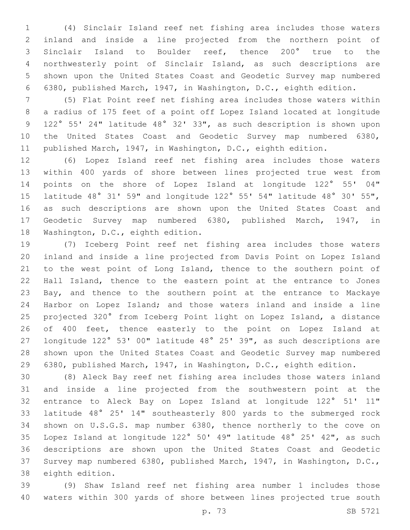(4) Sinclair Island reef net fishing area includes those waters inland and inside a line projected from the northern point of Sinclair Island to Boulder reef, thence 200° true to the northwesterly point of Sinclair Island, as such descriptions are shown upon the United States Coast and Geodetic Survey map numbered 6380, published March, 1947, in Washington, D.C., eighth edition.

 (5) Flat Point reef net fishing area includes those waters within a radius of 175 feet of a point off Lopez Island located at longitude 122° 55' 24" latitude 48° 32' 33", as such description is shown upon the United States Coast and Geodetic Survey map numbered 6380, published March, 1947, in Washington, D.C., eighth edition.

 (6) Lopez Island reef net fishing area includes those waters within 400 yards of shore between lines projected true west from points on the shore of Lopez Island at longitude 122° 55' 04" latitude 48° 31' 59" and longitude 122° 55' 54" latitude 48° 30' 55", as such descriptions are shown upon the United States Coast and Geodetic Survey map numbered 6380, published March, 1947, in 18 Washington, D.C., eighth edition.

 (7) Iceberg Point reef net fishing area includes those waters inland and inside a line projected from Davis Point on Lopez Island to the west point of Long Island, thence to the southern point of Hall Island, thence to the eastern point at the entrance to Jones Bay, and thence to the southern point at the entrance to Mackaye Harbor on Lopez Island; and those waters inland and inside a line projected 320° from Iceberg Point light on Lopez Island, a distance of 400 feet, thence easterly to the point on Lopez Island at longitude 122° 53' 00" latitude 48° 25' 39", as such descriptions are shown upon the United States Coast and Geodetic Survey map numbered 6380, published March, 1947, in Washington, D.C., eighth edition.

 (8) Aleck Bay reef net fishing area includes those waters inland and inside a line projected from the southwestern point at the entrance to Aleck Bay on Lopez Island at longitude 122° 51' 11" latitude 48° 25' 14" southeasterly 800 yards to the submerged rock shown on U.S.G.S. map number 6380, thence northerly to the cove on Lopez Island at longitude 122° 50' 49" latitude 48° 25' 42", as such descriptions are shown upon the United States Coast and Geodetic Survey map numbered 6380, published March, 1947, in Washington, D.C., 38 eighth edition.

 (9) Shaw Island reef net fishing area number 1 includes those waters within 300 yards of shore between lines projected true south

p. 73 SB 5721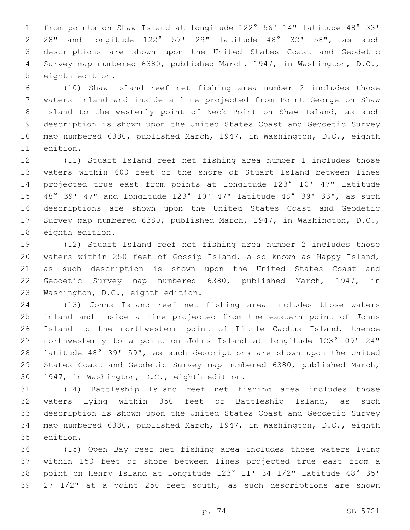from points on Shaw Island at longitude 122° 56' 14" latitude 48° 33' 28" and longitude 122° 57' 29" latitude 48° 32' 58", as such descriptions are shown upon the United States Coast and Geodetic Survey map numbered 6380, published March, 1947, in Washington, D.C., 5 eighth edition.

 (10) Shaw Island reef net fishing area number 2 includes those waters inland and inside a line projected from Point George on Shaw Island to the westerly point of Neck Point on Shaw Island, as such description is shown upon the United States Coast and Geodetic Survey map numbered 6380, published March, 1947, in Washington, D.C., eighth 11 edition.

 (11) Stuart Island reef net fishing area number 1 includes those waters within 600 feet of the shore of Stuart Island between lines projected true east from points at longitude 123° 10' 47" latitude 48° 39' 47" and longitude 123° 10' 47" latitude 48° 39' 33", as such descriptions are shown upon the United States Coast and Geodetic Survey map numbered 6380, published March, 1947, in Washington, D.C., 18 eighth edition.

 (12) Stuart Island reef net fishing area number 2 includes those waters within 250 feet of Gossip Island, also known as Happy Island, as such description is shown upon the United States Coast and Geodetic Survey map numbered 6380, published March, 1947, in 23 Washington, D.C., eighth edition.

 (13) Johns Island reef net fishing area includes those waters inland and inside a line projected from the eastern point of Johns Island to the northwestern point of Little Cactus Island, thence northwesterly to a point on Johns Island at longitude 123° 09' 24" latitude 48° 39' 59", as such descriptions are shown upon the United States Coast and Geodetic Survey map numbered 6380, published March, 30 1947, in Washington, D.C., eighth edition.

 (14) Battleship Island reef net fishing area includes those waters lying within 350 feet of Battleship Island, as such description is shown upon the United States Coast and Geodetic Survey map numbered 6380, published March, 1947, in Washington, D.C., eighth 35 edition.

 (15) Open Bay reef net fishing area includes those waters lying within 150 feet of shore between lines projected true east from a point on Henry Island at longitude 123° 11' 34 1/2" latitude 48° 35' 27 1/2" at a point 250 feet south, as such descriptions are shown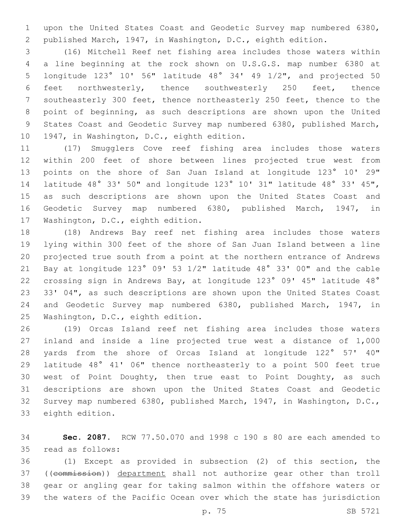upon the United States Coast and Geodetic Survey map numbered 6380, published March, 1947, in Washington, D.C., eighth edition.

 (16) Mitchell Reef net fishing area includes those waters within a line beginning at the rock shown on U.S.G.S. map number 6380 at longitude 123° 10' 56" latitude 48° 34' 49 1/2", and projected 50 feet northwesterly, thence southwesterly 250 feet, thence southeasterly 300 feet, thence northeasterly 250 feet, thence to the point of beginning, as such descriptions are shown upon the United States Coast and Geodetic Survey map numbered 6380, published March, 10 1947, in Washington, D.C., eighth edition.

 (17) Smugglers Cove reef fishing area includes those waters within 200 feet of shore between lines projected true west from points on the shore of San Juan Island at longitude 123° 10' 29" latitude 48° 33' 50" and longitude 123° 10' 31" latitude 48° 33' 45", as such descriptions are shown upon the United States Coast and Geodetic Survey map numbered 6380, published March, 1947, in 17 Washington, D.C., eighth edition.

 (18) Andrews Bay reef net fishing area includes those waters lying within 300 feet of the shore of San Juan Island between a line projected true south from a point at the northern entrance of Andrews Bay at longitude 123° 09' 53 1/2" latitude 48° 33' 00" and the cable crossing sign in Andrews Bay, at longitude 123° 09' 45" latitude 48° 33' 04", as such descriptions are shown upon the United States Coast and Geodetic Survey map numbered 6380, published March, 1947, in 25 Washington, D.C., eighth edition.

 (19) Orcas Island reef net fishing area includes those waters inland and inside a line projected true west a distance of 1,000 yards from the shore of Orcas Island at longitude 122° 57' 40" latitude 48° 41' 06" thence northeasterly to a point 500 feet true west of Point Doughty, then true east to Point Doughty, as such descriptions are shown upon the United States Coast and Geodetic Survey map numbered 6380, published March, 1947, in Washington, D.C., 33 eighth edition.

 **Sec. 2087.** RCW 77.50.070 and 1998 c 190 s 80 are each amended to 35 read as follows:

 (1) Except as provided in subsection (2) of this section, the ((commission)) department shall not authorize gear other than troll gear or angling gear for taking salmon within the offshore waters or the waters of the Pacific Ocean over which the state has jurisdiction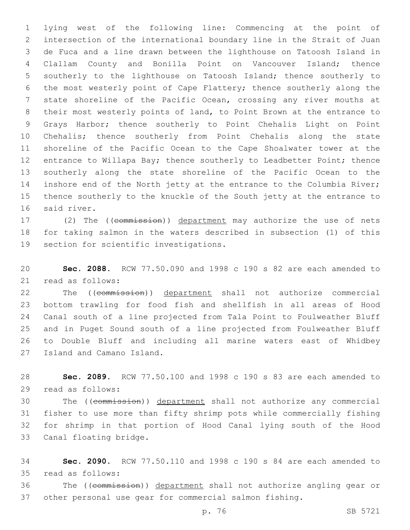lying west of the following line: Commencing at the point of intersection of the international boundary line in the Strait of Juan de Fuca and a line drawn between the lighthouse on Tatoosh Island in Clallam County and Bonilla Point on Vancouver Island; thence southerly to the lighthouse on Tatoosh Island; thence southerly to the most westerly point of Cape Flattery; thence southerly along the state shoreline of the Pacific Ocean, crossing any river mouths at their most westerly points of land, to Point Brown at the entrance to Grays Harbor; thence southerly to Point Chehalis Light on Point Chehalis; thence southerly from Point Chehalis along the state shoreline of the Pacific Ocean to the Cape Shoalwater tower at the entrance to Willapa Bay; thence southerly to Leadbetter Point; thence southerly along the state shoreline of the Pacific Ocean to the inshore end of the North jetty at the entrance to the Columbia River; thence southerly to the knuckle of the South jetty at the entrance to 16 said river.

17 (2) The ((commission)) department may authorize the use of nets for taking salmon in the waters described in subsection (1) of this 19 section for scientific investigations.

 **Sec. 2088.** RCW 77.50.090 and 1998 c 190 s 82 are each amended to 21 read as follows:

22 The ((commission)) department shall not authorize commercial bottom trawling for food fish and shellfish in all areas of Hood Canal south of a line projected from Tala Point to Foulweather Bluff and in Puget Sound south of a line projected from Foulweather Bluff to Double Bluff and including all marine waters east of Whidbey 27 Island and Camano Island.

 **Sec. 2089.** RCW 77.50.100 and 1998 c 190 s 83 are each amended to 29 read as follows:

 The ((commission)) department shall not authorize any commercial fisher to use more than fifty shrimp pots while commercially fishing for shrimp in that portion of Hood Canal lying south of the Hood 33 Canal floating bridge.

 **Sec. 2090.** RCW 77.50.110 and 1998 c 190 s 84 are each amended to read as follows:35

 The ((commission)) department shall not authorize angling gear or other personal use gear for commercial salmon fishing.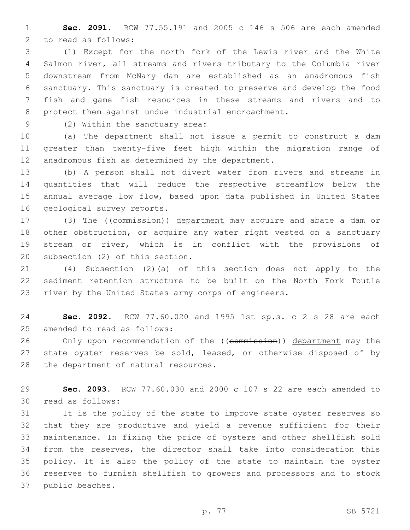**Sec. 2091.** RCW 77.55.191 and 2005 c 146 s 506 are each amended 2 to read as follows:

 (1) Except for the north fork of the Lewis river and the White Salmon river, all streams and rivers tributary to the Columbia river downstream from McNary dam are established as an anadromous fish sanctuary. This sanctuary is created to preserve and develop the food fish and game fish resources in these streams and rivers and to protect them against undue industrial encroachment.

9 (2) Within the sanctuary area:

 (a) The department shall not issue a permit to construct a dam greater than twenty-five feet high within the migration range of 12 anadromous fish as determined by the department.

 (b) A person shall not divert water from rivers and streams in quantities that will reduce the respective streamflow below the annual average low flow, based upon data published in United States 16 geological survey reports.

17 (3) The ((commission)) department may acquire and abate a dam or other obstruction, or acquire any water right vested on a sanctuary stream or river, which is in conflict with the provisions of 20 subsection (2) of this section.

 (4) Subsection (2)(a) of this section does not apply to the sediment retention structure to be built on the North Fork Toutle river by the United States army corps of engineers.

 **Sec. 2092.** RCW 77.60.020 and 1995 1st sp.s. c 2 s 28 are each 25 amended to read as follows:

26 Only upon recommendation of the ((commission)) department may the 27 state oyster reserves be sold, leased, or otherwise disposed of by 28 the department of natural resources.

 **Sec. 2093.** RCW 77.60.030 and 2000 c 107 s 22 are each amended to 30 read as follows:

 It is the policy of the state to improve state oyster reserves so that they are productive and yield a revenue sufficient for their maintenance. In fixing the price of oysters and other shellfish sold from the reserves, the director shall take into consideration this policy. It is also the policy of the state to maintain the oyster reserves to furnish shellfish to growers and processors and to stock 37 public beaches.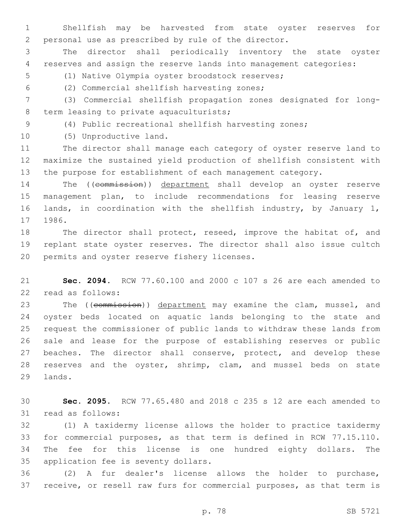Shellfish may be harvested from state oyster reserves for personal use as prescribed by rule of the director.

 The director shall periodically inventory the state oyster reserves and assign the reserve lands into management categories:

5 (1) Native Olympia oyster broodstock reserves;

(2) Commercial shellfish harvesting zones;6

 (3) Commercial shellfish propagation zones designated for long-8 term leasing to private aquaculturists;

(4) Public recreational shellfish harvesting zones;

## 10 (5) Unproductive land.

 The director shall manage each category of oyster reserve land to maximize the sustained yield production of shellfish consistent with the purpose for establishment of each management category.

 The ((commission)) department shall develop an oyster reserve management plan, to include recommendations for leasing reserve lands, in coordination with the shellfish industry, by January 1, 1986.

18 The director shall protect, reseed, improve the habitat of, and replant state oyster reserves. The director shall also issue cultch 20 permits and oyster reserve fishery licenses.

 **Sec. 2094.** RCW 77.60.100 and 2000 c 107 s 26 are each amended to 22 read as follows:

23 The ((commission)) department may examine the clam, mussel, and oyster beds located on aquatic lands belonging to the state and request the commissioner of public lands to withdraw these lands from sale and lease for the purpose of establishing reserves or public 27 beaches. The director shall conserve, protect, and develop these reserves and the oyster, shrimp, clam, and mussel beds on state 29 lands.

 **Sec. 2095.** RCW 77.65.480 and 2018 c 235 s 12 are each amended to 31 read as follows:

 (1) A taxidermy license allows the holder to practice taxidermy for commercial purposes, as that term is defined in RCW 77.15.110. The fee for this license is one hundred eighty dollars. The 35 application fee is seventy dollars.

 (2) A fur dealer's license allows the holder to purchase, receive, or resell raw furs for commercial purposes, as that term is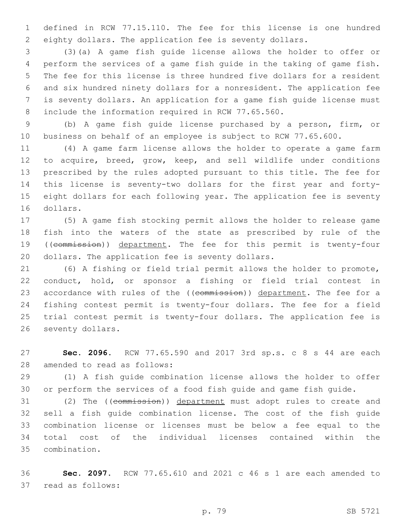defined in RCW 77.15.110. The fee for this license is one hundred eighty dollars. The application fee is seventy dollars.

 (3)(a) A game fish guide license allows the holder to offer or perform the services of a game fish guide in the taking of game fish. The fee for this license is three hundred five dollars for a resident and six hundred ninety dollars for a nonresident. The application fee is seventy dollars. An application for a game fish guide license must 8 include the information required in RCW 77.65.560.

 (b) A game fish guide license purchased by a person, firm, or business on behalf of an employee is subject to RCW 77.65.600.

 (4) A game farm license allows the holder to operate a game farm to acquire, breed, grow, keep, and sell wildlife under conditions prescribed by the rules adopted pursuant to this title. The fee for this license is seventy-two dollars for the first year and forty- eight dollars for each following year. The application fee is seventy 16 dollars.

 (5) A game fish stocking permit allows the holder to release game fish into the waters of the state as prescribed by rule of the 19 ((commission)) department. The fee for this permit is twenty-four 20 dollars. The application fee is seventy dollars.

 (6) A fishing or field trial permit allows the holder to promote, conduct, hold, or sponsor a fishing or field trial contest in 23 accordance with rules of the ((commission)) department. The fee for a fishing contest permit is twenty-four dollars. The fee for a field trial contest permit is twenty-four dollars. The application fee is 26 seventy dollars.

 **Sec. 2096.** RCW 77.65.590 and 2017 3rd sp.s. c 8 s 44 are each 28 amended to read as follows:

 (1) A fish guide combination license allows the holder to offer or perform the services of a food fish guide and game fish guide.

 (2) The ((commission)) department must adopt rules to create and sell a fish guide combination license. The cost of the fish guide combination license or licenses must be below a fee equal to the total cost of the individual licenses contained within the combination.35

 **Sec. 2097.** RCW 77.65.610 and 2021 c 46 s 1 are each amended to 37 read as follows: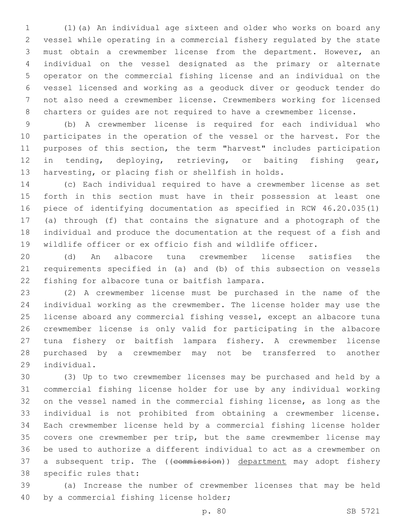(1)(a) An individual age sixteen and older who works on board any vessel while operating in a commercial fishery regulated by the state must obtain a crewmember license from the department. However, an individual on the vessel designated as the primary or alternate operator on the commercial fishing license and an individual on the vessel licensed and working as a geoduck diver or geoduck tender do not also need a crewmember license. Crewmembers working for licensed charters or guides are not required to have a crewmember license.

 (b) A crewmember license is required for each individual who participates in the operation of the vessel or the harvest. For the purposes of this section, the term "harvest" includes participation in tending, deploying, retrieving, or baiting fishing gear, harvesting, or placing fish or shellfish in holds.

 (c) Each individual required to have a crewmember license as set forth in this section must have in their possession at least one piece of identifying documentation as specified in RCW 46.20.035(1) (a) through (f) that contains the signature and a photograph of the individual and produce the documentation at the request of a fish and wildlife officer or ex officio fish and wildlife officer.

 (d) An albacore tuna crewmember license satisfies the requirements specified in (a) and (b) of this subsection on vessels 22 fishing for albacore tuna or baitfish lampara.

 (2) A crewmember license must be purchased in the name of the individual working as the crewmember. The license holder may use the license aboard any commercial fishing vessel, except an albacore tuna crewmember license is only valid for participating in the albacore tuna fishery or baitfish lampara fishery. A crewmember license purchased by a crewmember may not be transferred to another individual.29

 (3) Up to two crewmember licenses may be purchased and held by a commercial fishing license holder for use by any individual working on the vessel named in the commercial fishing license, as long as the individual is not prohibited from obtaining a crewmember license. Each crewmember license held by a commercial fishing license holder covers one crewmember per trip, but the same crewmember license may be used to authorize a different individual to act as a crewmember on 37 a subsequent trip. The ((commission)) department may adopt fishery 38 specific rules that:

 (a) Increase the number of crewmember licenses that may be held 40 by a commercial fishing license holder;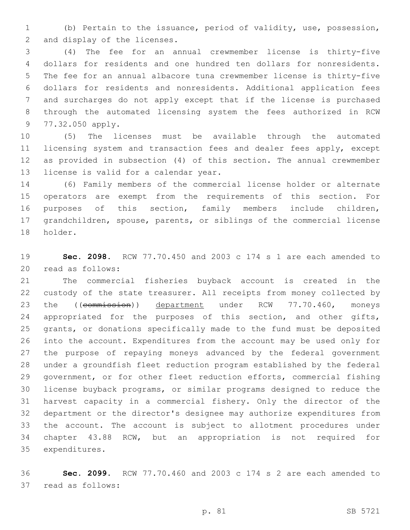(b) Pertain to the issuance, period of validity, use, possession, 2 and display of the licenses.

 (4) The fee for an annual crewmember license is thirty-five dollars for residents and one hundred ten dollars for nonresidents. The fee for an annual albacore tuna crewmember license is thirty-five dollars for residents and nonresidents. Additional application fees and surcharges do not apply except that if the license is purchased through the automated licensing system the fees authorized in RCW 9 77.32.050 apply.

 (5) The licenses must be available through the automated licensing system and transaction fees and dealer fees apply, except as provided in subsection (4) of this section. The annual crewmember 13 license is valid for a calendar year.

 (6) Family members of the commercial license holder or alternate operators are exempt from the requirements of this section. For purposes of this section, family members include children, grandchildren, spouse, parents, or siblings of the commercial license 18 holder.

 **Sec. 2098.** RCW 77.70.450 and 2003 c 174 s 1 are each amended to 20 read as follows:

 The commercial fisheries buyback account is created in the custody of the state treasurer. All receipts from money collected by 23 the ((commission)) department under RCW 77.70.460, moneys 24 appropriated for the purposes of this section, and other gifts, grants, or donations specifically made to the fund must be deposited into the account. Expenditures from the account may be used only for the purpose of repaying moneys advanced by the federal government under a groundfish fleet reduction program established by the federal government, or for other fleet reduction efforts, commercial fishing license buyback programs, or similar programs designed to reduce the harvest capacity in a commercial fishery. Only the director of the department or the director's designee may authorize expenditures from the account. The account is subject to allotment procedures under chapter 43.88 RCW, but an appropriation is not required for 35 expenditures.

 **Sec. 2099.** RCW 77.70.460 and 2003 c 174 s 2 are each amended to 37 read as follows: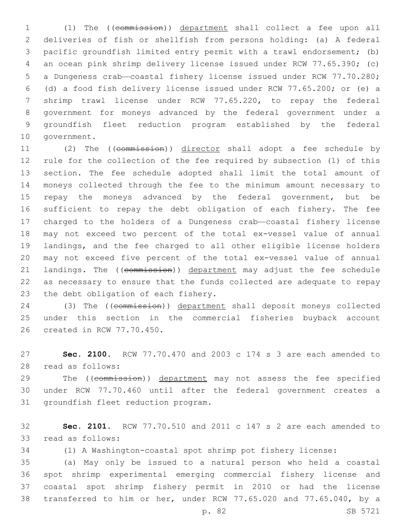(1) The ((commission)) department shall collect a fee upon all deliveries of fish or shellfish from persons holding: (a) A federal pacific groundfish limited entry permit with a trawl endorsement; (b) an ocean pink shrimp delivery license issued under RCW 77.65.390; (c) a Dungeness crab—coastal fishery license issued under RCW 77.70.280; (d) a food fish delivery license issued under RCW 77.65.200; or (e) a shrimp trawl license under RCW 77.65.220, to repay the federal government for moneys advanced by the federal government under a groundfish fleet reduction program established by the federal 10 government.

 (2) The ((commission)) director shall adopt a fee schedule by rule for the collection of the fee required by subsection (1) of this section. The fee schedule adopted shall limit the total amount of moneys collected through the fee to the minimum amount necessary to 15 repay the moneys advanced by the federal government, but be sufficient to repay the debt obligation of each fishery. The fee charged to the holders of a Dungeness crab—coastal fishery license may not exceed two percent of the total ex-vessel value of annual landings, and the fee charged to all other eligible license holders may not exceed five percent of the total ex-vessel value of annual 21 landings. The ((commission)) department may adjust the fee schedule as necessary to ensure that the funds collected are adequate to repay 23 the debt obligation of each fishery.

 (3) The ((commission)) department shall deposit moneys collected under this section in the commercial fisheries buyback account 26 created in RCW 77.70.450.

 **Sec. 2100.** RCW 77.70.470 and 2003 c 174 s 3 are each amended to read as follows:28

29 The ((commission)) department may not assess the fee specified under RCW 77.70.460 until after the federal government creates a 31 groundfish fleet reduction program.

 **Sec. 2101.** RCW 77.70.510 and 2011 c 147 s 2 are each amended to 33 read as follows:

(1) A Washington-coastal spot shrimp pot fishery license:

 (a) May only be issued to a natural person who held a coastal spot shrimp experimental emerging commercial fishery license and coastal spot shrimp fishery permit in 2010 or had the license transferred to him or her, under RCW 77.65.020 and 77.65.040, by a

p. 82 SB 5721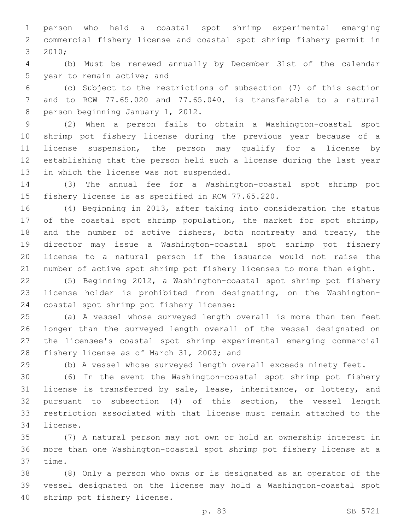person who held a coastal spot shrimp experimental emerging commercial fishery license and coastal spot shrimp fishery permit in 2010;3

 (b) Must be renewed annually by December 31st of the calendar 5 year to remain active; and

 (c) Subject to the restrictions of subsection (7) of this section and to RCW 77.65.020 and 77.65.040, is transferable to a natural 8 person beginning January 1, 2012.

 (2) When a person fails to obtain a Washington-coastal spot shrimp pot fishery license during the previous year because of a license suspension, the person may qualify for a license by establishing that the person held such a license during the last year 13 in which the license was not suspended.

 (3) The annual fee for a Washington-coastal spot shrimp pot 15 fishery license is as specified in RCW 77.65.220.

 (4) Beginning in 2013, after taking into consideration the status 17 of the coastal spot shrimp population, the market for spot shrimp, 18 and the number of active fishers, both nontreaty and treaty, the director may issue a Washington-coastal spot shrimp pot fishery license to a natural person if the issuance would not raise the number of active spot shrimp pot fishery licenses to more than eight.

 (5) Beginning 2012, a Washington-coastal spot shrimp pot fishery license holder is prohibited from designating, on the Washington-24 coastal spot shrimp pot fishery license:

 (a) A vessel whose surveyed length overall is more than ten feet longer than the surveyed length overall of the vessel designated on the licensee's coastal spot shrimp experimental emerging commercial 28 fishery license as of March 31, 2003; and

(b) A vessel whose surveyed length overall exceeds ninety feet.

 (6) In the event the Washington-coastal spot shrimp pot fishery license is transferred by sale, lease, inheritance, or lottery, and pursuant to subsection (4) of this section, the vessel length restriction associated with that license must remain attached to the 34 license.

 (7) A natural person may not own or hold an ownership interest in more than one Washington-coastal spot shrimp pot fishery license at a 37 time.

 (8) Only a person who owns or is designated as an operator of the vessel designated on the license may hold a Washington-coastal spot 40 shrimp pot fishery license.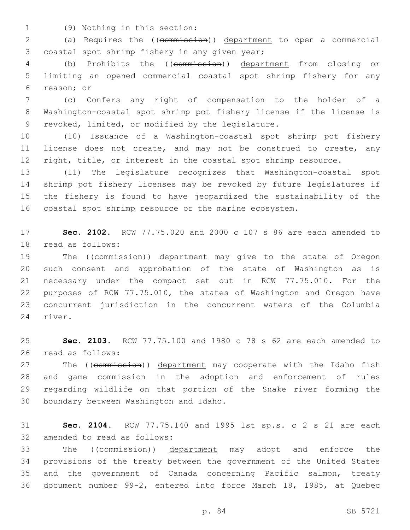(9) Nothing in this section:1

2 (a) Requires the ((commission)) department to open a commercial 3 coastal spot shrimp fishery in any given year;

4 (b) Prohibits the ((commission)) department from closing or 5 limiting an opened commercial coastal spot shrimp fishery for any 6 reason; or

7 (c) Confers any right of compensation to the holder of a 8 Washington-coastal spot shrimp pot fishery license if the license is 9 revoked, limited, or modified by the legislature.

10 (10) Issuance of a Washington-coastal spot shrimp pot fishery 11 license does not create, and may not be construed to create, any 12 right, title, or interest in the coastal spot shrimp resource.

 (11) The legislature recognizes that Washington-coastal spot shrimp pot fishery licenses may be revoked by future legislatures if the fishery is found to have jeopardized the sustainability of the coastal spot shrimp resource or the marine ecosystem.

17 **Sec. 2102.** RCW 77.75.020 and 2000 c 107 s 86 are each amended to 18 read as follows:

19 The ((commission)) department may give to the state of Oregon such consent and approbation of the state of Washington as is necessary under the compact set out in RCW 77.75.010. For the purposes of RCW 77.75.010, the states of Washington and Oregon have concurrent jurisdiction in the concurrent waters of the Columbia 24 river.

25 **Sec. 2103.** RCW 77.75.100 and 1980 c 78 s 62 are each amended to 26 read as follows:

27 The ((commission)) department may cooperate with the Idaho fish 28 and game commission in the adoption and enforcement of rules 29 regarding wildlife on that portion of the Snake river forming the 30 boundary between Washington and Idaho.

31 **Sec. 2104.** RCW 77.75.140 and 1995 1st sp.s. c 2 s 21 are each 32 amended to read as follows:

33 The ((commission)) department may adopt and enforce the provisions of the treaty between the government of the United States and the government of Canada concerning Pacific salmon, treaty document number 99-2, entered into force March 18, 1985, at Quebec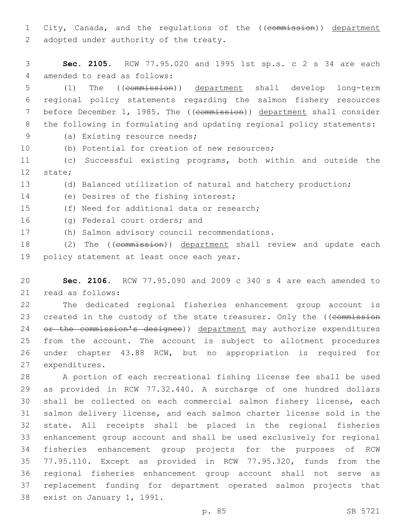1 City, Canada, and the regulations of the ((commission)) department 2 adopted under authority of the treaty.

3 **Sec. 2105.** RCW 77.95.020 and 1995 1st sp.s. c 2 s 34 are each 4 amended to read as follows:

 (1) The ((commission)) department shall develop long-term regional policy statements regarding the salmon fishery resources 7 before December 1, 1985. The ((commission)) department shall consider the following in formulating and updating regional policy statements:

- 
- 9 (a) Existing resource needs;
- 10 (b) Potential for creation of new resources;

11 (c) Successful existing programs, both within and outside the 12 state;

- 13 (d) Balanced utilization of natural and hatchery production;
- 14 (e) Desires of the fishing interest;
- 15 (f) Need for additional data or research;
- 16 (g) Federal court orders; and
- (h) Salmon advisory council recommendations.17

18 (2) The ((commission)) department shall review and update each 19 policy statement at least once each year.

20 **Sec. 2106.** RCW 77.95.090 and 2009 c 340 s 4 are each amended to 21 read as follows:

22 The dedicated regional fisheries enhancement group account is 23 created in the custody of the state treasurer. Only the ((commission 24 or the commission's designee)) department may authorize expenditures 25 from the account. The account is subject to allotment procedures 26 under chapter 43.88 RCW, but no appropriation is required for 27 expenditures.

 A portion of each recreational fishing license fee shall be used as provided in RCW 77.32.440. A surcharge of one hundred dollars shall be collected on each commercial salmon fishery license, each salmon delivery license, and each salmon charter license sold in the state. All receipts shall be placed in the regional fisheries enhancement group account and shall be used exclusively for regional fisheries enhancement group projects for the purposes of RCW 77.95.110. Except as provided in RCW 77.95.320, funds from the regional fisheries enhancement group account shall not serve as replacement funding for department operated salmon projects that 38 exist on January 1, 1991.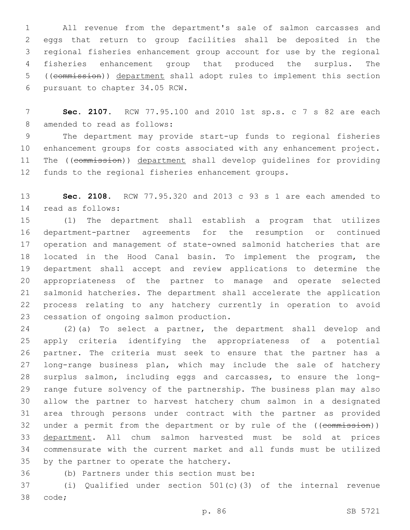All revenue from the department's sale of salmon carcasses and eggs that return to group facilities shall be deposited in the regional fisheries enhancement group account for use by the regional fisheries enhancement group that produced the surplus. The ((commission)) department shall adopt rules to implement this section 6 pursuant to chapter 34.05 RCW.

 **Sec. 2107.** RCW 77.95.100 and 2010 1st sp.s. c 7 s 82 are each 8 amended to read as follows:

 The department may provide start-up funds to regional fisheries enhancement groups for costs associated with any enhancement project. 11 The ((commission)) department shall develop quidelines for providing funds to the regional fisheries enhancement groups.

 **Sec. 2108.** RCW 77.95.320 and 2013 c 93 s 1 are each amended to 14 read as follows:

 (1) The department shall establish a program that utilizes department-partner agreements for the resumption or continued operation and management of state-owned salmonid hatcheries that are located in the Hood Canal basin. To implement the program, the department shall accept and review applications to determine the appropriateness of the partner to manage and operate selected salmonid hatcheries. The department shall accelerate the application process relating to any hatchery currently in operation to avoid 23 cessation of ongoing salmon production.

 (2)(a) To select a partner, the department shall develop and apply criteria identifying the appropriateness of a potential partner. The criteria must seek to ensure that the partner has a long-range business plan, which may include the sale of hatchery surplus salmon, including eggs and carcasses, to ensure the long- range future solvency of the partnership. The business plan may also allow the partner to harvest hatchery chum salmon in a designated area through persons under contract with the partner as provided 32 under a permit from the department or by rule of the ((commission)) department. All chum salmon harvested must be sold at prices commensurate with the current market and all funds must be utilized 35 by the partner to operate the hatchery.

36 (b) Partners under this section must be:

 (i) Qualified under section 501(c)(3) of the internal revenue 38 code;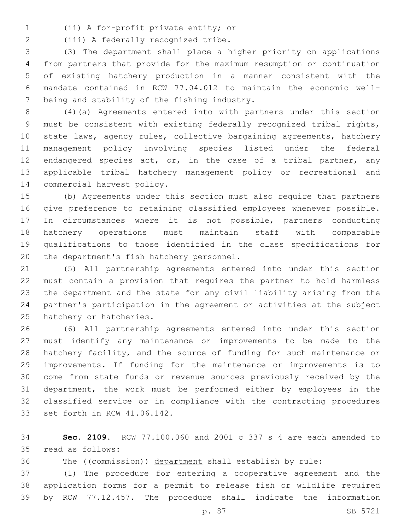(ii) A for-profit private entity; or1

2 (iii) A federally recognized tribe.

 (3) The department shall place a higher priority on applications from partners that provide for the maximum resumption or continuation of existing hatchery production in a manner consistent with the mandate contained in RCW 77.04.012 to maintain the economic well-7 being and stability of the fishing industry.

 (4)(a) Agreements entered into with partners under this section must be consistent with existing federally recognized tribal rights, state laws, agency rules, collective bargaining agreements, hatchery management policy involving species listed under the federal 12 endangered species act, or, in the case of a tribal partner, any applicable tribal hatchery management policy or recreational and 14 commercial harvest policy.

 (b) Agreements under this section must also require that partners give preference to retaining classified employees whenever possible. In circumstances where it is not possible, partners conducting hatchery operations must maintain staff with comparable qualifications to those identified in the class specifications for 20 the department's fish hatchery personnel.

 (5) All partnership agreements entered into under this section must contain a provision that requires the partner to hold harmless the department and the state for any civil liability arising from the partner's participation in the agreement or activities at the subject 25 hatchery or hatcheries.

 (6) All partnership agreements entered into under this section must identify any maintenance or improvements to be made to the hatchery facility, and the source of funding for such maintenance or improvements. If funding for the maintenance or improvements is to come from state funds or revenue sources previously received by the department, the work must be performed either by employees in the classified service or in compliance with the contracting procedures 33 set forth in RCW 41.06.142.

 **Sec. 2109.** RCW 77.100.060 and 2001 c 337 s 4 are each amended to read as follows:35

The ((commission)) department shall establish by rule:

 (1) The procedure for entering a cooperative agreement and the application forms for a permit to release fish or wildlife required by RCW 77.12.457. The procedure shall indicate the information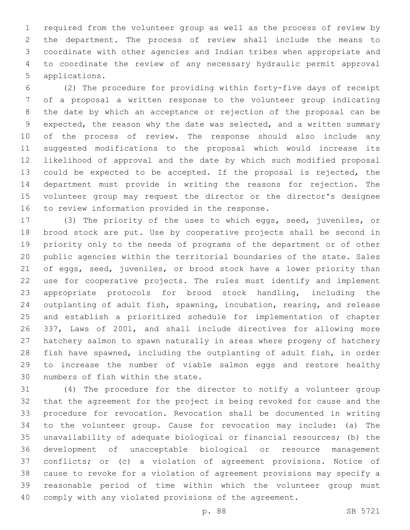required from the volunteer group as well as the process of review by the department. The process of review shall include the means to coordinate with other agencies and Indian tribes when appropriate and to coordinate the review of any necessary hydraulic permit approval 5 applications.

 (2) The procedure for providing within forty-five days of receipt of a proposal a written response to the volunteer group indicating the date by which an acceptance or rejection of the proposal can be expected, the reason why the date was selected, and a written summary of the process of review. The response should also include any suggested modifications to the proposal which would increase its likelihood of approval and the date by which such modified proposal could be expected to be accepted. If the proposal is rejected, the department must provide in writing the reasons for rejection. The volunteer group may request the director or the director's designee 16 to review information provided in the response.

 (3) The priority of the uses to which eggs, seed, juveniles, or brood stock are put. Use by cooperative projects shall be second in priority only to the needs of programs of the department or of other public agencies within the territorial boundaries of the state. Sales of eggs, seed, juveniles, or brood stock have a lower priority than use for cooperative projects. The rules must identify and implement appropriate protocols for brood stock handling, including the outplanting of adult fish, spawning, incubation, rearing, and release and establish a prioritized schedule for implementation of chapter 337, Laws of 2001, and shall include directives for allowing more hatchery salmon to spawn naturally in areas where progeny of hatchery fish have spawned, including the outplanting of adult fish, in order to increase the number of viable salmon eggs and restore healthy 30 numbers of fish within the state.

 (4) The procedure for the director to notify a volunteer group that the agreement for the project is being revoked for cause and the procedure for revocation. Revocation shall be documented in writing to the volunteer group. Cause for revocation may include: (a) The unavailability of adequate biological or financial resources; (b) the development of unacceptable biological or resource management conflicts; or (c) a violation of agreement provisions. Notice of cause to revoke for a violation of agreement provisions may specify a reasonable period of time within which the volunteer group must comply with any violated provisions of the agreement.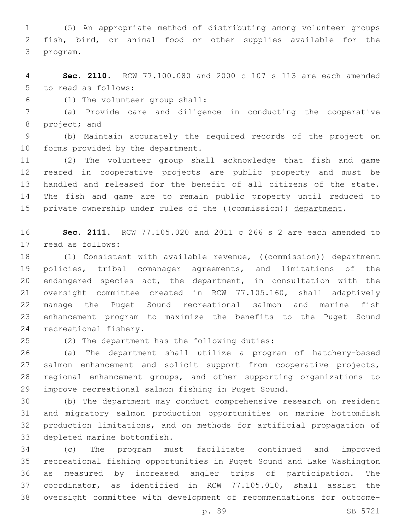(5) An appropriate method of distributing among volunteer groups fish, bird, or animal food or other supplies available for the 3 program.

 **Sec. 2110.** RCW 77.100.080 and 2000 c 107 s 113 are each amended 5 to read as follows:

(1) The volunteer group shall:6

 (a) Provide care and diligence in conducting the cooperative 8 project; and

 (b) Maintain accurately the required records of the project on 10 forms provided by the department.

 (2) The volunteer group shall acknowledge that fish and game reared in cooperative projects are public property and must be handled and released for the benefit of all citizens of the state. The fish and game are to remain public property until reduced to 15 private ownership under rules of the ((commission)) department.

 **Sec. 2111.** RCW 77.105.020 and 2011 c 266 s 2 are each amended to 17 read as follows:

18 (1) Consistent with available revenue, ((commission)) department policies, tribal comanager agreements, and limitations of the endangered species act, the department, in consultation with the oversight committee created in RCW 77.105.160, shall adaptively manage the Puget Sound recreational salmon and marine fish enhancement program to maximize the benefits to the Puget Sound 24 recreational fishery.

(2) The department has the following duties:25

 (a) The department shall utilize a program of hatchery-based salmon enhancement and solicit support from cooperative projects, regional enhancement groups, and other supporting organizations to improve recreational salmon fishing in Puget Sound.

 (b) The department may conduct comprehensive research on resident and migratory salmon production opportunities on marine bottomfish production limitations, and on methods for artificial propagation of 33 depleted marine bottomfish.

 (c) The program must facilitate continued and improved recreational fishing opportunities in Puget Sound and Lake Washington as measured by increased angler trips of participation. The coordinator, as identified in RCW 77.105.010, shall assist the oversight committee with development of recommendations for outcome-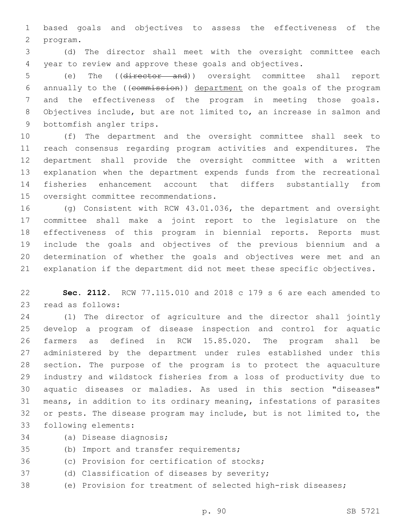based goals and objectives to assess the effectiveness of the program.2

 (d) The director shall meet with the oversight committee each year to review and approve these goals and objectives.

 (e) The ((director and)) oversight committee shall report annually to the ((commission)) department on the goals of the program and the effectiveness of the program in meeting those goals. Objectives include, but are not limited to, an increase in salmon and 9 bottomfish angler trips.

 (f) The department and the oversight committee shall seek to reach consensus regarding program activities and expenditures. The department shall provide the oversight committee with a written explanation when the department expends funds from the recreational fisheries enhancement account that differs substantially from 15 oversight committee recommendations.

 (g) Consistent with RCW 43.01.036, the department and oversight committee shall make a joint report to the legislature on the effectiveness of this program in biennial reports. Reports must include the goals and objectives of the previous biennium and a determination of whether the goals and objectives were met and an explanation if the department did not meet these specific objectives.

 **Sec. 2112.** RCW 77.115.010 and 2018 c 179 s 6 are each amended to 23 read as follows:

 (1) The director of agriculture and the director shall jointly develop a program of disease inspection and control for aquatic farmers as defined in RCW 15.85.020. The program shall be administered by the department under rules established under this section. The purpose of the program is to protect the aquaculture industry and wildstock fisheries from a loss of productivity due to aquatic diseases or maladies. As used in this section "diseases" means, in addition to its ordinary meaning, infestations of parasites or pests. The disease program may include, but is not limited to, the 33 following elements:

- 34 (a) Disease diagnosis;
- 35 (b) Import and transfer requirements;
- 36 (c) Provision for certification of stocks;
- 37 (d) Classification of diseases by severity;
- (e) Provision for treatment of selected high-risk diseases;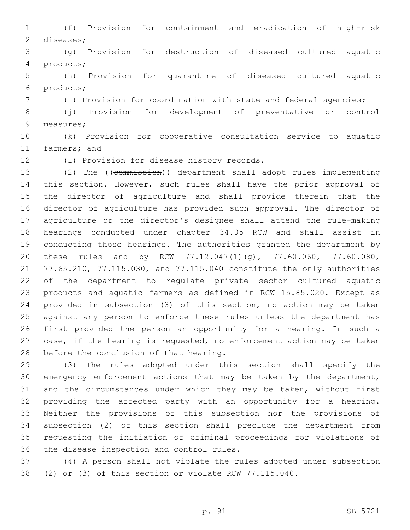(f) Provision for containment and eradication of high-risk 2 diseases;

 (g) Provision for destruction of diseased cultured aquatic products;4

 (h) Provision for quarantine of diseased cultured aquatic products;6

(i) Provision for coordination with state and federal agencies;

 (j) Provision for development of preventative or control 9 measures;

 (k) Provision for cooperative consultation service to aquatic 11 farmers; and

12 (1) Provision for disease history records.

 (2) The ((commission)) department shall adopt rules implementing this section. However, such rules shall have the prior approval of the director of agriculture and shall provide therein that the director of agriculture has provided such approval. The director of agriculture or the director's designee shall attend the rule-making hearings conducted under chapter 34.05 RCW and shall assist in conducting those hearings. The authorities granted the department by these rules and by RCW 77.12.047(1)(g), 77.60.060, 77.60.080, 77.65.210, 77.115.030, and 77.115.040 constitute the only authorities of the department to regulate private sector cultured aquatic products and aquatic farmers as defined in RCW 15.85.020. Except as provided in subsection (3) of this section, no action may be taken against any person to enforce these rules unless the department has first provided the person an opportunity for a hearing. In such a case, if the hearing is requested, no enforcement action may be taken 28 before the conclusion of that hearing.

 (3) The rules adopted under this section shall specify the emergency enforcement actions that may be taken by the department, 31 and the circumstances under which they may be taken, without first providing the affected party with an opportunity for a hearing. Neither the provisions of this subsection nor the provisions of subsection (2) of this section shall preclude the department from requesting the initiation of criminal proceedings for violations of 36 the disease inspection and control rules.

 (4) A person shall not violate the rules adopted under subsection (2) or (3) of this section or violate RCW 77.115.040.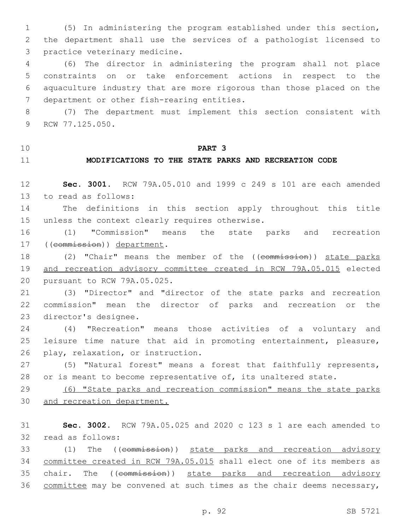(5) In administering the program established under this section, the department shall use the services of a pathologist licensed to 3 practice veterinary medicine.

 (6) The director in administering the program shall not place constraints on or take enforcement actions in respect to the aquaculture industry that are more rigorous than those placed on the 7 department or other fish-rearing entities.

 (7) The department must implement this section consistent with 9 RCW 77.125.050.

## **PART 3**

## **MODIFICATIONS TO THE STATE PARKS AND RECREATION CODE**

 **Sec. 3001.** RCW 79A.05.010 and 1999 c 249 s 101 are each amended 13 to read as follows:

 The definitions in this section apply throughout this title 15 unless the context clearly requires otherwise.

 (1) "Commission" means the state parks and recreation 17 ((commission)) department.

18 (2) "Chair" means the member of the ((commission)) state parks and recreation advisory committee created in RCW 79A.05.015 elected 20 pursuant to RCW 79A.05.025.

 (3) "Director" and "director of the state parks and recreation commission" mean the director of parks and recreation or the 23 director's designee.

 (4) "Recreation" means those activities of a voluntary and leisure time nature that aid in promoting entertainment, pleasure, 26 play, relaxation, or instruction.

 (5) "Natural forest" means a forest that faithfully represents, 28 or is meant to become representative of, its unaltered state.

 (6) "State parks and recreation commission" means the state parks and recreation department.

 **Sec. 3002.** RCW 79A.05.025 and 2020 c 123 s 1 are each amended to 32 read as follows:

 (1) The ((commission)) state parks and recreation advisory committee created in RCW 79A.05.015 shall elect one of its members as 35 chair. The ((commission)) state parks and recreation advisory committee may be convened at such times as the chair deems necessary,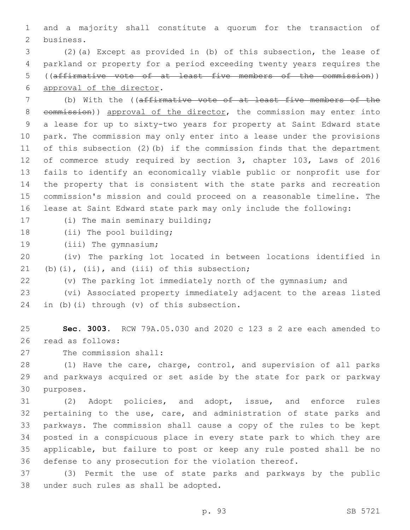and a majority shall constitute a quorum for the transaction of 2 business.

 (2)(a) Except as provided in (b) of this subsection, the lease of parkland or property for a period exceeding twenty years requires the ((affirmative vote of at least five members of the commission)) 6 approval of the director.

 (b) With the ((affirmative vote of at least five members of the 8 commission)) approval of the director, the commission may enter into a lease for up to sixty-two years for property at Saint Edward state park. The commission may only enter into a lease under the provisions of this subsection (2)(b) if the commission finds that the department of commerce study required by section 3, chapter 103, Laws of 2016 fails to identify an economically viable public or nonprofit use for the property that is consistent with the state parks and recreation commission's mission and could proceed on a reasonable timeline. The lease at Saint Edward state park may only include the following:

17 (i) The main seminary building;

18 (ii) The pool building;

19 (iii) The gymnasium;

 (iv) The parking lot located in between locations identified in (b)(i), (ii), and (iii) of this subsection;

(v) The parking lot immediately north of the gymnasium; and

 (vi) Associated property immediately adjacent to the areas listed 24 in (b)(i) through  $(v)$  of this subsection.

 **Sec. 3003.** RCW 79A.05.030 and 2020 c 123 s 2 are each amended to 26 read as follows:

27 The commission shall:

 (1) Have the care, charge, control, and supervision of all parks and parkways acquired or set aside by the state for park or parkway 30 purposes.

 (2) Adopt policies, and adopt, issue, and enforce rules pertaining to the use, care, and administration of state parks and parkways. The commission shall cause a copy of the rules to be kept posted in a conspicuous place in every state park to which they are applicable, but failure to post or keep any rule posted shall be no defense to any prosecution for the violation thereof.

 (3) Permit the use of state parks and parkways by the public 38 under such rules as shall be adopted.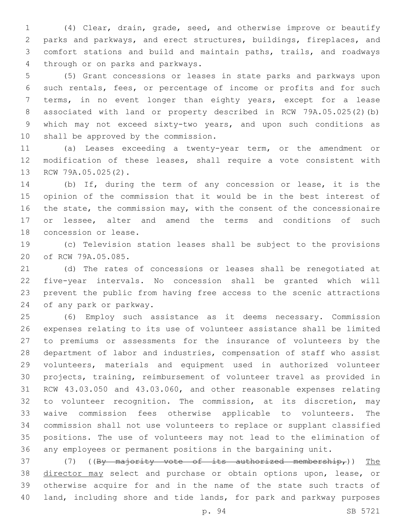(4) Clear, drain, grade, seed, and otherwise improve or beautify parks and parkways, and erect structures, buildings, fireplaces, and comfort stations and build and maintain paths, trails, and roadways 4 through or on parks and parkways.

 (5) Grant concessions or leases in state parks and parkways upon such rentals, fees, or percentage of income or profits and for such terms, in no event longer than eighty years, except for a lease associated with land or property described in RCW 79A.05.025(2)(b) which may not exceed sixty-two years, and upon such conditions as 10 shall be approved by the commission.

 (a) Leases exceeding a twenty-year term, or the amendment or modification of these leases, shall require a vote consistent with 13 RCW 79A.05.025(2).

 (b) If, during the term of any concession or lease, it is the opinion of the commission that it would be in the best interest of 16 the state, the commission may, with the consent of the concessionaire 17 or lessee, alter and amend the terms and conditions of such 18 concession or lease.

 (c) Television station leases shall be subject to the provisions 20 of RCW 79A.05.085.

 (d) The rates of concessions or leases shall be renegotiated at five-year intervals. No concession shall be granted which will prevent the public from having free access to the scenic attractions 24 of any park or parkway.

 (6) Employ such assistance as it deems necessary. Commission expenses relating to its use of volunteer assistance shall be limited to premiums or assessments for the insurance of volunteers by the department of labor and industries, compensation of staff who assist volunteers, materials and equipment used in authorized volunteer projects, training, reimbursement of volunteer travel as provided in RCW 43.03.050 and 43.03.060, and other reasonable expenses relating to volunteer recognition. The commission, at its discretion, may waive commission fees otherwise applicable to volunteers. The commission shall not use volunteers to replace or supplant classified positions. The use of volunteers may not lead to the elimination of any employees or permanent positions in the bargaining unit.

37 (7) ((By majority vote of its authorized membership,)) The 38 director may select and purchase or obtain options upon, lease, or otherwise acquire for and in the name of the state such tracts of land, including shore and tide lands, for park and parkway purposes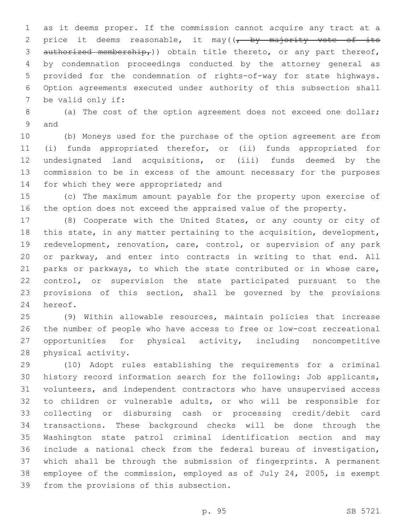as it deems proper. If the commission cannot acquire any tract at a 2 price it deems reasonable, it may( $\sqrt{2}$  by majority vote of its 3 authorized membership,)) obtain title thereto, or any part thereof, by condemnation proceedings conducted by the attorney general as provided for the condemnation of rights-of-way for state highways. Option agreements executed under authority of this subsection shall 7 be valid only if:

 (a) The cost of the option agreement does not exceed one dollar; 9 and

 (b) Moneys used for the purchase of the option agreement are from (i) funds appropriated therefor, or (ii) funds appropriated for undesignated land acquisitions, or (iii) funds deemed by the commission to be in excess of the amount necessary for the purposes 14 for which they were appropriated; and

 (c) The maximum amount payable for the property upon exercise of the option does not exceed the appraised value of the property.

 (8) Cooperate with the United States, or any county or city of this state, in any matter pertaining to the acquisition, development, redevelopment, renovation, care, control, or supervision of any park or parkway, and enter into contracts in writing to that end. All parks or parkways, to which the state contributed or in whose care, control, or supervision the state participated pursuant to the provisions of this section, shall be governed by the provisions 24 hereof.

 (9) Within allowable resources, maintain policies that increase the number of people who have access to free or low-cost recreational opportunities for physical activity, including noncompetitive 28 physical activity.

 (10) Adopt rules establishing the requirements for a criminal history record information search for the following: Job applicants, volunteers, and independent contractors who have unsupervised access to children or vulnerable adults, or who will be responsible for collecting or disbursing cash or processing credit/debit card transactions. These background checks will be done through the Washington state patrol criminal identification section and may include a national check from the federal bureau of investigation, which shall be through the submission of fingerprints. A permanent employee of the commission, employed as of July 24, 2005, is exempt 39 from the provisions of this subsection.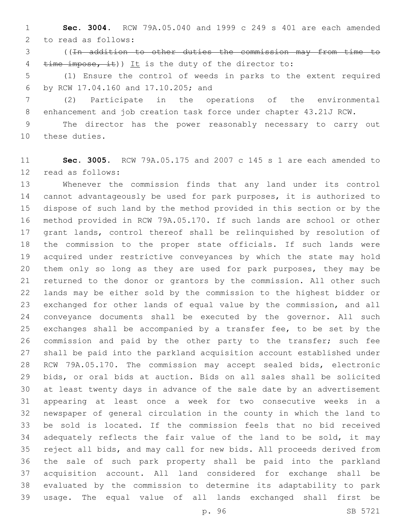**Sec. 3004.** RCW 79A.05.040 and 1999 c 249 s 401 are each amended 2 to read as follows:

 ((In addition to other duties the commission may from time to 4 time impose, it)) It is the duty of the director to:

 (1) Ensure the control of weeds in parks to the extent required by RCW 17.04.160 and 17.10.205; and6

 (2) Participate in the operations of the environmental enhancement and job creation task force under chapter 43.21J RCW.

 The director has the power reasonably necessary to carry out 10 these duties.

 **Sec. 3005.** RCW 79A.05.175 and 2007 c 145 s 1 are each amended to 12 read as follows:

 Whenever the commission finds that any land under its control cannot advantageously be used for park purposes, it is authorized to dispose of such land by the method provided in this section or by the method provided in RCW 79A.05.170. If such lands are school or other grant lands, control thereof shall be relinquished by resolution of the commission to the proper state officials. If such lands were acquired under restrictive conveyances by which the state may hold them only so long as they are used for park purposes, they may be returned to the donor or grantors by the commission. All other such lands may be either sold by the commission to the highest bidder or exchanged for other lands of equal value by the commission, and all conveyance documents shall be executed by the governor. All such exchanges shall be accompanied by a transfer fee, to be set by the commission and paid by the other party to the transfer; such fee shall be paid into the parkland acquisition account established under RCW 79A.05.170. The commission may accept sealed bids, electronic bids, or oral bids at auction. Bids on all sales shall be solicited at least twenty days in advance of the sale date by an advertisement appearing at least once a week for two consecutive weeks in a newspaper of general circulation in the county in which the land to be sold is located. If the commission feels that no bid received 34 adequately reflects the fair value of the land to be sold, it may reject all bids, and may call for new bids. All proceeds derived from the sale of such park property shall be paid into the parkland acquisition account. All land considered for exchange shall be evaluated by the commission to determine its adaptability to park usage. The equal value of all lands exchanged shall first be

p. 96 SB 5721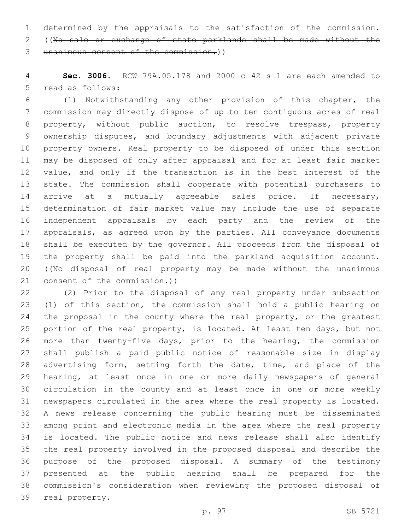determined by the appraisals to the satisfaction of the commission. ((No sale or exchange of state parklands shall be made without the unanimous consent of the commission.))

 **Sec. 3006.** RCW 79A.05.178 and 2000 c 42 s 1 are each amended to 5 read as follows:

 (1) Notwithstanding any other provision of this chapter, the commission may directly dispose of up to ten contiguous acres of real property, without public auction, to resolve trespass, property ownership disputes, and boundary adjustments with adjacent private property owners. Real property to be disposed of under this section may be disposed of only after appraisal and for at least fair market value, and only if the transaction is in the best interest of the state. The commission shall cooperate with potential purchasers to 14 arrive at a mutually agreeable sales price. If necessary, determination of fair market value may include the use of separate independent appraisals by each party and the review of the appraisals, as agreed upon by the parties. All conveyance documents shall be executed by the governor. All proceeds from the disposal of the property shall be paid into the parkland acquisition account. 20 ((No disposal of real property may be made without the unanimous 21 consent of the commission.))

 (2) Prior to the disposal of any real property under subsection (1) of this section, the commission shall hold a public hearing on 24 the proposal in the county where the real property, or the greatest portion of the real property, is located. At least ten days, but not more than twenty-five days, prior to the hearing, the commission shall publish a paid public notice of reasonable size in display advertising form, setting forth the date, time, and place of the hearing, at least once in one or more daily newspapers of general circulation in the county and at least once in one or more weekly newspapers circulated in the area where the real property is located. A news release concerning the public hearing must be disseminated among print and electronic media in the area where the real property is located. The public notice and news release shall also identify the real property involved in the proposed disposal and describe the purpose of the proposed disposal. A summary of the testimony presented at the public hearing shall be prepared for the commission's consideration when reviewing the proposed disposal of 39 real property.